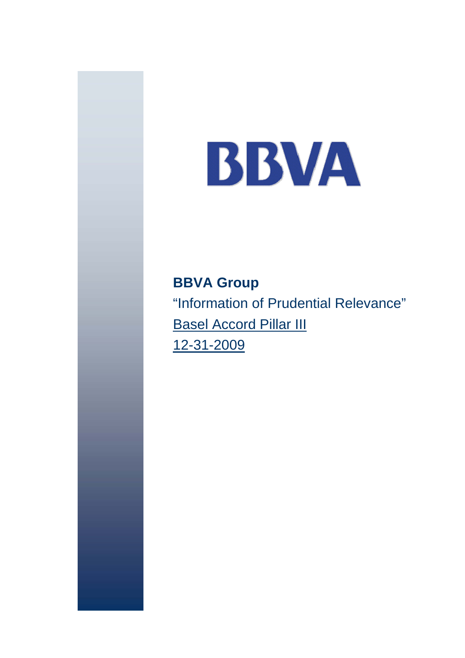# BBVA

**BBVA Group**  "Information of Prudential Relevance" **Basel Accord Pillar III** 12-31-2009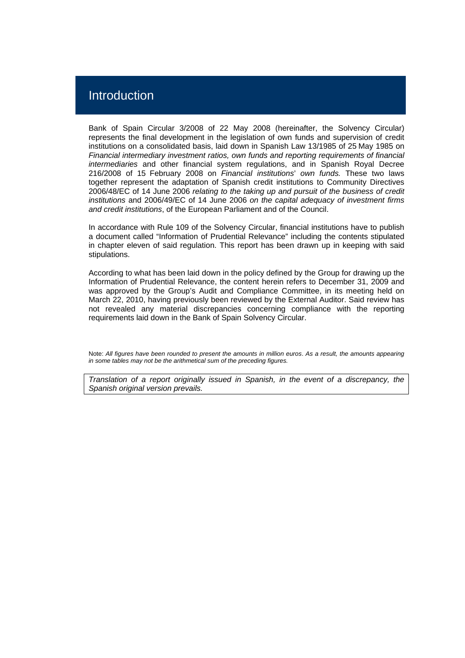## Introduction

Bank of Spain Circular 3/2008 of 22 May 2008 (hereinafter, the Solvency Circular) represents the final development in the legislation of own funds and supervision of credit institutions on a consolidated basis, laid down in Spanish Law 13/1985 of 25 May 1985 on *Financial intermediary investment ratios, own funds and reporting requirements of financial intermediaries* and other financial system regulations, and in Spanish Royal Decree 216/2008 of 15 February 2008 on *Financial institutions*' *own funds.* These two laws together represent the adaptation of Spanish credit institutions to Community Directives 2006/48/EC of 14 June 2006 *relating to the taking up and pursuit of the business of credit institutions* and 2006/49/EC of 14 June 2006 *on the capital adequacy of investment firms and credit institutions*, of the European Parliament and of the Council.

In accordance with Rule 109 of the Solvency Circular, financial institutions have to publish a document called "Information of Prudential Relevance" including the contents stipulated in chapter eleven of said regulation. This report has been drawn up in keeping with said stipulations.

According to what has been laid down in the policy defined by the Group for drawing up the Information of Prudential Relevance, the content herein refers to December 31, 2009 and was approved by the Group's Audit and Compliance Committee, in its meeting held on March 22, 2010, having previously been reviewed by the External Auditor. Said review has not revealed any material discrepancies concerning compliance with the reporting requirements laid down in the Bank of Spain Solvency Circular.

Note: *All figures have been rounded to present the amounts in million euros*. *As a result, the amounts appearing in some tables may not be the arithmetical sum of the preceding figures.* 

*Translation of a report originally issued in Spanish, in the event of a discrepancy, the Spanish original version prevails.*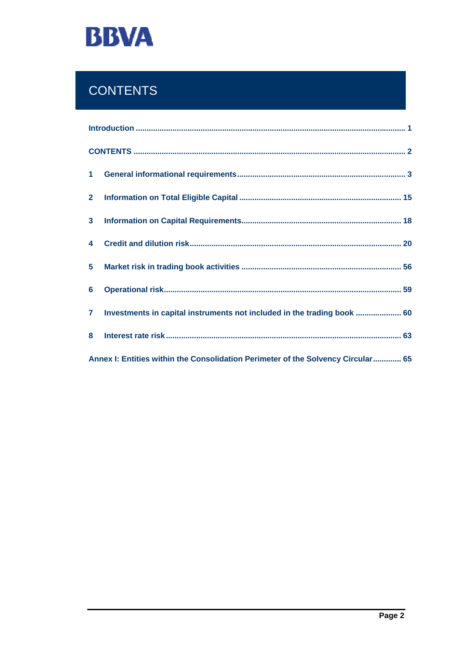

# **CONTENTS**

| $2^{\circ}$    |                                                                                  |  |
|----------------|----------------------------------------------------------------------------------|--|
|                |                                                                                  |  |
| $\overline{4}$ |                                                                                  |  |
| 5 <sup>1</sup> |                                                                                  |  |
| 6              |                                                                                  |  |
| $\mathbf{7}$   | Investments in capital instruments not included in the trading book  60          |  |
| 8              |                                                                                  |  |
|                | Annex I: Entities within the Consolidation Perimeter of the Solvency Circular 65 |  |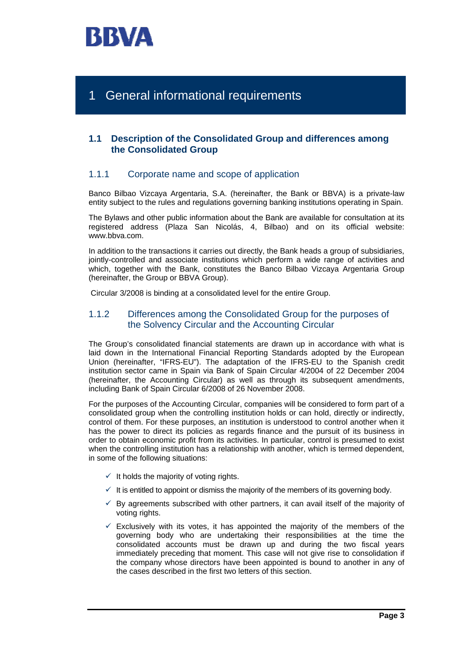

# 1 General informational requirements

## **1.1 Description of the Consolidated Group and differences among the Consolidated Group**

## 1.1.1 Corporate name and scope of application

Banco Bilbao Vizcaya Argentaria, S.A. (hereinafter, the Bank or BBVA) is a private-law entity subject to the rules and regulations governing banking institutions operating in Spain.

The Bylaws and other public information about the Bank are available for consultation at its registered address (Plaza San Nicolás, 4, Bilbao) and on its official website: www.bbva.com.

In addition to the transactions it carries out directly, the Bank heads a group of subsidiaries, jointly-controlled and associate institutions which perform a wide range of activities and which, together with the Bank, constitutes the Banco Bilbao Vizcaya Argentaria Group (hereinafter, the Group or BBVA Group).

Circular 3/2008 is binding at a consolidated level for the entire Group.

## 1.1.2 Differences among the Consolidated Group for the purposes of the Solvency Circular and the Accounting Circular

The Group's consolidated financial statements are drawn up in accordance with what is laid down in the International Financial Reporting Standards adopted by the European Union (hereinafter, "IFRS-EU"). The adaptation of the IFRS-EU to the Spanish credit institution sector came in Spain via Bank of Spain Circular 4/2004 of 22 December 2004 (hereinafter, the Accounting Circular) as well as through its subsequent amendments, including Bank of Spain Circular 6/2008 of 26 November 2008.

For the purposes of the Accounting Circular, companies will be considered to form part of a consolidated group when the controlling institution holds or can hold, directly or indirectly, control of them. For these purposes, an institution is understood to control another when it has the power to direct its policies as regards finance and the pursuit of its business in order to obtain economic profit from its activities. In particular, control is presumed to exist when the controlling institution has a relationship with another, which is termed dependent, in some of the following situations:

- $\checkmark$  It holds the majority of voting rights.
- $\checkmark$  It is entitled to appoint or dismiss the majority of the members of its governing body.
- $\checkmark$  By agreements subscribed with other partners, it can avail itself of the majority of voting rights.
- $\checkmark$  Exclusively with its votes, it has appointed the majority of the members of the governing body who are undertaking their responsibilities at the time the consolidated accounts must be drawn up and during the two fiscal years immediately preceding that moment. This case will not give rise to consolidation if the company whose directors have been appointed is bound to another in any of the cases described in the first two letters of this section.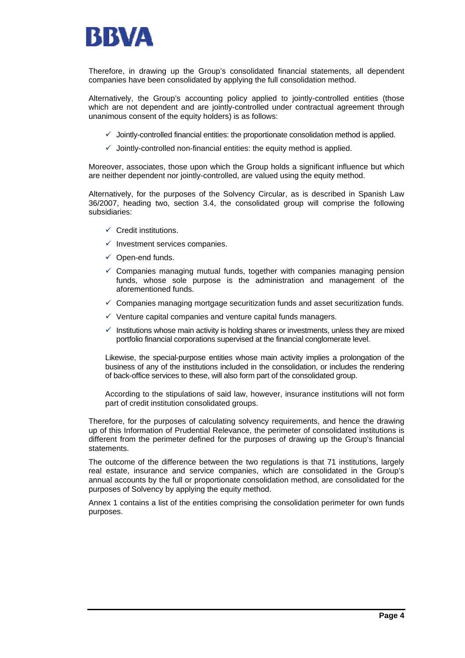

Therefore, in drawing up the Group's consolidated financial statements, all dependent companies have been consolidated by applying the full consolidation method.

Alternatively, the Group's accounting policy applied to jointly-controlled entities (those which are not dependent and are jointly-controlled under contractual agreement through unanimous consent of the equity holders) is as follows:

- $\checkmark$  Jointly-controlled financial entities: the proportionate consolidation method is applied.
- $\checkmark$  Jointly-controlled non-financial entities: the equity method is applied.

Moreover, associates, those upon which the Group holds a significant influence but which are neither dependent nor jointly-controlled, are valued using the equity method.

Alternatively, for the purposes of the Solvency Circular, as is described in Spanish Law 36/2007, heading two, section 3.4, the consolidated group will comprise the following subsidiaries:

- $\checkmark$  Credit institutions.
- $\checkmark$  Investment services companies.
- $\checkmark$  Open-end funds.
- $\checkmark$  Companies managing mutual funds, together with companies managing pension funds, whose sole purpose is the administration and management of the aforementioned funds.
- $\checkmark$  Companies managing mortgage securitization funds and asset securitization funds.
- $\checkmark$  Venture capital companies and venture capital funds managers.
- $\checkmark$  Institutions whose main activity is holding shares or investments, unless they are mixed portfolio financial corporations supervised at the financial conglomerate level.

Likewise, the special-purpose entities whose main activity implies a prolongation of the business of any of the institutions included in the consolidation, or includes the rendering of back-office services to these, will also form part of the consolidated group.

According to the stipulations of said law, however, insurance institutions will not form part of credit institution consolidated groups.

Therefore, for the purposes of calculating solvency requirements, and hence the drawing up of this Information of Prudential Relevance, the perimeter of consolidated institutions is different from the perimeter defined for the purposes of drawing up the Group's financial statements.

The outcome of the difference between the two regulations is that 71 institutions, largely real estate, insurance and service companies, which are consolidated in the Group's annual accounts by the full or proportionate consolidation method, are consolidated for the purposes of Solvency by applying the equity method.

Annex 1 contains a list of the entities comprising the consolidation perimeter for own funds purposes.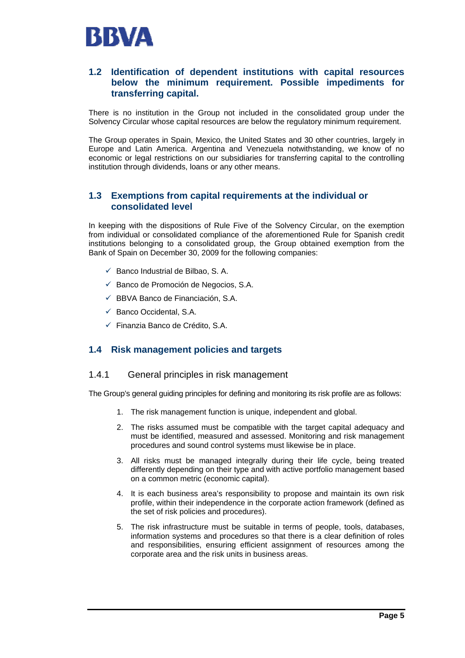

## **1.2 Identification of dependent institutions with capital resources below the minimum requirement. Possible impediments for transferring capital.**

There is no institution in the Group not included in the consolidated group under the Solvency Circular whose capital resources are below the regulatory minimum requirement.

The Group operates in Spain, Mexico, the United States and 30 other countries, largely in Europe and Latin America. Argentina and Venezuela notwithstanding, we know of no economic or legal restrictions on our subsidiaries for transferring capital to the controlling institution through dividends, loans or any other means.

## **1.3 Exemptions from capital requirements at the individual or consolidated level**

In keeping with the dispositions of Rule Five of the Solvency Circular, on the exemption from individual or consolidated compliance of the aforementioned Rule for Spanish credit institutions belonging to a consolidated group, the Group obtained exemption from the Bank of Spain on December 30, 2009 for the following companies:

- $\checkmark$  Banco Industrial de Bilbao, S. A.
- $\checkmark$  Banco de Promoción de Negocios, S.A.
- $\checkmark$  BBVA Banco de Financiación, S.A.
- $\checkmark$  Banco Occidental, S.A.
- $\checkmark$  Finanzia Banco de Crédito, S.A.

## **1.4 Risk management policies and targets**

## 1.4.1 General principles in risk management

The Group's general guiding principles for defining and monitoring its risk profile are as follows:

- 1. The risk management function is unique, independent and global.
- 2. The risks assumed must be compatible with the target capital adequacy and must be identified, measured and assessed. Monitoring and risk management procedures and sound control systems must likewise be in place.
- 3. All risks must be managed integrally during their life cycle, being treated differently depending on their type and with active portfolio management based on a common metric (economic capital).
- 4. It is each business area's responsibility to propose and maintain its own risk profile, within their independence in the corporate action framework (defined as the set of risk policies and procedures).
- 5. The risk infrastructure must be suitable in terms of people, tools, databases, information systems and procedures so that there is a clear definition of roles and responsibilities, ensuring efficient assignment of resources among the corporate area and the risk units in business areas.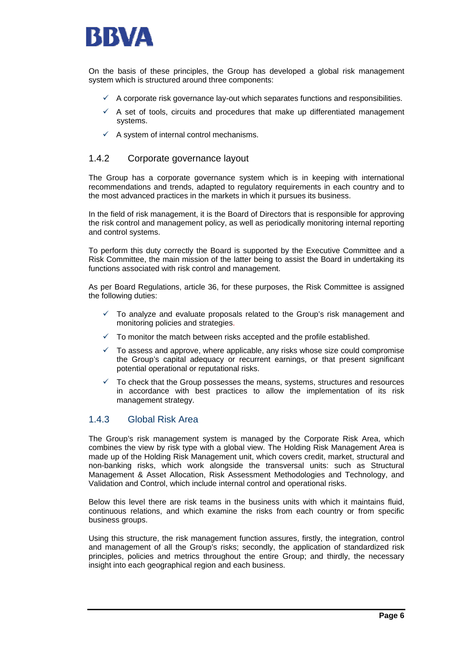

On the basis of these principles, the Group has developed a global risk management system which is structured around three components:

- $\checkmark$  A corporate risk governance lay-out which separates functions and responsibilities.
- $\checkmark$  A set of tools, circuits and procedures that make up differentiated management systems.
- $\checkmark$  A system of internal control mechanisms.

### 1.4.2 Corporate governance layout

The Group has a corporate governance system which is in keeping with international recommendations and trends, adapted to regulatory requirements in each country and to the most advanced practices in the markets in which it pursues its business.

In the field of risk management, it is the Board of Directors that is responsible for approving the risk control and management policy, as well as periodically monitoring internal reporting and control systems.

To perform this duty correctly the Board is supported by the Executive Committee and a Risk Committee, the main mission of the latter being to assist the Board in undertaking its functions associated with risk control and management.

As per Board Regulations, article 36, for these purposes, the Risk Committee is assigned the following duties:

- 9 To analyze and evaluate proposals related to the Group's risk management and monitoring policies and strategies.
- $\checkmark$  To monitor the match between risks accepted and the profile established.
- $\checkmark$  To assess and approve, where applicable, any risks whose size could compromise the Group's capital adequacy or recurrent earnings, or that present significant potential operational or reputational risks.
- 9 To check that the Group possesses the means, systems, structures and resources in accordance with best practices to allow the implementation of its risk management strategy.

## 1.4.3 Global Risk Area

The Group's risk management system is managed by the Corporate Risk Area, which combines the view by risk type with a global view. The Holding Risk Management Area is made up of the Holding Risk Management unit, which covers credit, market, structural and non-banking risks, which work alongside the transversal units: such as Structural Management & Asset Allocation, Risk Assessment Methodologies and Technology, and Validation and Control, which include internal control and operational risks.

Below this level there are risk teams in the business units with which it maintains fluid, continuous relations, and which examine the risks from each country or from specific business groups.

Using this structure, the risk management function assures, firstly, the integration, control and management of all the Group's risks; secondly, the application of standardized risk principles, policies and metrics throughout the entire Group; and thirdly, the necessary insight into each geographical region and each business.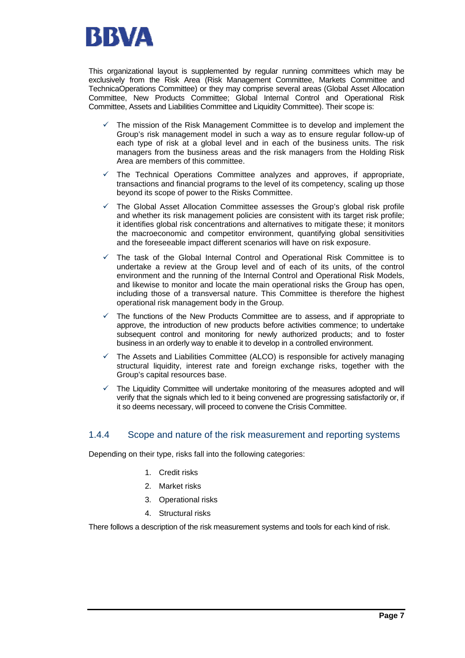

This organizational layout is supplemented by regular running committees which may be exclusively from the Risk Area (Risk Management Committee, Markets Committee and TechnicaOperations Committee) or they may comprise several areas (Global Asset Allocation Committee, New Products Committee; Global Internal Control and Operational Risk Committee, Assets and Liabilities Committee and Liquidity Committee). Their scope is:

- 9 The mission of the Risk Management Committee is to develop and implement the Group's risk management model in such a way as to ensure regular follow-up of each type of risk at a global level and in each of the business units. The risk managers from the business areas and the risk managers from the Holding Risk Area are members of this committee.
- The Technical Operations Committee analyzes and approves, if appropriate, transactions and financial programs to the level of its competency, scaling up those beyond its scope of power to the Risks Committee.
- The Global Asset Allocation Committee assesses the Group's global risk profile and whether its risk management policies are consistent with its target risk profile; it identifies global risk concentrations and alternatives to mitigate these; it monitors the macroeconomic and competitor environment, quantifying global sensitivities and the foreseeable impact different scenarios will have on risk exposure.
- The task of the Global Internal Control and Operational Risk Committee is to undertake a review at the Group level and of each of its units, of the control environment and the running of the Internal Control and Operational Risk Models, and likewise to monitor and locate the main operational risks the Group has open, including those of a transversal nature. This Committee is therefore the highest operational risk management body in the Group.
- The functions of the New Products Committee are to assess, and if appropriate to approve, the introduction of new products before activities commence; to undertake subsequent control and monitoring for newly authorized products; and to foster business in an orderly way to enable it to develop in a controlled environment.
- 9 The Assets and Liabilities Committee (ALCO) is responsible for actively managing structural liquidity, interest rate and foreign exchange risks, together with the Group's capital resources base.
- The Liquidity Committee will undertake monitoring of the measures adopted and will verify that the signals which led to it being convened are progressing satisfactorily or, if it so deems necessary, will proceed to convene the Crisis Committee.

## 1.4.4 Scope and nature of the risk measurement and reporting systems

Depending on their type, risks fall into the following categories:

- 1. Credit risks
- 2. Market risks
- 3. Operational risks
- 4. Structural risks

There follows a description of the risk measurement systems and tools for each kind of risk.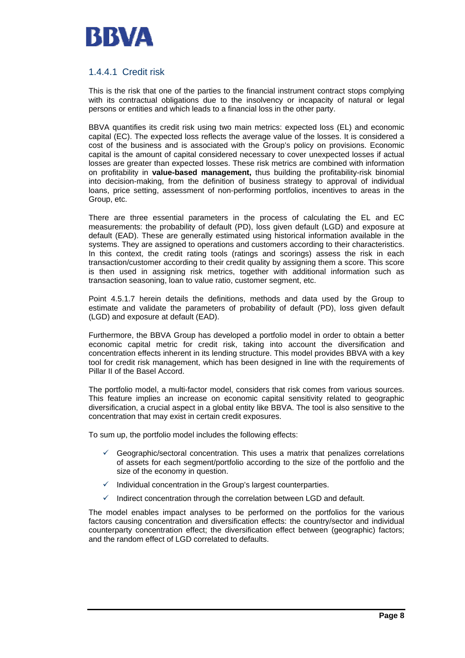

## 1.4.4.1 Credit risk

This is the risk that one of the parties to the financial instrument contract stops complying with its contractual obligations due to the insolvency or incapacity of natural or legal persons or entities and which leads to a financial loss in the other party.

BBVA quantifies its credit risk using two main metrics: expected loss (EL) and economic capital (EC). The expected loss reflects the average value of the losses. It is considered a cost of the business and is associated with the Group's policy on provisions. Economic capital is the amount of capital considered necessary to cover unexpected losses if actual losses are greater than expected losses. These risk metrics are combined with information on profitability in **value-based management,** thus building the profitability-risk binomial into decision-making, from the definition of business strategy to approval of individual loans, price setting, assessment of non-performing portfolios, incentives to areas in the Group, etc.

There are three essential parameters in the process of calculating the EL and EC measurements: the probability of default (PD), loss given default (LGD) and exposure at default (EAD). These are generally estimated using historical information available in the systems. They are assigned to operations and customers according to their characteristics. In this context, the credit rating tools (ratings and scorings) assess the risk in each transaction/customer according to their credit quality by assigning them a score. This score is then used in assigning risk metrics, together with additional information such as transaction seasoning, loan to value ratio, customer segment, etc.

Point 4.5.1.7 herein details the definitions, methods and data used by the Group to estimate and validate the parameters of probability of default (PD), loss given default (LGD) and exposure at default (EAD).

Furthermore, the BBVA Group has developed a portfolio model in order to obtain a better economic capital metric for credit risk, taking into account the diversification and concentration effects inherent in its lending structure. This model provides BBVA with a key tool for credit risk management, which has been designed in line with the requirements of Pillar II of the Basel Accord.

The portfolio model, a multi-factor model, considers that risk comes from various sources. This feature implies an increase on economic capital sensitivity related to geographic diversification, a crucial aspect in a global entity like BBVA. The tool is also sensitive to the concentration that may exist in certain credit exposures.

To sum up, the portfolio model includes the following effects:

- 9 Geographic/sectoral concentration. This uses a matrix that penalizes correlations of assets for each segment/portfolio according to the size of the portfolio and the size of the economy in question.
- $\checkmark$  Individual concentration in the Group's largest counterparties.
- $\checkmark$  Indirect concentration through the correlation between LGD and default.

The model enables impact analyses to be performed on the portfolios for the various factors causing concentration and diversification effects: the country/sector and individual counterparty concentration effect; the diversification effect between (geographic) factors; and the random effect of LGD correlated to defaults.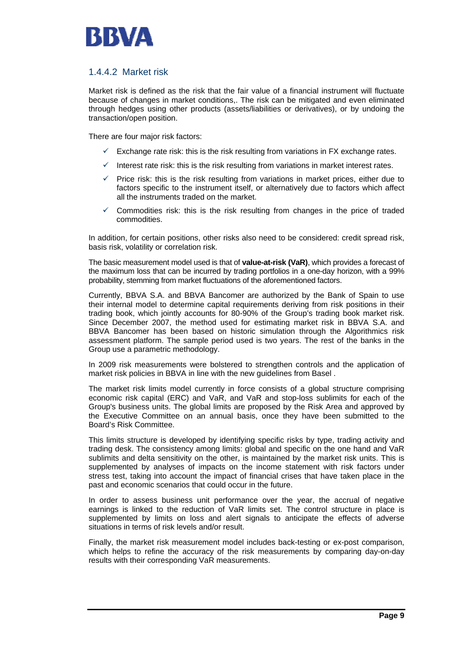

## 1.4.4.2 Market risk

Market risk is defined as the risk that the fair value of a financial instrument will fluctuate because of changes in market conditions,. The risk can be mitigated and even eliminated through hedges using other products (assets/liabilities or derivatives), or by undoing the transaction/open position.

There are four major risk factors:

- Exchange rate risk: this is the risk resulting from variations in FX exchange rates.
- $\checkmark$  Interest rate risk: this is the risk resulting from variations in market interest rates.
- Price risk: this is the risk resulting from variations in market prices, either due to factors specific to the instrument itself, or alternatively due to factors which affect all the instruments traded on the market.
- $\checkmark$  Commodities risk: this is the risk resulting from changes in the price of traded commodities.

In addition, for certain positions, other risks also need to be considered: credit spread risk, basis risk, volatility or correlation risk.

The basic measurement model used is that of **value-at-risk (VaR)**, which provides a forecast of the maximum loss that can be incurred by trading portfolios in a one-day horizon, with a 99% probability, stemming from market fluctuations of the aforementioned factors.

Currently, BBVA S.A. and BBVA Bancomer are authorized by the Bank of Spain to use their internal model to determine capital requirements deriving from risk positions in their trading book, which jointly accounts for 80-90% of the Group's trading book market risk. Since December 2007, the method used for estimating market risk in BBVA S.A. and BBVA Bancomer has been based on historic simulation through the Algorithmics risk assessment platform. The sample period used is two years. The rest of the banks in the Group use a parametric methodology.

In 2009 risk measurements were bolstered to strengthen controls and the application of market risk policies in BBVA in line with the new guidelines from Basel .

The market risk limits model currently in force consists of a global structure comprising economic risk capital (ERC) and VaR, and VaR and stop-loss sublimits for each of the Group's business units. The global limits are proposed by the Risk Area and approved by the Executive Committee on an annual basis, once they have been submitted to the Board's Risk Committee.

This limits structure is developed by identifying specific risks by type, trading activity and trading desk. The consistency among limits: global and specific on the one hand and VaR sublimits and delta sensitivity on the other, is maintained by the market risk units. This is supplemented by analyses of impacts on the income statement with risk factors under stress test, taking into account the impact of financial crises that have taken place in the past and economic scenarios that could occur in the future.

In order to assess business unit performance over the year, the accrual of negative earnings is linked to the reduction of VaR limits set. The control structure in place is supplemented by limits on loss and alert signals to anticipate the effects of adverse situations in terms of risk levels and/or result.

Finally, the market risk measurement model includes back-testing or ex-post comparison, which helps to refine the accuracy of the risk measurements by comparing day-on-day results with their corresponding VaR measurements.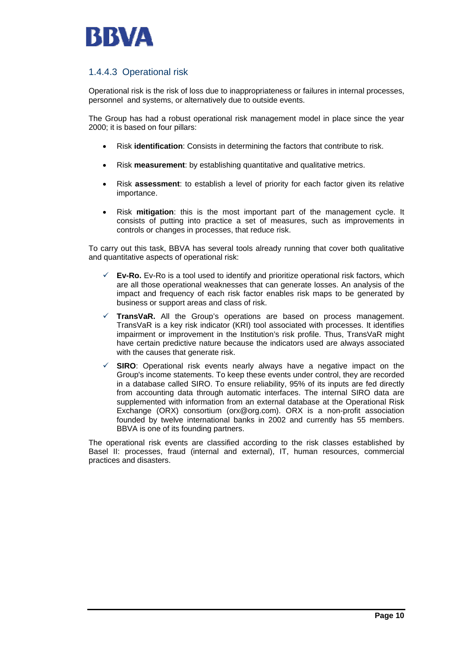

## 1.4.4.3 Operational risk

Operational risk is the risk of loss due to inappropriateness or failures in internal processes, personnel and systems, or alternatively due to outside events.

The Group has had a robust operational risk management model in place since the year 2000; it is based on four pillars:

- Risk **identification**: Consists in determining the factors that contribute to risk.
- Risk **measurement**: by establishing quantitative and qualitative metrics.
- Risk **assessment**: to establish a level of priority for each factor given its relative importance.
- Risk **mitigation**: this is the most important part of the management cycle. It consists of putting into practice a set of measures, such as improvements in controls or changes in processes, that reduce risk.

To carry out this task, BBVA has several tools already running that cover both qualitative and quantitative aspects of operational risk:

- **Ev-Ro.** Ev-Ro is a tool used to identify and prioritize operational risk factors, which are all those operational weaknesses that can generate losses. An analysis of the impact and frequency of each risk factor enables risk maps to be generated by business or support areas and class of risk.
- TransVaR. All the Group's operations are based on process management. TransVaR is a key risk indicator (KRI) tool associated with processes. It identifies impairment or improvement in the Institution's risk profile. Thus, TransVaR might have certain predictive nature because the indicators used are always associated with the causes that generate risk.
- **SIRO:** Operational risk events nearly always have a negative impact on the Group's income statements. To keep these events under control, they are recorded in a database called SIRO. To ensure reliability, 95% of its inputs are fed directly from accounting data through automatic interfaces. The internal SIRO data are supplemented with information from an external database at the Operational Risk Exchange (ORX) consortium (orx@org.com). ORX is a non-profit association founded by twelve international banks in 2002 and currently has 55 members. BBVA is one of its founding partners.

The operational risk events are classified according to the risk classes established by Basel II: processes, fraud (internal and external), IT, human resources, commercial practices and disasters.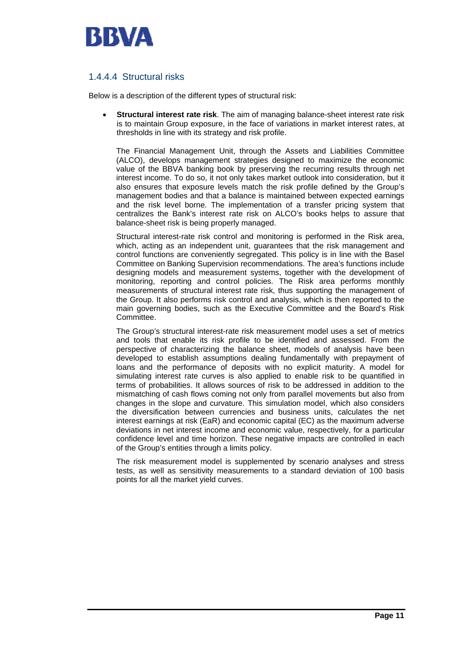

## 1.4.4.4 Structural risks

Below is a description of the different types of structural risk:

• **Structural interest rate risk**. The aim of managing balance-sheet interest rate risk is to maintain Group exposure, in the face of variations in market interest rates, at thresholds in line with its strategy and risk profile.

The Financial Management Unit, through the Assets and Liabilities Committee (ALCO), develops management strategies designed to maximize the economic value of the BBVA banking book by preserving the recurring results through net interest income. To do so, it not only takes market outlook into consideration, but it also ensures that exposure levels match the risk profile defined by the Group's management bodies and that a balance is maintained between expected earnings and the risk level borne. The implementation of a transfer pricing system that centralizes the Bank's interest rate risk on ALCO's books helps to assure that balance-sheet risk is being properly managed.

Structural interest-rate risk control and monitoring is performed in the Risk area, which, acting as an independent unit, quarantees that the risk management and control functions are conveniently segregated. This policy is in line with the Basel Committee on Banking Supervision recommendations. The area's functions include designing models and measurement systems, together with the development of monitoring, reporting and control policies. The Risk area performs monthly measurements of structural interest rate risk, thus supporting the management of the Group. It also performs risk control and analysis, which is then reported to the main governing bodies, such as the Executive Committee and the Board's Risk Committee.

The Group's structural interest-rate risk measurement model uses a set of metrics and tools that enable its risk profile to be identified and assessed. From the perspective of characterizing the balance sheet, models of analysis have been developed to establish assumptions dealing fundamentally with prepayment of loans and the performance of deposits with no explicit maturity. A model for simulating interest rate curves is also applied to enable risk to be quantified in terms of probabilities. It allows sources of risk to be addressed in addition to the mismatching of cash flows coming not only from parallel movements but also from changes in the slope and curvature. This simulation model, which also considers the diversification between currencies and business units, calculates the net interest earnings at risk (EaR) and economic capital (EC) as the maximum adverse deviations in net interest income and economic value, respectively, for a particular confidence level and time horizon. These negative impacts are controlled in each of the Group's entities through a limits policy.

The risk measurement model is supplemented by scenario analyses and stress tests, as well as sensitivity measurements to a standard deviation of 100 basis points for all the market yield curves.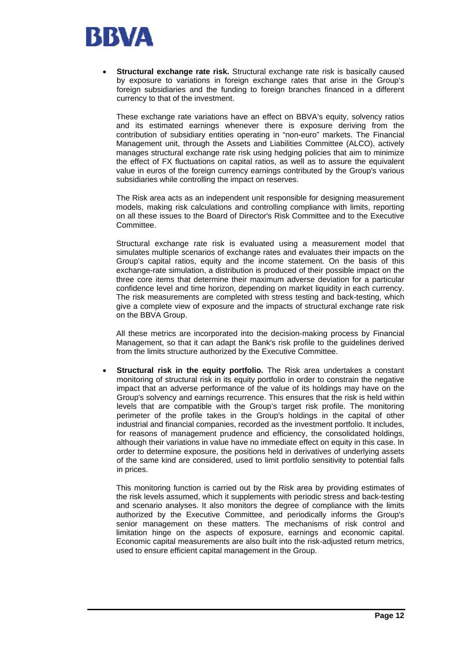

**Structural exchange rate risk.** Structural exchange rate risk is basically caused by exposure to variations in foreign exchange rates that arise in the Group's foreign subsidiaries and the funding to foreign branches financed in a different currency to that of the investment.

These exchange rate variations have an effect on BBVA's equity, solvency ratios and its estimated earnings whenever there is exposure deriving from the contribution of subsidiary entities operating in "non-euro" markets. The Financial Management unit, through the Assets and Liabilities Committee (ALCO), actively manages structural exchange rate risk using hedging policies that aim to minimize the effect of FX fluctuations on capital ratios, as well as to assure the equivalent value in euros of the foreign currency earnings contributed by the Group's various subsidiaries while controlling the impact on reserves.

The Risk area acts as an independent unit responsible for designing measurement models, making risk calculations and controlling compliance with limits, reporting on all these issues to the Board of Director's Risk Committee and to the Executive Committee.

Structural exchange rate risk is evaluated using a measurement model that simulates multiple scenarios of exchange rates and evaluates their impacts on the Group's capital ratios, equity and the income statement. On the basis of this exchange-rate simulation, a distribution is produced of their possible impact on the three core items that determine their maximum adverse deviation for a particular confidence level and time horizon, depending on market liquidity in each currency. The risk measurements are completed with stress testing and back-testing, which give a complete view of exposure and the impacts of structural exchange rate risk on the BBVA Group.

All these metrics are incorporated into the decision-making process by Financial Management, so that it can adapt the Bank's risk profile to the guidelines derived from the limits structure authorized by the Executive Committee.

• **Structural risk in the equity portfolio.** The Risk area undertakes a constant monitoring of structural risk in its equity portfolio in order to constrain the negative impact that an adverse performance of the value of its holdings may have on the Group's solvency and earnings recurrence. This ensures that the risk is held within levels that are compatible with the Group's target risk profile. The monitoring perimeter of the profile takes in the Group's holdings in the capital of other industrial and financial companies, recorded as the investment portfolio. It includes, for reasons of management prudence and efficiency, the consolidated holdings, although their variations in value have no immediate effect on equity in this case. In order to determine exposure, the positions held in derivatives of underlying assets of the same kind are considered, used to limit portfolio sensitivity to potential falls in prices.

This monitoring function is carried out by the Risk area by providing estimates of the risk levels assumed, which it supplements with periodic stress and back-testing and scenario analyses. It also monitors the degree of compliance with the limits authorized by the Executive Committee, and periodically informs the Group's senior management on these matters. The mechanisms of risk control and limitation hinge on the aspects of exposure, earnings and economic capital. Economic capital measurements are also built into the risk-adjusted return metrics, used to ensure efficient capital management in the Group.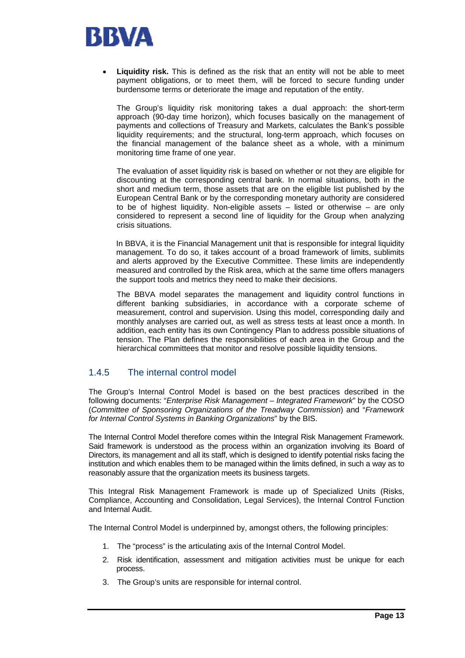

Liquidity risk. This is defined as the risk that an entity will not be able to meet payment obligations, or to meet them, will be forced to secure funding under burdensome terms or deteriorate the image and reputation of the entity.

The Group's liquidity risk monitoring takes a dual approach: the short-term approach (90-day time horizon), which focuses basically on the management of payments and collections of Treasury and Markets, calculates the Bank's possible liquidity requirements; and the structural, long-term approach, which focuses on the financial management of the balance sheet as a whole, with a minimum monitoring time frame of one year.

The evaluation of asset liquidity risk is based on whether or not they are eligible for discounting at the corresponding central bank. In normal situations, both in the short and medium term, those assets that are on the eligible list published by the European Central Bank or by the corresponding monetary authority are considered to be of highest liquidity. Non-eligible assets – listed or otherwise – are only considered to represent a second line of liquidity for the Group when analyzing crisis situations.

In BBVA, it is the Financial Management unit that is responsible for integral liquidity management. To do so, it takes account of a broad framework of limits, sublimits and alerts approved by the Executive Committee. These limits are independently measured and controlled by the Risk area, which at the same time offers managers the support tools and metrics they need to make their decisions.

The BBVA model separates the management and liquidity control functions in different banking subsidiaries, in accordance with a corporate scheme of measurement, control and supervision. Using this model, corresponding daily and monthly analyses are carried out, as well as stress tests at least once a month. In addition, each entity has its own Contingency Plan to address possible situations of tension. The Plan defines the responsibilities of each area in the Group and the hierarchical committees that monitor and resolve possible liquidity tensions.

## 1.4.5 The internal control model

The Group's Internal Control Model is based on the best practices described in the following documents: "*Enterprise Risk Management* – *Integrated Framework*" by the COSO (*Committee of Sponsoring Organizations of the Treadway Commission*) and "*Framework for Internal Control Systems in Banking Organizations*" by the BIS.

The Internal Control Model therefore comes within the Integral Risk Management Framework. Said framework is understood as the process within an organization involving its Board of Directors, its management and all its staff, which is designed to identify potential risks facing the institution and which enables them to be managed within the limits defined, in such a way as to reasonably assure that the organization meets its business targets.

This Integral Risk Management Framework is made up of Specialized Units (Risks, Compliance, Accounting and Consolidation, Legal Services), the Internal Control Function and Internal Audit.

The Internal Control Model is underpinned by, amongst others, the following principles:

- 1. The "process" is the articulating axis of the Internal Control Model.
- 2. Risk identification, assessment and mitigation activities must be unique for each process.
- 3. The Group's units are responsible for internal control.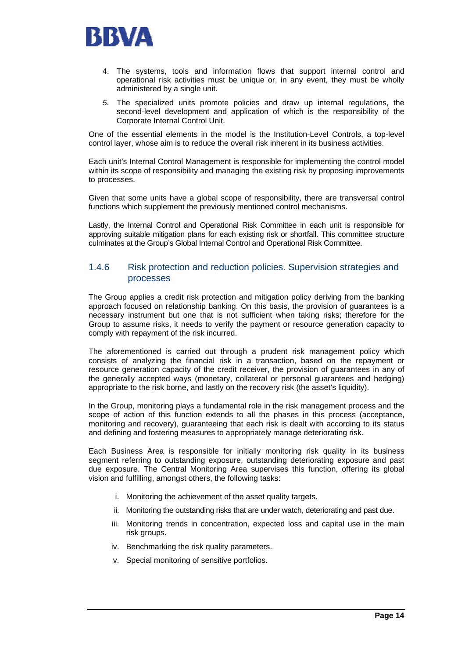

- 4. The systems, tools and information flows that support internal control and operational risk activities must be unique or, in any event, they must be wholly administered by a single unit.
- *5.* The specialized units promote policies and draw up internal regulations, the second-level development and application of which is the responsibility of the Corporate Internal Control Unit.

One of the essential elements in the model is the Institution-Level Controls, a top-level control layer, whose aim is to reduce the overall risk inherent in its business activities.

Each unit's Internal Control Management is responsible for implementing the control model within its scope of responsibility and managing the existing risk by proposing improvements to processes.

Given that some units have a global scope of responsibility, there are transversal control functions which supplement the previously mentioned control mechanisms.

Lastly, the Internal Control and Operational Risk Committee in each unit is responsible for approving suitable mitigation plans for each existing risk or shortfall. This committee structure culminates at the Group's Global Internal Control and Operational Risk Committee.

## 1.4.6 Risk protection and reduction policies. Supervision strategies and processes

The Group applies a credit risk protection and mitigation policy deriving from the banking approach focused on relationship banking. On this basis, the provision of guarantees is a necessary instrument but one that is not sufficient when taking risks; therefore for the Group to assume risks, it needs to verify the payment or resource generation capacity to comply with repayment of the risk incurred.

The aforementioned is carried out through a prudent risk management policy which consists of analyzing the financial risk in a transaction, based on the repayment or resource generation capacity of the credit receiver, the provision of guarantees in any of the generally accepted ways (monetary, collateral or personal guarantees and hedging) appropriate to the risk borne, and lastly on the recovery risk (the asset's liquidity).

In the Group, monitoring plays a fundamental role in the risk management process and the scope of action of this function extends to all the phases in this process (acceptance, monitoring and recovery), guaranteeing that each risk is dealt with according to its status and defining and fostering measures to appropriately manage deteriorating risk.

Each Business Area is responsible for initially monitoring risk quality in its business segment referring to outstanding exposure, outstanding deteriorating exposure and past due exposure. The Central Monitoring Area supervises this function, offering its global vision and fulfilling, amongst others, the following tasks:

- i. Monitoring the achievement of the asset quality targets.
- ii. Monitoring the outstanding risks that are under watch, deteriorating and past due.
- iii. Monitoring trends in concentration, expected loss and capital use in the main risk groups.
- iv. Benchmarking the risk quality parameters.
- v. Special monitoring of sensitive portfolios.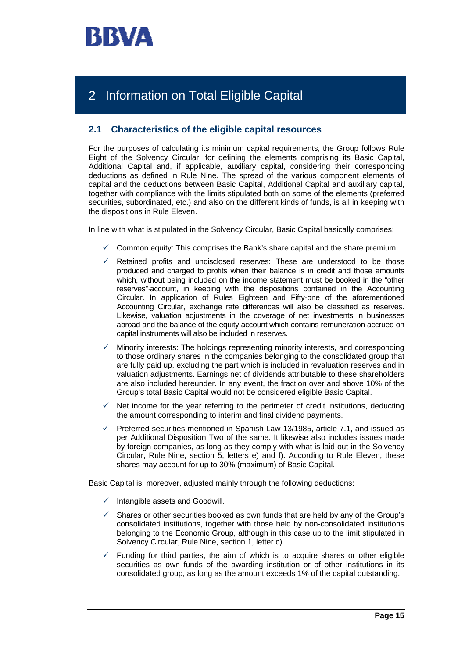

# 2 Information on Total Eligible Capital

## **2.1 Characteristics of the eligible capital resources**

For the purposes of calculating its minimum capital requirements, the Group follows Rule Eight of the Solvency Circular, for defining the elements comprising its Basic Capital, Additional Capital and, if applicable, auxiliary capital, considering their corresponding deductions as defined in Rule Nine. The spread of the various component elements of capital and the deductions between Basic Capital, Additional Capital and auxiliary capital, together with compliance with the limits stipulated both on some of the elements (preferred securities, subordinated, etc.) and also on the different kinds of funds, is all in keeping with the dispositions in Rule Eleven.

In line with what is stipulated in the Solvency Circular, Basic Capital basically comprises:

- $\checkmark$  Common equity: This comprises the Bank's share capital and the share premium.
- $\checkmark$  Retained profits and undisclosed reserves: These are understood to be those produced and charged to profits when their balance is in credit and those amounts which, without being included on the income statement must be booked in the "other reserves"·account, in keeping with the dispositions contained in the Accounting Circular. In application of Rules Eighteen and Fifty-one of the aforementioned Accounting Circular, exchange rate differences will also be classified as reserves. Likewise, valuation adjustments in the coverage of net investments in businesses abroad and the balance of the equity account which contains remuneration accrued on capital instruments will also be included in reserves.
- 9 Minority interests: The holdings representing minority interests, and corresponding to those ordinary shares in the companies belonging to the consolidated group that are fully paid up, excluding the part which is included in revaluation reserves and in valuation adjustments. Earnings net of dividends attributable to these shareholders are also included hereunder. In any event, the fraction over and above 10% of the Group's total Basic Capital would not be considered eligible Basic Capital.
- $\checkmark$  Net income for the year referring to the perimeter of credit institutions, deducting the amount corresponding to interim and final dividend payments.
- Preferred securities mentioned in Spanish Law 13/1985, article 7.1, and issued as per Additional Disposition Two of the same. It likewise also includes issues made by foreign companies, as long as they comply with what is laid out in the Solvency Circular, Rule Nine, section 5, letters e) and f). According to Rule Eleven, these shares may account for up to 30% (maximum) of Basic Capital.

Basic Capital is, moreover, adjusted mainly through the following deductions:

- $\checkmark$  Intangible assets and Goodwill.
- 9 Shares or other securities booked as own funds that are held by any of the Group's consolidated institutions, together with those held by non-consolidated institutions belonging to the Economic Group, although in this case up to the limit stipulated in Solvency Circular, Rule Nine, section 1, letter c).
- Funding for third parties, the aim of which is to acquire shares or other eligible securities as own funds of the awarding institution or of other institutions in its consolidated group, as long as the amount exceeds 1% of the capital outstanding.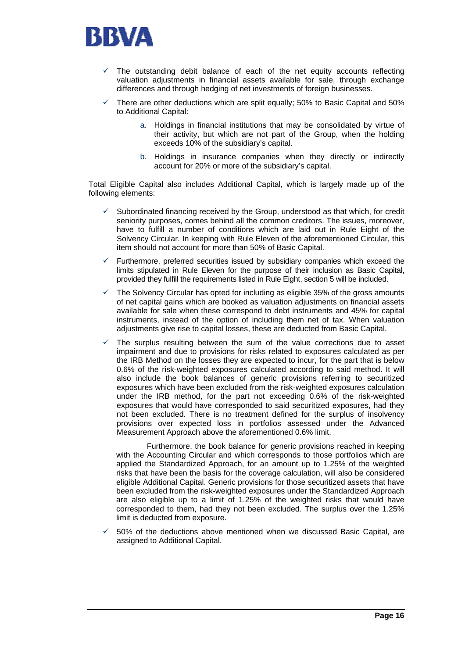

- $\checkmark$  The outstanding debit balance of each of the net equity accounts reflecting valuation adjustments in financial assets available for sale, through exchange differences and through hedging of net investments of foreign businesses.
- 9 There are other deductions which are split equally; 50% to Basic Capital and 50% to Additional Capital:
	- a. Holdings in financial institutions that may be consolidated by virtue of their activity, but which are not part of the Group, when the holding exceeds 10% of the subsidiary's capital.
	- b. Holdings in insurance companies when they directly or indirectly account for 20% or more of the subsidiary's capital.

Total Eligible Capital also includes Additional Capital, which is largely made up of the following elements:

- $\checkmark$  Subordinated financing received by the Group, understood as that which, for credit seniority purposes, comes behind all the common creditors. The issues, moreover, have to fulfill a number of conditions which are laid out in Rule Eight of the Solvency Circular. In keeping with Rule Eleven of the aforementioned Circular, this item should not account for more than 50% of Basic Capital.
- Furthermore, preferred securities issued by subsidiary companies which exceed the limits stipulated in Rule Eleven for the purpose of their inclusion as Basic Capital, provided they fulfill the requirements listed in Rule Eight, section 5 will be included.
- The Solvency Circular has opted for including as eligible 35% of the gross amounts of net capital gains which are booked as valuation adjustments on financial assets available for sale when these correspond to debt instruments and 45% for capital instruments, instead of the option of including them net of tax. When valuation adjustments give rise to capital losses, these are deducted from Basic Capital.
- The surplus resulting between the sum of the value corrections due to asset impairment and due to provisions for risks related to exposures calculated as per the IRB Method on the losses they are expected to incur, for the part that is below 0.6% of the risk-weighted exposures calculated according to said method. It will also include the book balances of generic provisions referring to securitized exposures which have been excluded from the risk-weighted exposures calculation under the IRB method, for the part not exceeding 0.6% of the risk-weighted exposures that would have corresponded to said securitized exposures, had they not been excluded. There is no treatment defined for the surplus of insolvency provisions over expected loss in portfolios assessed under the Advanced Measurement Approach above the aforementioned 0.6% limit.

 Furthermore, the book balance for generic provisions reached in keeping with the Accounting Circular and which corresponds to those portfolios which are applied the Standardized Approach, for an amount up to 1.25% of the weighted risks that have been the basis for the coverage calculation, will also be considered eligible Additional Capital. Generic provisions for those securitized assets that have been excluded from the risk-weighted exposures under the Standardized Approach are also eligible up to a limit of 1.25% of the weighted risks that would have corresponded to them, had they not been excluded. The surplus over the 1.25% limit is deducted from exposure.

9 50% of the deductions above mentioned when we discussed Basic Capital, are assigned to Additional Capital.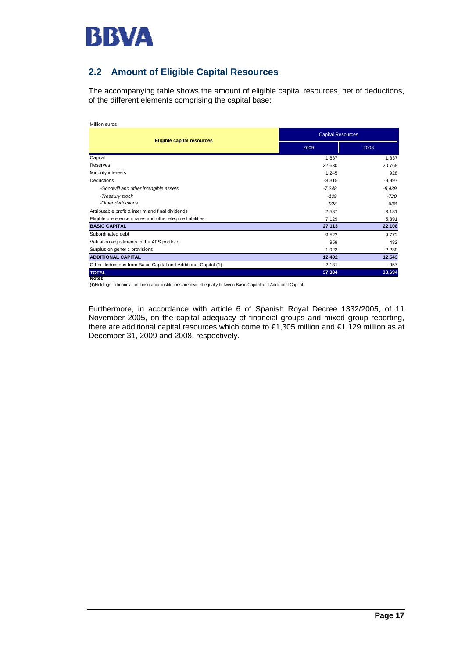

## **2.2 Amount of Eligible Capital Resources**

The accompanying table shows the amount of eligible capital resources, net of deductions, of the different elements comprising the capital base:

| Million euros                                                  |          |                          |  |  |  |
|----------------------------------------------------------------|----------|--------------------------|--|--|--|
|                                                                |          | <b>Capital Resources</b> |  |  |  |
| <b>Eligible capital resources</b>                              | 2009     | 2008                     |  |  |  |
| Capital                                                        | 1,837    | 1,837                    |  |  |  |
| Reserves                                                       | 22,630   | 20,768                   |  |  |  |
| Minority interests                                             | 1,245    | 928                      |  |  |  |
| Deductions                                                     | $-8,315$ | $-9,997$                 |  |  |  |
| -Goodwill and other intangible assets                          | $-7,248$ | $-8,439$                 |  |  |  |
| -Treasury stock                                                | $-1.39$  | $-720$                   |  |  |  |
| -Other deductions                                              | $-928$   | $-838$                   |  |  |  |
| Attributable profit & interim and final dividends              | 2,587    | 3,181                    |  |  |  |
| Eligible preference shares and other elegible liabilities      | 7,129    | 5,391                    |  |  |  |
| <b>BASIC CAPITAL</b>                                           | 27,113   | 22,108                   |  |  |  |
| Subordinated debt                                              | 9,522    | 9,772                    |  |  |  |
| Valuation adjustments in the AFS portfolio                     | 959      | 482                      |  |  |  |
| Surplus on generic provisions                                  | 1,922    | 2,289                    |  |  |  |
| <b>ADDITIONAL CAPITAL</b>                                      | 12,402   | 12,543                   |  |  |  |
| Other deductions from Basic Capital and Additional Capital (1) | $-2,131$ | $-957$                   |  |  |  |
| <b>TOTAL</b>                                                   | 37,384   | 33,694                   |  |  |  |
| <b>Notes</b>                                                   |          |                          |  |  |  |

**(1)**Holdings in financial and insurance institutions are divided equally between Basic Capital and Additional Capital.

Furthermore, in accordance with article 6 of Spanish Royal Decree 1332/2005, of 11 November 2005, on the capital adequacy of financial groups and mixed group reporting, there are additional capital resources which come to €1,305 million and €1,129 million as at December 31, 2009 and 2008, respectively.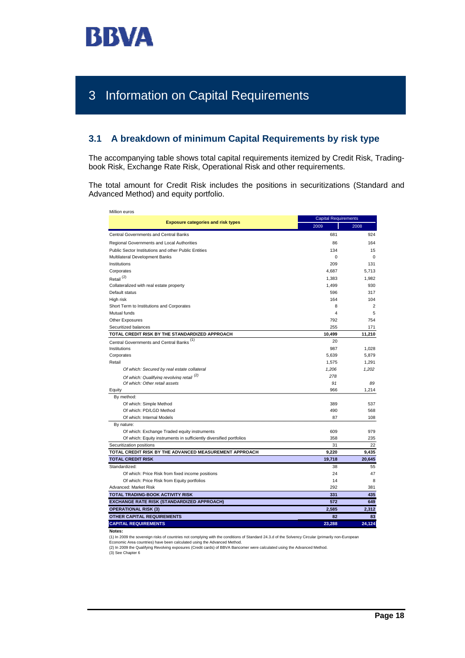

# 3 Information on Capital Requirements

## **3.1 A breakdown of minimum Capital Requirements by risk type**

The accompanying table shows total capital requirements itemized by Credit Risk, Tradingbook Risk, Exchange Rate Risk, Operational Risk and other requirements.

The total amount for Credit Risk includes the positions in securitizations (Standard and Advanced Method) and equity portfolio.

| Million euros                                                       |          | <b>Capital Requirements</b> |  |  |
|---------------------------------------------------------------------|----------|-----------------------------|--|--|
| <b>Exposure categories and risk types</b>                           | 2009     | 2008                        |  |  |
| Central Governments and Central Banks                               | 681      | 924                         |  |  |
| Regional Governments and Local Authorities                          | 86       | 164                         |  |  |
| Public Sector Institutions and other Public Entities                | 134      | 15                          |  |  |
| Multilateral Development Banks                                      | $\Omega$ | $\Omega$                    |  |  |
| Institutions                                                        | 209      | 131                         |  |  |
| Corporates                                                          | 4,687    | 5,713                       |  |  |
| Retail <sup>(2)</sup>                                               | 1,383    | 1,982                       |  |  |
| Collateralized with real estate property                            | 1,499    | 930                         |  |  |
| Default status                                                      | 596      | 317                         |  |  |
| High risk                                                           | 164      | 104                         |  |  |
| Short Term to Institutions and Corporates                           | 8        | $\overline{2}$              |  |  |
| Mutual funds                                                        | 4        | 5                           |  |  |
| Other Exposures                                                     | 792      | 754                         |  |  |
| Securitized balances                                                | 255      | 171                         |  |  |
| TOTAL CREDIT RISK BY THE STANDARDIZED APPROACH                      | 10,499   | 11,210                      |  |  |
| Central Governments and Central Banks <sup>(1)</sup>                | 20       |                             |  |  |
| Institutions                                                        | 987      | 1.028                       |  |  |
| Corporates                                                          | 5,639    | 5,879                       |  |  |
| Retail                                                              | 1,575    | 1,291                       |  |  |
| Of which: Secured by real estate collateral                         | 1,206    | 1,202                       |  |  |
| Of which: Qualifying revolving retail <sup>(2)</sup>                | 278      |                             |  |  |
| Of which: Other retail assets                                       | 91       | 89                          |  |  |
| Equity                                                              | 966      | 1.214                       |  |  |
| By method:                                                          |          |                             |  |  |
| Of which: Simple Method                                             | 389      | 537                         |  |  |
| Of which: PD/LGD Method                                             | 490      | 568                         |  |  |
| Of which: Internal Models                                           | 87       | 108                         |  |  |
| By nature:                                                          |          |                             |  |  |
| Of which: Exchange Traded equity instruments                        | 609      | 979                         |  |  |
| Of which: Equity instruments in sufficiently diversified portfolios | 358      | 235                         |  |  |
| Securitization positions                                            | 31       | 22                          |  |  |
| TOTAL CREDIT RISK BY THE ADVANCED MEASUREMENT APPROACH              | 9.220    | 9.435                       |  |  |
| <b>TOTAL CREDIT RISK</b>                                            | 19,718   | 20,645                      |  |  |
| Standardized:                                                       | 38       | 55                          |  |  |
| Of which: Price Risk from fixed income positions                    | 24       | 47                          |  |  |
| Of which: Price Risk from Equity portfolios                         | 14       | 8                           |  |  |
| Advanced: Market Risk                                               | 292      | 381                         |  |  |
| TOTAL TRADING-BOOK ACTIVITY RISK                                    | 331      | 435                         |  |  |
| EXCHANGE RATE RISK (STANDARDIZED APPROACH)                          | 572      | 649                         |  |  |
| <b>OPERATIONAL RISK (3)</b>                                         | 2,585    | 2,312                       |  |  |
| <b>OTHER CAPITAL REQUIREMENTS</b>                                   | 82       | 83                          |  |  |
| <b>CAPITAL REQUIREMENTS</b>                                         | 23,288   | 24,124                      |  |  |
|                                                                     |          |                             |  |  |

**Notes:**

(1) In 2009 the sovereign risks of countries not complying with the conditions of Standard 24.3.d of the Solvency Circular (primarily non-European<br>Economic Area countries) have been calculated using the Advanced Method.

(2) In 2009 the Qualifying Revolving exposures (Credit cards) of BBVA Bancomer were calculated using the Advanced Method.<br>(3) See Chapter 6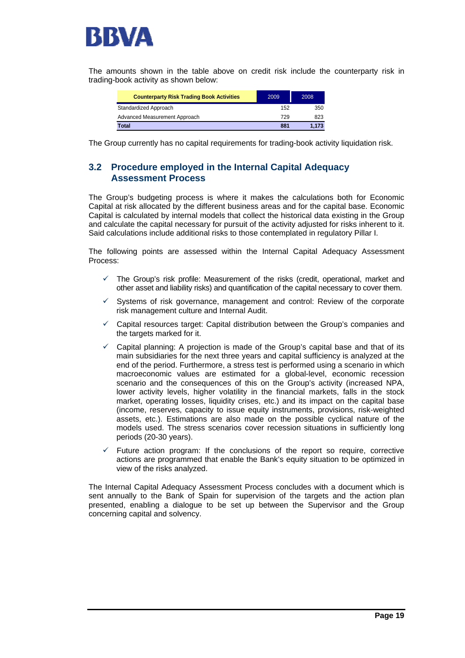

The amounts shown in the table above on credit risk include the counterparty risk in trading-book activity as shown below:

| <b>Counterparty Risk Trading Book Activities</b> | 2009 | 2008  |
|--------------------------------------------------|------|-------|
| Standardized Approach                            | 152  | 350   |
| Advanced Measurement Approach                    | 729  | 823   |
| Total                                            | 881  | 1.173 |

The Group currently has no capital requirements for trading-book activity liquidation risk.

## **3.2 Procedure employed in the Internal Capital Adequacy Assessment Process**

The Group's budgeting process is where it makes the calculations both for Economic Capital at risk allocated by the different business areas and for the capital base. Economic Capital is calculated by internal models that collect the historical data existing in the Group and calculate the capital necessary for pursuit of the activity adjusted for risks inherent to it. Said calculations include additional risks to those contemplated in regulatory Pillar I.

The following points are assessed within the Internal Capital Adequacy Assessment Process:

- The Group's risk profile: Measurement of the risks (credit, operational, market and other asset and liability risks) and quantification of the capital necessary to cover them.
- $\checkmark$  Systems of risk governance, management and control: Review of the corporate risk management culture and Internal Audit.
- $\checkmark$  Capital resources target: Capital distribution between the Group's companies and the targets marked for it.
- Capital planning: A projection is made of the Group's capital base and that of its main subsidiaries for the next three years and capital sufficiency is analyzed at the end of the period. Furthermore, a stress test is performed using a scenario in which macroeconomic values are estimated for a global-level, economic recession scenario and the consequences of this on the Group's activity (increased NPA, lower activity levels, higher volatility in the financial markets, falls in the stock market, operating losses, liquidity crises, etc.) and its impact on the capital base (income, reserves, capacity to issue equity instruments, provisions, risk-weighted assets, etc.). Estimations are also made on the possible cyclical nature of the models used. The stress scenarios cover recession situations in sufficiently long periods (20-30 years).
- Future action program: If the conclusions of the report so require, corrective actions are programmed that enable the Bank's equity situation to be optimized in view of the risks analyzed.

The Internal Capital Adequacy Assessment Process concludes with a document which is sent annually to the Bank of Spain for supervision of the targets and the action plan presented, enabling a dialogue to be set up between the Supervisor and the Group concerning capital and solvency.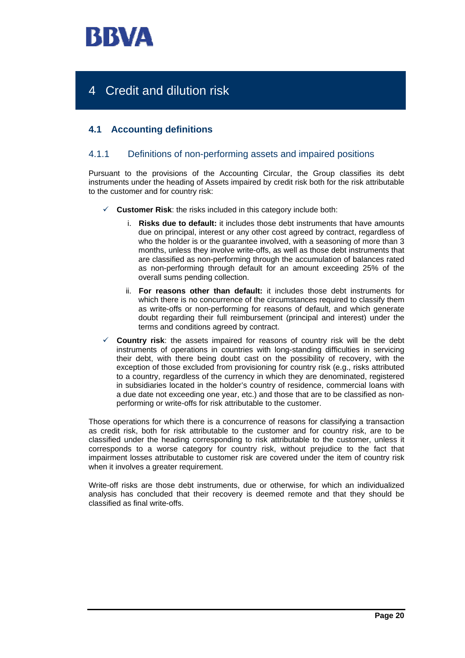

# 4 Credit and dilution risk

## **4.1 Accounting definitions**

## 4.1.1 Definitions of non-performing assets and impaired positions

Pursuant to the provisions of the Accounting Circular, the Group classifies its debt instruments under the heading of Assets impaired by credit risk both for the risk attributable to the customer and for country risk:

- **Customer Risk:** the risks included in this category include both:
	- i. **Risks due to default:** it includes those debt instruments that have amounts due on principal, interest or any other cost agreed by contract, regardless of who the holder is or the guarantee involved, with a seasoning of more than 3 months, unless they involve write-offs, as well as those debt instruments that are classified as non-performing through the accumulation of balances rated as non-performing through default for an amount exceeding 25% of the overall sums pending collection.
	- ii. **For reasons other than default:** it includes those debt instruments for which there is no concurrence of the circumstances required to classify them as write-offs or non-performing for reasons of default, and which generate doubt regarding their full reimbursement (principal and interest) under the terms and conditions agreed by contract.
- **Country risk**: the assets impaired for reasons of country risk will be the debt instruments of operations in countries with long-standing difficulties in servicing their debt, with there being doubt cast on the possibility of recovery, with the exception of those excluded from provisioning for country risk (e.g., risks attributed to a country, regardless of the currency in which they are denominated, registered in subsidiaries located in the holder's country of residence, commercial loans with a due date not exceeding one year, etc.) and those that are to be classified as nonperforming or write-offs for risk attributable to the customer.

Those operations for which there is a concurrence of reasons for classifying a transaction as credit risk, both for risk attributable to the customer and for country risk, are to be classified under the heading corresponding to risk attributable to the customer, unless it corresponds to a worse category for country risk, without prejudice to the fact that impairment losses attributable to customer risk are covered under the item of country risk when it involves a greater requirement.

Write-off risks are those debt instruments, due or otherwise, for which an individualized analysis has concluded that their recovery is deemed remote and that they should be classified as final write-offs.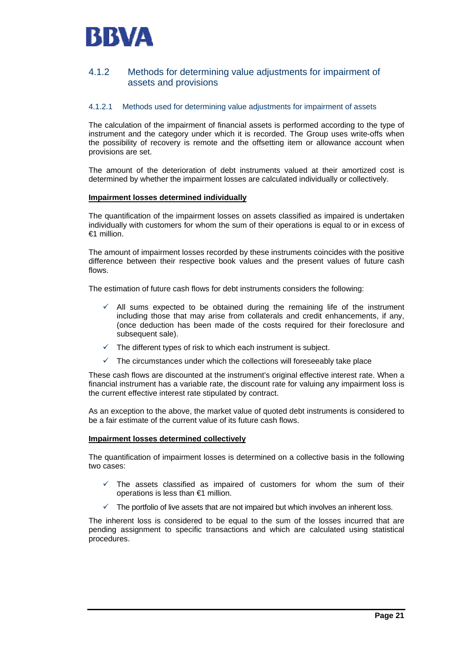

## 4.1.2 Methods for determining value adjustments for impairment of assets and provisions

#### 4.1.2.1 Methods used for determining value adjustments for impairment of assets

The calculation of the impairment of financial assets is performed according to the type of instrument and the category under which it is recorded. The Group uses write-offs when the possibility of recovery is remote and the offsetting item or allowance account when provisions are set.

The amount of the deterioration of debt instruments valued at their amortized cost is determined by whether the impairment losses are calculated individually or collectively.

#### **Impairment losses determined individually**

The quantification of the impairment losses on assets classified as impaired is undertaken individually with customers for whom the sum of their operations is equal to or in excess of €1 million.

The amount of impairment losses recorded by these instruments coincides with the positive difference between their respective book values and the present values of future cash flows.

The estimation of future cash flows for debt instruments considers the following:

- All sums expected to be obtained during the remaining life of the instrument including those that may arise from collaterals and credit enhancements, if any, (once deduction has been made of the costs required for their foreclosure and subsequent sale).
- $\checkmark$  The different types of risk to which each instrument is subject.
- $\checkmark$  The circumstances under which the collections will foreseeably take place

These cash flows are discounted at the instrument's original effective interest rate. When a financial instrument has a variable rate, the discount rate for valuing any impairment loss is the current effective interest rate stipulated by contract.

As an exception to the above, the market value of quoted debt instruments is considered to be a fair estimate of the current value of its future cash flows.

#### **Impairment losses determined collectively**

The quantification of impairment losses is determined on a collective basis in the following two cases:

- $\checkmark$  The assets classified as impaired of customers for whom the sum of their operations is less than €1 million.
- The portfolio of live assets that are not impaired but which involves an inherent loss.

The inherent loss is considered to be equal to the sum of the losses incurred that are pending assignment to specific transactions and which are calculated using statistical procedures.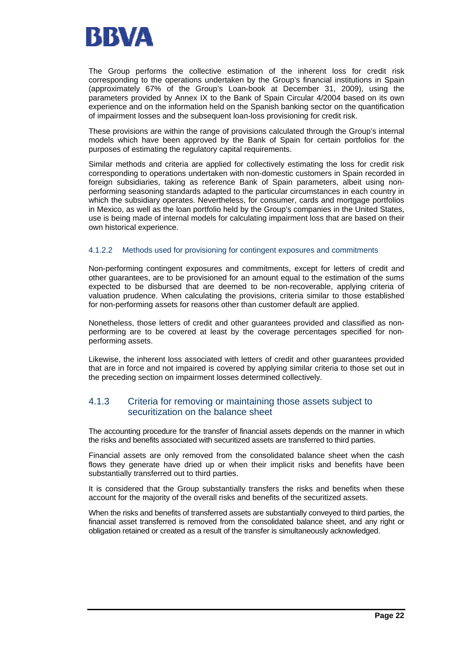

The Group performs the collective estimation of the inherent loss for credit risk corresponding to the operations undertaken by the Group's financial institutions in Spain (approximately 67% of the Group's Loan-book at December 31, 2009), using the parameters provided by Annex IX to the Bank of Spain Circular 4/2004 based on its own experience and on the information held on the Spanish banking sector on the quantification of impairment losses and the subsequent loan-loss provisioning for credit risk.

These provisions are within the range of provisions calculated through the Group's internal models which have been approved by the Bank of Spain for certain portfolios for the purposes of estimating the regulatory capital requirements.

Similar methods and criteria are applied for collectively estimating the loss for credit risk corresponding to operations undertaken with non-domestic customers in Spain recorded in foreign subsidiaries, taking as reference Bank of Spain parameters, albeit using nonperforming seasoning standards adapted to the particular circumstances in each country in which the subsidiary operates. Nevertheless, for consumer, cards and mortgage portfolios in Mexico, as well as the loan portfolio held by the Group's companies in the United States, use is being made of internal models for calculating impairment loss that are based on their own historical experience.

#### 4.1.2.2 Methods used for provisioning for contingent exposures and commitments

Non-performing contingent exposures and commitments, except for letters of credit and other guarantees, are to be provisioned for an amount equal to the estimation of the sums expected to be disbursed that are deemed to be non-recoverable, applying criteria of valuation prudence. When calculating the provisions, criteria similar to those established for non-performing assets for reasons other than customer default are applied.

Nonetheless, those letters of credit and other guarantees provided and classified as nonperforming are to be covered at least by the coverage percentages specified for nonperforming assets.

Likewise, the inherent loss associated with letters of credit and other guarantees provided that are in force and not impaired is covered by applying similar criteria to those set out in the preceding section on impairment losses determined collectively.

## 4.1.3 Criteria for removing or maintaining those assets subject to securitization on the balance sheet

The accounting procedure for the transfer of financial assets depends on the manner in which the risks and benefits associated with securitized assets are transferred to third parties.

Financial assets are only removed from the consolidated balance sheet when the cash flows they generate have dried up or when their implicit risks and benefits have been substantially transferred out to third parties.

It is considered that the Group substantially transfers the risks and benefits when these account for the majority of the overall risks and benefits of the securitized assets.

When the risks and benefits of transferred assets are substantially conveyed to third parties, the financial asset transferred is removed from the consolidated balance sheet, and any right or obligation retained or created as a result of the transfer is simultaneously acknowledged.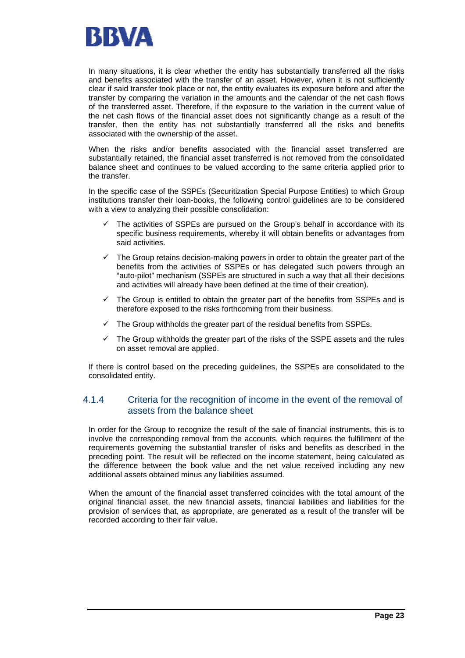

In many situations, it is clear whether the entity has substantially transferred all the risks and benefits associated with the transfer of an asset. However, when it is not sufficiently clear if said transfer took place or not, the entity evaluates its exposure before and after the transfer by comparing the variation in the amounts and the calendar of the net cash flows of the transferred asset. Therefore, if the exposure to the variation in the current value of the net cash flows of the financial asset does not significantly change as a result of the transfer, then the entity has not substantially transferred all the risks and benefits associated with the ownership of the asset.

When the risks and/or benefits associated with the financial asset transferred are substantially retained, the financial asset transferred is not removed from the consolidated balance sheet and continues to be valued according to the same criteria applied prior to the transfer.

In the specific case of the SSPEs (Securitization Special Purpose Entities) to which Group institutions transfer their loan-books, the following control guidelines are to be considered with a view to analyzing their possible consolidation:

- The activities of SSPEs are pursued on the Group's behalf in accordance with its specific business requirements, whereby it will obtain benefits or advantages from said activities.
- The Group retains decision-making powers in order to obtain the greater part of the benefits from the activities of SSPEs or has delegated such powers through an "auto-pilot" mechanism (SSPEs are structured in such a way that all their decisions and activities will already have been defined at the time of their creation).
- $\checkmark$  The Group is entitled to obtain the greater part of the benefits from SSPEs and is therefore exposed to the risks forthcoming from their business.
- $\checkmark$  The Group withholds the greater part of the residual benefits from SSPEs.
- $\checkmark$  The Group withholds the greater part of the risks of the SSPE assets and the rules on asset removal are applied.

If there is control based on the preceding guidelines, the SSPEs are consolidated to the consolidated entity.

## 4.1.4 Criteria for the recognition of income in the event of the removal of assets from the balance sheet

In order for the Group to recognize the result of the sale of financial instruments, this is to involve the corresponding removal from the accounts, which requires the fulfillment of the requirements governing the substantial transfer of risks and benefits as described in the preceding point. The result will be reflected on the income statement, being calculated as the difference between the book value and the net value received including any new additional assets obtained minus any liabilities assumed.

When the amount of the financial asset transferred coincides with the total amount of the original financial asset, the new financial assets, financial liabilities and liabilities for the provision of services that, as appropriate, are generated as a result of the transfer will be recorded according to their fair value.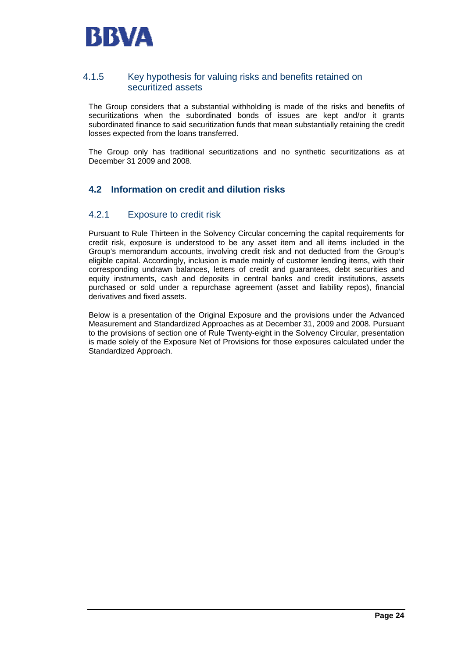

## 4.1.5 Key hypothesis for valuing risks and benefits retained on securitized assets

The Group considers that a substantial withholding is made of the risks and benefits of securitizations when the subordinated bonds of issues are kept and/or it grants subordinated finance to said securitization funds that mean substantially retaining the credit losses expected from the loans transferred.

The Group only has traditional securitizations and no synthetic securitizations as at December 31 2009 and 2008.

## **4.2 Information on credit and dilution risks**

## 4.2.1 Exposure to credit risk

Pursuant to Rule Thirteen in the Solvency Circular concerning the capital requirements for credit risk, exposure is understood to be any asset item and all items included in the Group's memorandum accounts, involving credit risk and not deducted from the Group's eligible capital. Accordingly, inclusion is made mainly of customer lending items, with their corresponding undrawn balances, letters of credit and guarantees, debt securities and equity instruments, cash and deposits in central banks and credit institutions, assets purchased or sold under a repurchase agreement (asset and liability repos), financial derivatives and fixed assets.

Below is a presentation of the Original Exposure and the provisions under the Advanced Measurement and Standardized Approaches as at December 31, 2009 and 2008. Pursuant to the provisions of section one of Rule Twenty-eight in the Solvency Circular, presentation is made solely of the Exposure Net of Provisions for those exposures calculated under the Standardized Approach.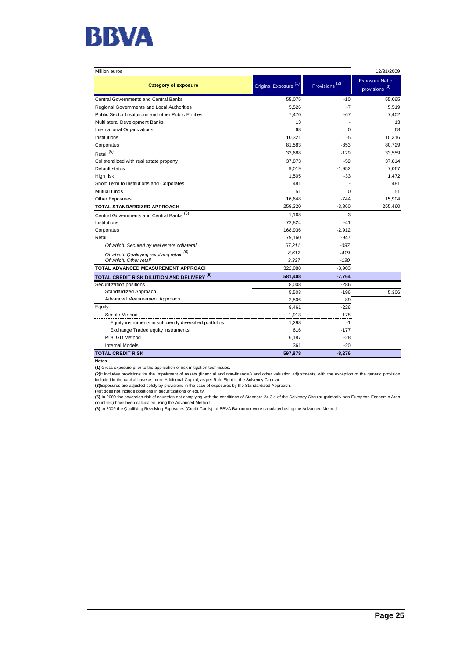

| Million euros                                             |                                  |                           | 12/31/2009                                          |  |
|-----------------------------------------------------------|----------------------------------|---------------------------|-----------------------------------------------------|--|
| <b>Category of exposure</b>                               | Original Exposure <sup>(1)</sup> | Provisions <sup>(2)</sup> | <b>Exposure Net of</b><br>provisions <sup>(3)</sup> |  |
| <b>Central Governments and Central Banks</b>              | 55,075                           | $-10$                     | 55.065                                              |  |
| Regional Governments and Local Authorities                | 5,526                            | $-7$                      | 5,519                                               |  |
| Public Sector Institutions and other Public Entities      | 7,470                            | -67                       | 7,402                                               |  |
| Multilateral Development Banks                            | 13                               |                           | 13                                                  |  |
| International Organizations                               | 68                               | $\Omega$                  | 68                                                  |  |
| Institutions                                              | 10,321                           | $-5$                      | 10,316                                              |  |
| Corporates                                                | 81,583                           | $-853$                    | 80.729                                              |  |
| Retail <sup>(6)</sup>                                     | 33,688                           | $-129$                    | 33,559                                              |  |
| Collateralized with real estate property                  | 37,873                           | $-59$                     | 37,814                                              |  |
| Default status                                            | 9,019                            | $-1.952$                  | 7.067                                               |  |
| High risk                                                 | 1,505                            | $-33$                     | 1,472                                               |  |
| Short Term to Institutions and Corporates                 | 481                              |                           | 481                                                 |  |
| Mutual funds                                              | 51                               | $\Omega$                  | 51                                                  |  |
| <b>Other Exposures</b>                                    | 16,648                           | $-744$                    | 15,904                                              |  |
| TOTAL STANDARDIZED APPROACH                               | 259,320                          | $-3,860$                  | 255,460                                             |  |
| Central Governments and Central Banks <sup>(5)</sup>      | 1,168                            | -3                        |                                                     |  |
| Institutions                                              | 72,824                           | $-41$                     |                                                     |  |
| Corporates                                                | 168,936                          | $-2,912$                  |                                                     |  |
| Retail                                                    | 79,160                           | $-947$                    |                                                     |  |
| Of which: Secured by real estate collateral               | 67,211                           | $-397$                    |                                                     |  |
| Of which: Qualifying revolving retail (6)                 | 8,612                            | $-419$                    |                                                     |  |
| Of which: Other retail                                    | 3,337                            | $-130$                    |                                                     |  |
| TOTAL ADVANCED MEASUREMENT APPROACH                       | 322,088                          | $-3,903$                  |                                                     |  |
| <b>TOTAL CREDIT RISK DILUTION AND DELIVERY (5)</b>        | 581,408                          | $-7,764$                  |                                                     |  |
| Securitization positions                                  | 8,008                            | $-286$                    |                                                     |  |
| Standardized Approach                                     | 5,503                            | $-196$                    | 5,306                                               |  |
| Advanced Measurement Approach                             | 2,506                            | -89                       |                                                     |  |
| Equity                                                    | 8,461                            | $-226$                    |                                                     |  |
| Simple Method                                             | 1,913                            | $-178$                    |                                                     |  |
| Equity instruments in sufficiently diversified portfolios | 1,298                            | $-1$                      |                                                     |  |
| Exchange Traded equity instruments                        | 616                              | $-177$                    |                                                     |  |
| PD/LGD Method                                             | 6,187                            | $-28$                     |                                                     |  |
| <b>Internal Models</b>                                    | 361                              | $-20$                     |                                                     |  |
| <b>TOTAL CREDIT RISK</b>                                  | 597,878                          | $-8,276$                  |                                                     |  |

**Notes**

**(1)** Gross exposure prior to the application of risk mitigation techniques.

**(2)**It includes provisions for the Impairment of assets (financial and non-financial) and other valuation adjustments, with the exception of the generic provision<br>included in the capital base as more Additional Capital, a

**(3)**Exposures are adjusted solely by provisions in the case of exposures by the Standardized Approach.<br>**(4)I**t does not include positions in securitizations or equity.<br>**(5)** In 2009 the sovereign risk of countries not com countries) have been calculated using the Advanced Method.

**(6)** In 2009 the Qualifying Revolving Exposures (Credit Cards) of BBVA Bancomer were calculated using the Advanced Method.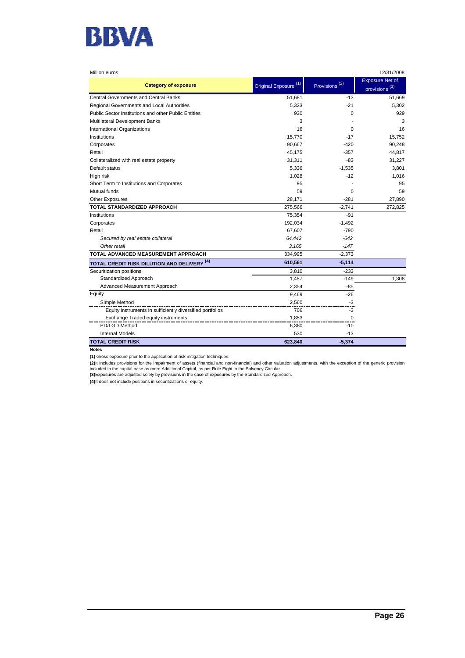

| Million euros                                             |                                 |                           | 12/31/2008                                          |
|-----------------------------------------------------------|---------------------------------|---------------------------|-----------------------------------------------------|
| <b>Category of exposure</b>                               | Original Exposure <sup>(1</sup> | Provisions <sup>(2)</sup> | <b>Exposure Net of</b><br>provisions <sup>(3)</sup> |
| <b>Central Governments and Central Banks</b>              | 51,681                          | $-13$                     | 51,669                                              |
| Regional Governments and Local Authorities                | 5,323                           | $-21$                     | 5,302                                               |
| Public Sector Institutions and other Public Entities      | 930                             | 0                         | 929                                                 |
| Multilateral Development Banks                            | 3                               |                           | 3                                                   |
| International Organizations                               | 16                              | $\Omega$                  | 16                                                  |
| Institutions                                              | 15,770                          | $-17$                     | 15,752                                              |
| Corporates                                                | 90,667                          | -420                      | 90,248                                              |
| Retail                                                    | 45,175                          | $-357$                    | 44,817                                              |
| Collateralized with real estate property                  | 31,311                          | $-83$                     | 31,227                                              |
| Default status                                            | 5,336                           | $-1,535$                  | 3,801                                               |
| High risk                                                 | 1,028                           | $-12$                     | 1,016                                               |
| Short Term to Institutions and Corporates                 | 95                              |                           | 95                                                  |
| Mutual funds                                              | 59                              | $\Omega$                  | 59                                                  |
| <b>Other Exposures</b>                                    | 28,171                          | $-281$                    | 27,890                                              |
| TOTAL STANDARDIZED APPROACH                               | 275,566                         | $-2,741$                  | 272,825                                             |
| Institutions                                              | 75,354                          | $-91$                     |                                                     |
| Corporates                                                | 192,034                         | $-1,492$                  |                                                     |
| Retail                                                    | 67,607                          | $-790$                    |                                                     |
| Secured by real estate collateral                         | 64,442                          | $-642$                    |                                                     |
| Other retail                                              | 3,165                           | $-147$                    |                                                     |
| TOTAL ADVANCED MEASUREMENT APPROACH                       | 334,995                         | $-2,373$                  |                                                     |
| <b>TOTAL CREDIT RISK DILUTION AND DELIVERY (4)</b>        | 610,561                         | $-5,114$                  |                                                     |
| Securitization positions                                  | 3,810                           | -233                      |                                                     |
| Standardized Approach                                     | 1,457                           | $-149$                    | 1,308                                               |
| Advanced Measurement Approach                             | 2,354                           | $-85$                     |                                                     |
| Equity                                                    | 9,469                           | $-26$                     |                                                     |
| Simple Method                                             | 2,560                           | -3                        |                                                     |
| Equity instruments in sufficiently diversified portfolios | 706                             | $-3$                      |                                                     |
| Exchange Traded equity instruments                        | 1,853                           | $\mathbf 0$               |                                                     |
| PD/LGD Method                                             | 6,380                           | $-10$                     |                                                     |
| <b>Internal Models</b>                                    | 530                             | $-13$                     |                                                     |
| <b>TOTAL CREDIT RISK</b>                                  | 623,840                         | $-5,374$                  |                                                     |
| <b>Notes</b>                                              |                                 |                           |                                                     |

**(1)** Gross exposure prior to the application of risk mitigation techniques.

**(2)**It includes provisions for the Impairment of assets (financial and non-financial) and other valuation adjustments, with the exception of the generic provision<br>included in the capital base as more Additional Capital, a

**(3)**Exposures are adjusted solely by provisions in the case of exposures by the Standardized Approach.

**(4)**It does not include positions in securitizations or equity.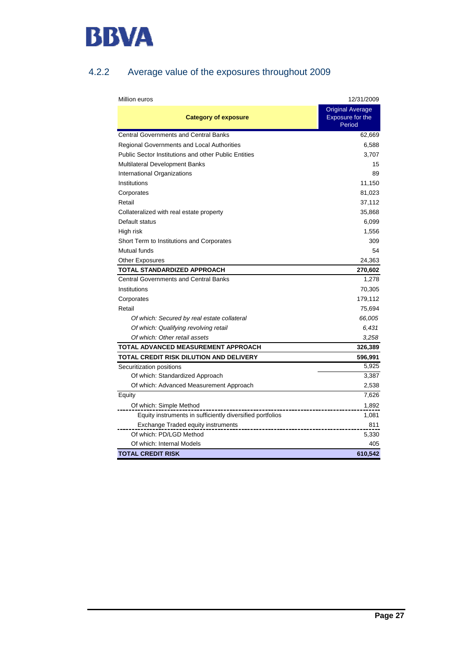

## 4.2.2 Average value of the exposures throughout 2009

| Million euros                                               | 12/31/2009                                            |
|-------------------------------------------------------------|-------------------------------------------------------|
| <b>Category of exposure</b>                                 | <b>Original Average</b><br>Exposure for the<br>Period |
| <b>Central Governments and Central Banks</b>                | 62,669                                                |
| <b>Regional Governments and Local Authorities</b>           | 6,588                                                 |
| <b>Public Sector Institutions and other Public Entities</b> | 3,707                                                 |
| <b>Multilateral Development Banks</b>                       | 15                                                    |
| International Organizations                                 | 89                                                    |
| Institutions                                                | 11,150                                                |
| Corporates                                                  | 81,023                                                |
| Retail                                                      | 37,112                                                |
| Collateralized with real estate property                    | 35,868                                                |
| Default status                                              | 6,099                                                 |
| High risk                                                   | 1,556                                                 |
| Short Term to Institutions and Corporates                   | 309                                                   |
| Mutual funds                                                | 54                                                    |
| <b>Other Exposures</b>                                      | 24,363                                                |
| TOTAL STANDARDIZED APPROACH                                 | 270,602                                               |
| <b>Central Governments and Central Banks</b>                | 1,278                                                 |
| Institutions                                                | 70,305                                                |
| Corporates                                                  | 179,112                                               |
| Retail                                                      | 75,694                                                |
| Of which: Secured by real estate collateral                 | 66,005                                                |
| Of which: Qualifying revolving retail                       | 6,431                                                 |
| Of which: Other retail assets                               | 3,258                                                 |
| TOTAL ADVANCED MEASUREMENT APPROACH                         | 326,389                                               |
| TOTAL CREDIT RISK DILUTION AND DELIVERY                     | 596,991                                               |
| Securitization positions                                    | 5,925                                                 |
| Of which: Standardized Approach                             | 3,387                                                 |
| Of which: Advanced Measurement Approach                     | 2,538                                                 |
| Equity                                                      | 7,626                                                 |
| Of which: Simple Method                                     | 1,892                                                 |
| Equity instruments in sufficiently diversified portfolios   | 1,081                                                 |
| Exchange Traded equity instruments                          | 811                                                   |
| Of which: PD/LGD Method                                     | 5,330                                                 |
| Of which: Internal Models                                   | 405                                                   |
| <b>TOTAL CREDIT RISK</b>                                    | 610,542                                               |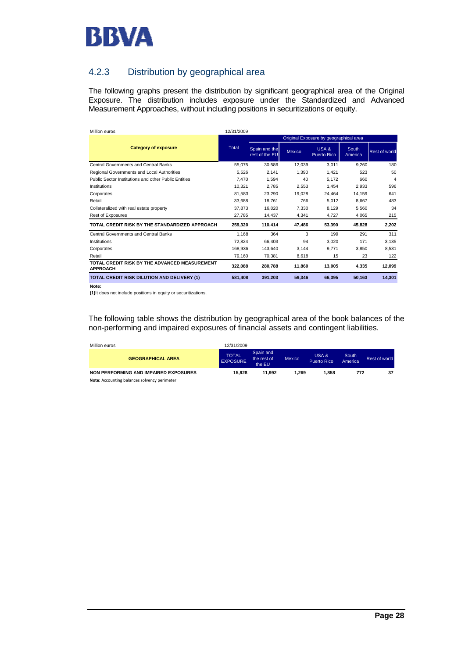

## 4.2.3 Distribution by geographical area

The following graphs present the distribution by significant geographical area of the Original Exposure. The distribution includes exposure under the Standardized and Advanced Measurement Approaches, without including positions in securitizations or equity.

| Million euros                                                    | 12/31/2009 |                                        |               |                            |                  |                      |  |  |
|------------------------------------------------------------------|------------|----------------------------------------|---------------|----------------------------|------------------|----------------------|--|--|
|                                                                  |            | Original Exposure by geographical area |               |                            |                  |                      |  |  |
| <b>Category of exposure</b>                                      | Total      | Spain and the<br>rest of the EU        | <b>Mexico</b> | USA&<br><b>Puerto Rico</b> | South<br>America | <b>Rest of world</b> |  |  |
| Central Governments and Central Banks                            | 55.075     | 30.586                                 | 12.039        | 3.011                      | 9.260            | 180                  |  |  |
| Regional Governments and Local Authorities                       | 5.526      | 2.141                                  | 1.390         | 1.421                      | 523              | 50                   |  |  |
| Public Sector Institutions and other Public Entities             | 7.470      | 1.594                                  | 40            | 5.172                      | 660              | 4                    |  |  |
| Institutions                                                     | 10.321     | 2.785                                  | 2,553         | 1.454                      | 2.933            | 596                  |  |  |
| Corporates                                                       | 81,583     | 23,290                                 | 19,028        | 24.464                     | 14.159           | 641                  |  |  |
| Retail                                                           | 33.688     | 18.761                                 | 766           | 5.012                      | 8.667            | 483                  |  |  |
| Collateralized with real estate property                         | 37.873     | 16.820                                 | 7.330         | 8.129                      | 5.560            | 34                   |  |  |
| <b>Rest of Exposures</b>                                         | 27.785     | 14,437                                 | 4,341         | 4,727                      | 4,065            | 215                  |  |  |
| TOTAL CREDIT RISK BY THE STANDARDIZED APPROACH                   | 259,320    | 110,414                                | 47.486        | 53,390                     | 45,828           | 2,202                |  |  |
| <b>Central Governments and Central Banks</b>                     | 1,168      | 364                                    | 3             | 199                        | 291              | 311                  |  |  |
| Institutions                                                     | 72,824     | 66.403                                 | 94            | 3,020                      | 171              | 3,135                |  |  |
| Corporates                                                       | 168.936    | 143.640                                | 3,144         | 9,771                      | 3,850            | 8,531                |  |  |
| Retail                                                           | 79,160     | 70,381                                 | 8,618         | 15                         | 23               | 122                  |  |  |
| TOTAL CREDIT RISK BY THE ADVANCED MEASUREMENT<br><b>APPROACH</b> | 322,088    | 280.788                                | 11.860        | 13.005                     | 4,335            | 12,099               |  |  |
| <b>TOTAL CREDIT RISK DILUTION AND DELIVERY (1)</b>               | 581,408    | 391,203                                | 59,346        | 66,395                     | 50,163           | 14,301               |  |  |

**Note:**

**(1)**It does not include positions in equity or securitizations.

The following table shows the distribution by geographical area of the book balances of the non-performing and impaired exposures of financial assets and contingent liabilities.

| Million euros                         | 12/31/2009                      |                                    |        |                             |                  |               |
|---------------------------------------|---------------------------------|------------------------------------|--------|-----------------------------|------------------|---------------|
| <b>GEOGRAPHICAL AREA</b>              | <b>TOTAL</b><br><b>EXPOSURE</b> | Spain and<br>the rest of<br>the EU | Mexico | USA &<br><b>Puerto Rico</b> | South<br>America | Rest of world |
| NON PERFORMING AND IMPAIRED EXPOSURES | 15.928                          | 11.992                             | 1.269  | 1.858                       | 772              | 37            |
| .                                     |                                 |                                    |        |                             |                  |               |

**Note:** Accounting balances solvency perimeter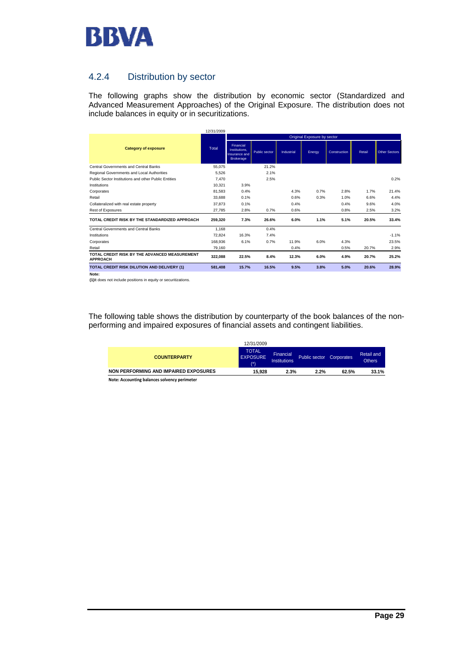

## 4.2.4 Distribution by sector

The following graphs show the distribution by economic sector (Standardized and Advanced Measurement Approaches) of the Original Exposure. The distribution does not include balances in equity or in securitizations.

|                                                                  | 12/31/2009 |                                                                 |                      |            |        |              |        |                      |
|------------------------------------------------------------------|------------|-----------------------------------------------------------------|----------------------|------------|--------|--------------|--------|----------------------|
|                                                                  |            | Original Exposure by sector                                     |                      |            |        |              |        |                      |
| <b>Category of exposure</b>                                      | Total      | Financial<br>Institutions.<br>Insurance and<br><b>Brokerage</b> | <b>Public sector</b> | Industrial | Energy | Construction | Retail | <b>Other Sectors</b> |
| Central Governments and Central Banks                            | 55.075     |                                                                 | 21.2%                |            |        |              |        |                      |
| Regional Governments and Local Authorities                       | 5,526      |                                                                 | 2.1%                 |            |        |              |        |                      |
| Public Sector Institutions and other Public Entities             | 7.470      |                                                                 | 2.5%                 |            |        |              |        | 0.2%                 |
| Institutions                                                     | 10.321     | 3.9%                                                            |                      |            |        |              |        |                      |
| Corporates                                                       | 81.583     | 0.4%                                                            |                      | 4.3%       | 0.7%   | 2.8%         | 1.7%   | 21.4%                |
| Retail                                                           | 33.688     | 0.1%                                                            |                      | 0.6%       | 0.3%   | 1.0%         | 6.6%   | 4.4%                 |
| Collateralized with real estate property                         | 37.873     | 0.1%                                                            |                      | 0.4%       |        | 0.4%         | 9.6%   | 4.0%                 |
| Rest of Exposures                                                | 27.785     | 2.8%                                                            | 0.7%                 | 0.6%       |        | 0.8%         | 2.5%   | 3.2%                 |
| TOTAL CREDIT RISK BY THE STANDARDIZED APPROACH                   | 259,320    | 7.3%                                                            | 26.6%                | 6.0%       | 1.1%   | 5.1%         | 20.5%  | 33.4%                |
| Central Governments and Central Banks                            | 1.168      |                                                                 | 0.4%                 |            |        |              |        |                      |
| Institutions                                                     | 72.824     | 16.3%                                                           | 7.4%                 |            |        |              |        | $-1.1%$              |
| Corporates                                                       | 168,936    | 6.1%                                                            | 0.7%                 | 11.9%      | 6.0%   | 4.3%         |        | 23.5%                |
| Retail                                                           | 79,160     |                                                                 |                      | 0.4%       |        | 0.5%         | 20.7%  | 2.9%                 |
| TOTAL CREDIT RISK BY THE ADVANCED MEASUREMENT<br><b>APPROACH</b> | 322,088    | 22.5%                                                           | 8.4%                 | 12.3%      | 6.0%   | 4.9%         | 20.7%  | 25.2%                |
| TOTAL CREDIT RISK DILUTION AND DELIVERY (1)                      | 581.408    | 15.7%                                                           | 16.5%                | 9.5%       | 3.8%   | 5.0%         | 20.6%  | 28.9%                |

**Note:**

**(1)**It does not include positions in equity or securitizations.

The following table shows the distribution by counterparty of the book balances of the nonperforming and impaired exposures of financial assets and contingent liabilities.

|                                                                                                                                                                                                                                | 12/31/2009                            |                           |               |            |                             |
|--------------------------------------------------------------------------------------------------------------------------------------------------------------------------------------------------------------------------------|---------------------------------------|---------------------------|---------------|------------|-----------------------------|
| <b>COUNTERPARTY</b>                                                                                                                                                                                                            | <b>TOTAL</b><br><b>EXPOSURE</b><br>7* | Financial<br>Institutions | Public sector | Corporates | Retail and<br><b>Others</b> |
| NON PERFORMING AND IMPAIRED EXPOSURES                                                                                                                                                                                          | 15.928                                | 2.3%                      | 2.2%          | 62.5%      | 33.1%                       |
| Attack and the second the second contract of the second contract of the second second second second second second second second second second second second second second second second second second second second second sec |                                       |                           |               |            |                             |

**Note: Accounting balances solvency perimeter**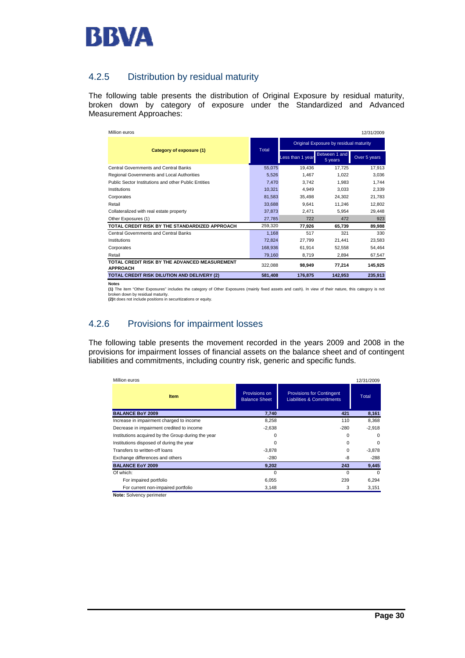

## 4.2.5 Distribution by residual maturity

The following table presents the distribution of Original Exposure by residual maturity, broken down by category of exposure under the Standardized and Advanced Measurement Approaches:

| Million euros                                                    |              |                                        |                          | 12/31/2009   |  |  |
|------------------------------------------------------------------|--------------|----------------------------------------|--------------------------|--------------|--|--|
|                                                                  |              | Original Exposure by residual maturity |                          |              |  |  |
| Category of exposure (1)                                         | <b>Total</b> | Less than 1 year                       | Between 1 and<br>5 years | Over 5 years |  |  |
| <b>Central Governments and Central Banks</b>                     | 55,075       | 19.436                                 | 17.725                   | 17,913       |  |  |
| Regional Governments and Local Authorities                       | 5,526        | 1.467                                  | 1.022                    | 3,036        |  |  |
| Public Sector Institutions and other Public Entities             | 7.470        | 3.742                                  | 1.983                    | 1,744        |  |  |
| Institutions                                                     | 10,321       | 4.949                                  | 3.033                    | 2,339        |  |  |
| Corporates                                                       | 81,583       | 35.498                                 | 24.302                   | 21,783       |  |  |
| Retail                                                           | 33,688       | 9,641                                  | 11,246                   | 12,802       |  |  |
| Collateralized with real estate property                         | 37,873       | 2.471                                  | 5.954                    | 29,448       |  |  |
| Other Exposures (1)                                              | 27,785       | 722                                    | 472                      | 923          |  |  |
| TOTAL CREDIT RISK BY THE STANDARDIZED APPROACH                   | 259,320      | 77.926                                 | 65,739                   | 89,988       |  |  |
| <b>Central Governments and Central Banks</b>                     | 1,168        | 517                                    | 321                      | 330          |  |  |
| Institutions                                                     | 72,824       | 27,799                                 | 21,441                   | 23,583       |  |  |
| Corporates                                                       | 168,936      | 61.914                                 | 52,558                   | 54,464       |  |  |
| Retail                                                           | 79,160       | 8.719                                  | 2.894                    | 67,547       |  |  |
| TOTAL CREDIT RISK BY THE ADVANCED MEASUREMENT<br><b>APPROACH</b> | 322.088      | 98.949                                 | 77,214                   | 145,925      |  |  |
| TOTAL CREDIT RISK DILUTION AND DELIVERY (2)                      | 581,408      | 176.875                                | 142,953                  | 235,913      |  |  |

**Notes**

**(2)**It does not include positions in securitizations or equity. **(1)** The item "Other Exposures" includes the category of Other Exposures (mainly fixed assets and cash). In view of their nature, this category is not broken down by residual maturity.

## 4.2.6 Provisions for impairment losses

The following table presents the movement recorded in the years 2009 and 2008 in the provisions for impairment losses of financial assets on the balance sheet and of contingent liabilities and commitments, including country risk, generic and specific funds.

| Million euros                                      |                                       |                                                                          | 12/31/2009 |
|----------------------------------------------------|---------------------------------------|--------------------------------------------------------------------------|------------|
| <b>Item</b>                                        | Provisions on<br><b>Balance Sheet</b> | <b>Provisions for Contingent</b><br><b>Liabilities &amp; Commitments</b> | Total      |
| <b>BALANCE BoY 2009</b>                            | 7,740                                 | 421                                                                      | 8,161      |
| Increase in impairment charged to income           | 8,258                                 | 110                                                                      | 8,368      |
| Decrease in impairment credited to income          | $-2,638$                              | $-280$                                                                   | $-2,918$   |
| Institutions acquired by the Group during the year | 0                                     | $\Omega$                                                                 | 0          |
| Institutions disposed of during the year           | 0                                     | 0                                                                        | 0          |
| Transfers to written-off loans                     | $-3,878$                              | 0                                                                        | $-3,878$   |
| Exchange differences and others                    | $-280$                                | -8                                                                       | $-288$     |
| <b>BALANCE EoY 2009</b>                            | 9,202                                 | 243                                                                      | 9,445      |
| Of which:                                          | $\Omega$                              | $\Omega$                                                                 | $\Omega$   |
| For impaired portfolio                             | 6,055                                 | 239                                                                      | 6,294      |
| For current non-impaired portfolio                 | 3,148                                 | 3                                                                        | 3,151      |

**Note:** Solvency perimeter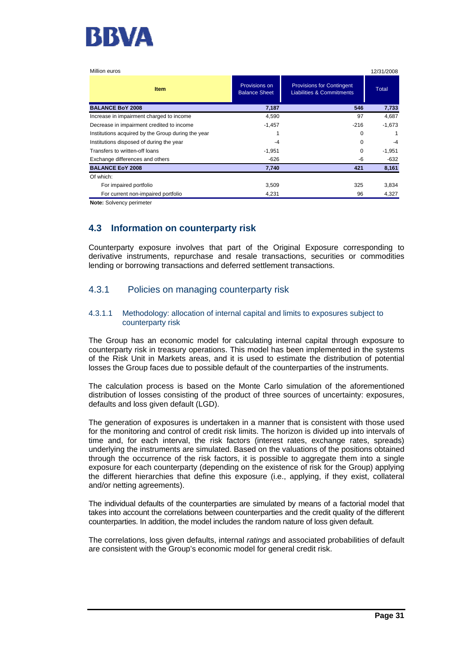

| Million euros                                      |                                       |                                                                          | 12/31/2008   |
|----------------------------------------------------|---------------------------------------|--------------------------------------------------------------------------|--------------|
| <b>Item</b>                                        | Provisions on<br><b>Balance Sheet</b> | <b>Provisions for Contingent</b><br><b>Liabilities &amp; Commitments</b> | <b>Total</b> |
| <b>BALANCE BoY 2008</b>                            | 7,187                                 | 546                                                                      | 7,733        |
| Increase in impairment charged to income           | 4,590                                 | 97                                                                       | 4,687        |
| Decrease in impairment credited to income          | $-1,457$                              | $-216$                                                                   | $-1,673$     |
| Institutions acquired by the Group during the year |                                       | 0                                                                        |              |
| Institutions disposed of during the year           | $-4$                                  | $\Omega$                                                                 | $-4$         |
| Transfers to written-off loans                     | $-1,951$                              | 0                                                                        | $-1,951$     |
| Exchange differences and others                    | -626                                  | -6                                                                       | -632         |
| <b>BALANCE EoY 2008</b>                            | 7,740                                 | 421                                                                      | 8,161        |
| Of which:                                          |                                       |                                                                          |              |
| For impaired portfolio                             | 3,509                                 | 325                                                                      | 3,834        |
| For current non-impaired portfolio                 | 4,231                                 | 96                                                                       | 4,327        |

**Note:** Solvency perimeter

## **4.3 Information on counterparty risk**

Counterparty exposure involves that part of the Original Exposure corresponding to derivative instruments, repurchase and resale transactions, securities or commodities lending or borrowing transactions and deferred settlement transactions.

## 4.3.1 Policies on managing counterparty risk

#### 4.3.1.1 Methodology: allocation of internal capital and limits to exposures subject to counterparty risk

The Group has an economic model for calculating internal capital through exposure to counterparty risk in treasury operations. This model has been implemented in the systems of the Risk Unit in Markets areas, and it is used to estimate the distribution of potential losses the Group faces due to possible default of the counterparties of the instruments.

The calculation process is based on the Monte Carlo simulation of the aforementioned distribution of losses consisting of the product of three sources of uncertainty: exposures, defaults and loss given default (LGD).

The generation of exposures is undertaken in a manner that is consistent with those used for the monitoring and control of credit risk limits. The horizon is divided up into intervals of time and, for each interval, the risk factors (interest rates, exchange rates, spreads) underlying the instruments are simulated. Based on the valuations of the positions obtained through the occurrence of the risk factors, it is possible to aggregate them into a single exposure for each counterparty (depending on the existence of risk for the Group) applying the different hierarchies that define this exposure (i.e., applying, if they exist, collateral and/or netting agreements).

The individual defaults of the counterparties are simulated by means of a factorial model that takes into account the correlations between counterparties and the credit quality of the different counterparties. In addition, the model includes the random nature of loss given default.

The correlations, loss given defaults, internal *ratings* and associated probabilities of default are consistent with the Group's economic model for general credit risk.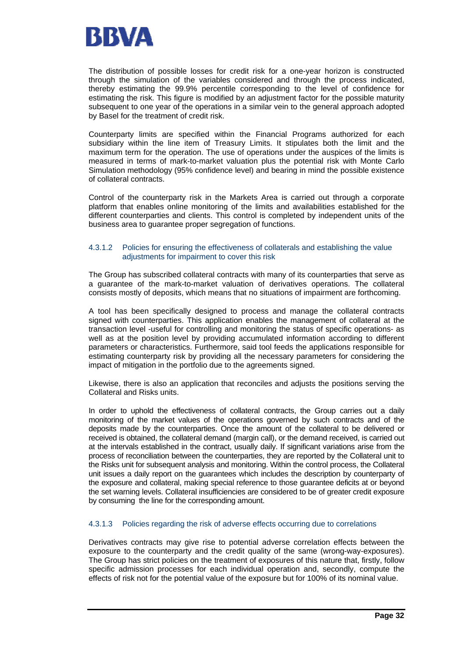

The distribution of possible losses for credit risk for a one-year horizon is constructed through the simulation of the variables considered and through the process indicated, thereby estimating the 99.9% percentile corresponding to the level of confidence for estimating the risk. This figure is modified by an adjustment factor for the possible maturity subsequent to one year of the operations in a similar vein to the general approach adopted by Basel for the treatment of credit risk.

Counterparty limits are specified within the Financial Programs authorized for each subsidiary within the line item of Treasury Limits. It stipulates both the limit and the maximum term for the operation. The use of operations under the auspices of the limits is measured in terms of mark-to-market valuation plus the potential risk with Monte Carlo Simulation methodology (95% confidence level) and bearing in mind the possible existence of collateral contracts.

Control of the counterparty risk in the Markets Area is carried out through a corporate platform that enables online monitoring of the limits and availabilities established for the different counterparties and clients. This control is completed by independent units of the business area to guarantee proper segregation of functions.

#### 4.3.1.2 Policies for ensuring the effectiveness of collaterals and establishing the value adjustments for impairment to cover this risk

The Group has subscribed collateral contracts with many of its counterparties that serve as a guarantee of the mark-to-market valuation of derivatives operations. The collateral consists mostly of deposits, which means that no situations of impairment are forthcoming.

A tool has been specifically designed to process and manage the collateral contracts signed with counterparties. This application enables the management of collateral at the transaction level -useful for controlling and monitoring the status of specific operations- as well as at the position level by providing accumulated information according to different parameters or characteristics. Furthermore, said tool feeds the applications responsible for estimating counterparty risk by providing all the necessary parameters for considering the impact of mitigation in the portfolio due to the agreements signed.

Likewise, there is also an application that reconciles and adjusts the positions serving the Collateral and Risks units.

In order to uphold the effectiveness of collateral contracts, the Group carries out a daily monitoring of the market values of the operations governed by such contracts and of the deposits made by the counterparties. Once the amount of the collateral to be delivered or received is obtained, the collateral demand (margin call), or the demand received, is carried out at the intervals established in the contract, usually daily. If significant variations arise from the process of reconciliation between the counterparties, they are reported by the Collateral unit to the Risks unit for subsequent analysis and monitoring. Within the control process, the Collateral unit issues a daily report on the guarantees which includes the description by counterparty of the exposure and collateral, making special reference to those guarantee deficits at or beyond the set warning levels. Collateral insufficiencies are considered to be of greater credit exposure by consuming the line for the corresponding amount.

#### 4.3.1.3 Policies regarding the risk of adverse effects occurring due to correlations

Derivatives contracts may give rise to potential adverse correlation effects between the exposure to the counterparty and the credit quality of the same (wrong-way-exposures). The Group has strict policies on the treatment of exposures of this nature that, firstly, follow specific admission processes for each individual operation and, secondly, compute the effects of risk not for the potential value of the exposure but for 100% of its nominal value.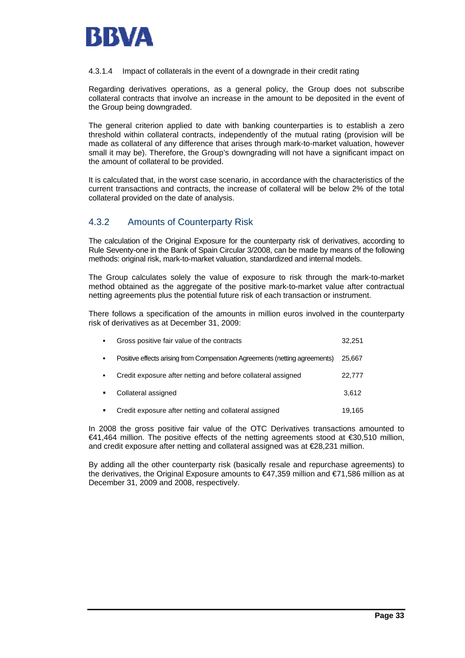

#### 4.3.1.4 Impact of collaterals in the event of a downgrade in their credit rating

Regarding derivatives operations, as a general policy, the Group does not subscribe collateral contracts that involve an increase in the amount to be deposited in the event of the Group being downgraded.

The general criterion applied to date with banking counterparties is to establish a zero threshold within collateral contracts, independently of the mutual rating (provision will be made as collateral of any difference that arises through mark-to-market valuation, however small it may be). Therefore, the Group's downgrading will not have a significant impact on the amount of collateral to be provided.

It is calculated that, in the worst case scenario, in accordance with the characteristics of the current transactions and contracts, the increase of collateral will be below 2% of the total collateral provided on the date of analysis.

## 4.3.2 Amounts of Counterparty Risk

The calculation of the Original Exposure for the counterparty risk of derivatives, according to Rule Seventy-one in the Bank of Spain Circular 3/2008, can be made by means of the following methods: original risk, mark-to-market valuation, standardized and internal models.

The Group calculates solely the value of exposure to risk through the mark-to-market method obtained as the aggregate of the positive mark-to-market value after contractual netting agreements plus the potential future risk of each transaction or instrument.

There follows a specification of the amounts in million euros involved in the counterparty risk of derivatives as at December 31, 2009:

| $\blacksquare$ | Gross positive fair value of the contracts                                 | 32,251 |
|----------------|----------------------------------------------------------------------------|--------|
| $\blacksquare$ | Positive effects arising from Compensation Agreements (netting agreements) | 25.667 |
| ٠              | Credit exposure after netting and before collateral assigned               | 22.777 |
|                | Collateral assigned                                                        | 3.612  |
|                | Credit exposure after netting and collateral assigned                      | 19.165 |

In 2008 the gross positive fair value of the OTC Derivatives transactions amounted to €41,464 million. The positive effects of the netting agreements stood at €30,510 million, and credit exposure after netting and collateral assigned was at  $E$ 8,231 million.

By adding all the other counterparty risk (basically resale and repurchase agreements) to the derivatives, the Original Exposure amounts to €47,359 million and €71,586 million as at December 31, 2009 and 2008, respectively.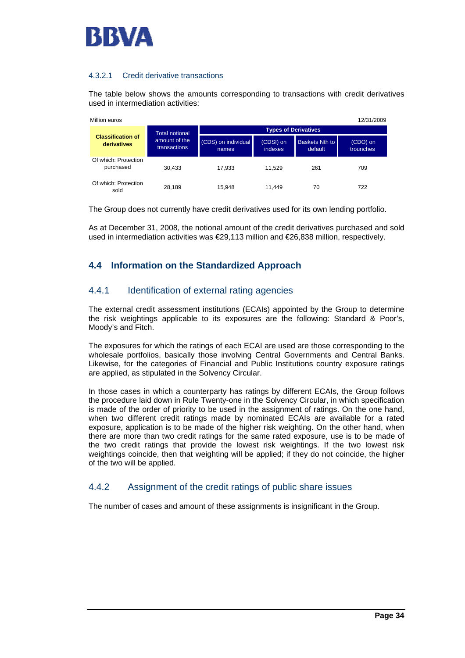

## 4.3.2.1 Credit derivative transactions

The table below shows the amounts corresponding to transactions with credit derivatives used in intermediation activities:

| 12/31/2009<br>Million euros |                                         |                                      |                              |                             |                                  |                       |  |  |  |
|-----------------------------|-----------------------------------------|--------------------------------------|------------------------------|-----------------------------|----------------------------------|-----------------------|--|--|--|
|                             |                                         | <b>Total notional</b>                |                              | <b>Types of Derivatives</b> |                                  |                       |  |  |  |
|                             | <b>Classification of</b><br>derivatives | amount of the<br><b>transactions</b> | (CDS) on individual<br>names | (CDSI) on<br><b>indexes</b> | <b>Baskets Nth to</b><br>default | (CDO) on<br>trounches |  |  |  |
|                             | Of which: Protection<br>purchased       | 30.433                               | 17.933                       | 11.529                      | 261                              | 709                   |  |  |  |
|                             | Of which: Protection<br>sold            | 28.189                               | 15.948                       | 11.449                      | 70                               | 722                   |  |  |  |

The Group does not currently have credit derivatives used for its own lending portfolio.

As at December 31, 2008, the notional amount of the credit derivatives purchased and sold used in intermediation activities was €29,113 million and €26,838 million, respectively.

## **4.4 Information on the Standardized Approach**

## 4.4.1 Identification of external rating agencies

The external credit assessment institutions (ECAIs) appointed by the Group to determine the risk weightings applicable to its exposures are the following: Standard & Poor's, Moody's and Fitch.

The exposures for which the ratings of each ECAI are used are those corresponding to the wholesale portfolios, basically those involving Central Governments and Central Banks. Likewise, for the categories of Financial and Public Institutions country exposure ratings are applied, as stipulated in the Solvency Circular.

In those cases in which a counterparty has ratings by different ECAIs, the Group follows the procedure laid down in Rule Twenty-one in the Solvency Circular, in which specification is made of the order of priority to be used in the assignment of ratings. On the one hand, when two different credit ratings made by nominated ECAIs are available for a rated exposure, application is to be made of the higher risk weighting. On the other hand, when there are more than two credit ratings for the same rated exposure, use is to be made of the two credit ratings that provide the lowest risk weightings. If the two lowest risk weightings coincide, then that weighting will be applied; if they do not coincide, the higher of the two will be applied.

## 4.4.2 Assignment of the credit ratings of public share issues

The number of cases and amount of these assignments is insignificant in the Group.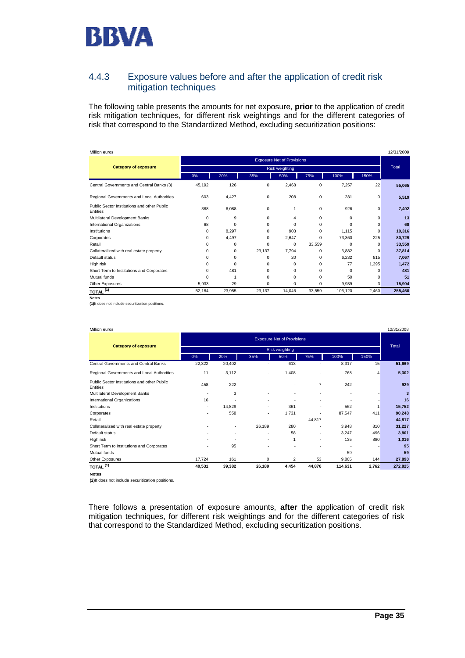

## 4.4.3 Exposure values before and after the application of credit risk mitigation techniques

The following table presents the amounts for net exposure, **prior** to the application of credit risk mitigation techniques, for different risk weightings and for the different categories of risk that correspond to the Standardized Method, excluding securitization positions:

| Million euros                                           |                                   |        |          |                |          |          |          | 12/31/2009 |
|---------------------------------------------------------|-----------------------------------|--------|----------|----------------|----------|----------|----------|------------|
|                                                         | <b>Exposure Net of Provisions</b> |        |          |                |          |          |          |            |
| <b>Category of exposure</b>                             |                                   |        |          | Risk weighting |          |          |          | Total      |
|                                                         | 0%                                | 20%    | 35%      | 50%            | 75%      | 100%     | 150%     |            |
| Central Governments and Central Banks (3)               | 45.192                            | 126    | 0        | 2,468          | 0        | 7.257    | 22       | 55,065     |
| Regional Governments and Local Authorities              | 603                               | 4,427  | 0        | 208            | 0        | 281      | 0        | 5,519      |
| Public Sector Institutions and other Public<br>Entities | 388                               | 6,088  | 0        |                | $\Omega$ | 926      | 0        | 7,402      |
| Multilateral Development Banks                          | 0                                 | 9      | $\Omega$ | 4              | 0        | $\Omega$ | 0        | 13         |
| International Organizations                             | 68                                | 0      | $\Omega$ | $\Omega$       | $\Omega$ | $\Omega$ | $\Omega$ | 68         |
| Institutions                                            | $\Omega$                          | 8,297  | $\Omega$ | 903            | $\Omega$ | 1.115    | $\Omega$ | 10,316     |
| Corporates                                              | $\Omega$                          | 4,497  | $\Omega$ | 2.647          | 0        | 73.360   | 225      | 80,729     |
| Retail                                                  | $\Omega$                          | 0      | $\Omega$ | $\Omega$       | 33,559   | $\Omega$ | $\Omega$ | 33,559     |
| Collateralized with real estate property                | $\Omega$                          | 0      | 23.137   | 7.794          | $\Omega$ | 6.882    | $\Omega$ | 37,814     |
| Default status                                          | $\Omega$                          | 0      | $\Omega$ | 20             | 0        | 6.232    | 815      | 7,067      |
| High risk                                               | $\Omega$                          | 0      | $\Omega$ | 0              | 0        | 77       | 1,395    | 1,472      |
| Short Term to Institutions and Corporates               | $\Omega$                          | 481    | $\Omega$ | $\Omega$       | 0        | $\Omega$ | 0        | 481        |
| Mutual funds                                            | $\Omega$                          | 1      | $\Omega$ | $\Omega$       | $\Omega$ | 50       | $\Omega$ | 51         |
| Other Exposures                                         | 5,933                             | 29     | 0        | $\Omega$       | 0        | 9,939    | 3        | 15,904     |
| $TOTAL$ <sup>(1)</sup>                                  | 52,184                            | 23,955 | 23,137   | 14,046         | 33,559   | 106,120  | 2,460    | 255,460    |
| <b>Notes</b>                                            |                                   |        |          |                |          |          |          |            |

**(1)**It does not include securitization positions.

| Million euros                                           |                                   |        |        |                |                |         |                | 12/31/2008 |  |
|---------------------------------------------------------|-----------------------------------|--------|--------|----------------|----------------|---------|----------------|------------|--|
|                                                         | <b>Exposure Net of Provisions</b> |        |        |                |                |         |                |            |  |
| <b>Category of exposure</b>                             |                                   |        |        | Risk weighting |                |         |                | Total      |  |
|                                                         | 0%                                | 20%    | 35%    | 50%            | 75%            | 100%    | 150%           |            |  |
| Central Governments and Central Banks                   | 22,322                            | 20,402 |        | 613            |                | 8,317   | 15             | 51,669     |  |
| Regional Governments and Local Authorities              | 11                                | 3,112  |        | 1,408          |                | 768     | $\overline{4}$ | 5,302      |  |
| Public Sector Institutions and other Public<br>Entities | 458                               | 222    |        |                | $\overline{7}$ | 242     |                | 929        |  |
| Multilateral Development Banks                          |                                   | 3      |        | ٠              | ۰              |         |                | 3          |  |
| International Organizations                             | 16                                |        |        |                |                |         |                | 16         |  |
| Institutions                                            | ۰                                 | 14,829 |        | 361            | ۰              | 562     |                | 15,752     |  |
| Corporates                                              | ۰                                 | 558    | ۰      | 1,731          |                | 87,547  | 411            | 90,248     |  |
| Retail                                                  |                                   | ٠      |        | ٠              | 44,817         |         |                | 44,817     |  |
| Collateralized with real estate property                |                                   | ٠      | 26,189 | 280            |                | 3,948   | 810            | 31,227     |  |
| Default status                                          |                                   | ٠      |        | 58             | ٠              | 3,247   | 496            | 3,801      |  |
| High risk                                               |                                   | ٠      |        | 1              | ۰              | 135     | 880            | 1,016      |  |
| Short Term to Institutions and Corporates               |                                   | 95     |        |                |                |         |                | 95         |  |
| Mutual funds                                            |                                   |        |        | ٠              |                | 59      |                | 59         |  |
| Other Exposures                                         | 17,724                            | 161    | 0      | 2              | 53             | 9,805   | 144            | 27,890     |  |
| $\underline{\texttt{TOTAL}}^{(1)}$                      | 40,531                            | 39,382 | 26,189 | 4,454          | 44,876         | 114,631 | 2,762          | 272,825    |  |

**Notes**

**(2)**It does not include securitization positions.

There follows a presentation of exposure amounts, **after** the application of credit risk mitigation techniques, for different risk weightings and for the different categories of risk that correspond to the Standardized Method, excluding securitization positions.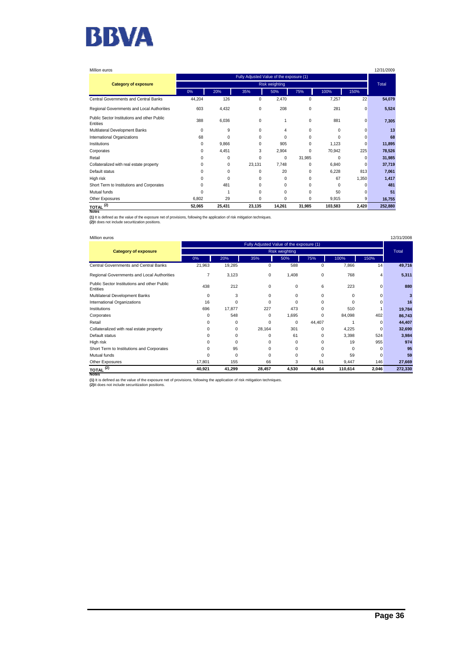

| Million euros                                           |          |          |             |                       |             |          |          | 12/31/2009 |  |
|---------------------------------------------------------|----------|----------|-------------|-----------------------|-------------|----------|----------|------------|--|
| Fully Adjusted Value of the exposure (1)                |          |          |             |                       |             |          |          |            |  |
| <b>Category of exposure</b>                             |          |          |             | <b>Risk weighting</b> |             |          |          | Total      |  |
|                                                         | 0%       | 20%      | 35%         | 50%                   | 75%         | 100%     | 150%     |            |  |
| Central Governments and Central Banks                   | 44,204   | 126      | $\mathbf 0$ | 2,470                 | 0           | 7,257    | 22       | 54,079     |  |
| Regional Governments and Local Authorities              | 603      | 4,432    | 0           | 208                   | $\mathbf 0$ | 281      | 0        | 5,524      |  |
| Public Sector Institutions and other Public<br>Entities | 388      | 6,036    | 0           | 1                     | 0           | 881      | 0        | 7,305      |  |
| Multilateral Development Banks                          | $\Omega$ | 9        | $\Omega$    | 4                     | $\Omega$    | $\Omega$ | $\Omega$ | 13         |  |
| International Organizations                             | 68       | $\Omega$ | $\Omega$    | $\Omega$              | $\Omega$    | $\Omega$ | $\Omega$ | 68         |  |
| Institutions                                            | $\Omega$ | 9,866    | O           | 905                   | $\Omega$    | 1,123    | $\Omega$ | 11,895     |  |
| Corporates                                              | 0        | 4,451    | 3           | 2,904                 | $\Omega$    | 70,942   | 225      | 78,526     |  |
| Retail                                                  |          | $\Omega$ | $\Omega$    | $\Omega$              | 31,985      | $\Omega$ | $\Omega$ | 31,985     |  |
| Collateralized with real estate property                |          | 0        | 23,131      | 7,748                 | $\Omega$    | 6,840    | C        | 37,719     |  |
| Default status                                          |          | 0        | $\Omega$    | 20                    | $\Omega$    | 6,228    | 813      | 7,061      |  |
| High risk                                               |          | $\Omega$ | $\Omega$    | $\Omega$              | $\Omega$    | 67       | 1,350    | 1,417      |  |
| Short Term to Institutions and Corporates               | O        | 481      | $\Omega$    | $\Omega$              | $\Omega$    | $\Omega$ | O        | 481        |  |
| Mutual funds                                            | n        |          | $\Omega$    | $\Omega$              | $\Omega$    | 50       | C        | 51         |  |
| Other Exposures                                         | 6,802    | 29       | $\Omega$    | 0                     | 0           | 9,915    | 9        | 16,755     |  |
| $\underline{\text{total}}^{(2)}$<br><b>Notes</b>        | 52,065   | 25,431   | 23,135      | 14,261                | 31,985      | 103,583  | 2,420    | 252,880    |  |

**(1)** It is defined as the value of the exposure net of provisions, following the application of risk mitigation techniques. **(2)**It does not include securitization positions.

#### Million euros 12/31/2008

|                                                         | Fully Adjusted Value of the exposure (1) |          |          |          |          |          |          |         |  |
|---------------------------------------------------------|------------------------------------------|----------|----------|----------|----------|----------|----------|---------|--|
| <b>Category of exposure</b>                             | Risk weighting                           |          |          |          |          |          |          |         |  |
|                                                         | 0%                                       | 20%      | 35%      | 50%      | 75%      | 100%     | 150%     |         |  |
| Central Governments and Central Banks                   | 21,963                                   | 19,285   | 0        | 588      | 0        | 7,866    | 14       | 49,716  |  |
| Regional Governments and Local Authorities              | $\overline{7}$                           | 3,123    | 0        | 1,408    | 0        | 768      | 4        | 5,311   |  |
| Public Sector Institutions and other Public<br>Entities | 438                                      | 212      | $\Omega$ | 0        | 6        | 223      | $\Omega$ | 880     |  |
| Multilateral Development Banks                          | $\Omega$                                 | 3        | 0        | 0        | 0        | 0        | $\Omega$ | 3       |  |
| International Organizations                             | 16                                       | $\Omega$ | $\Omega$ | $\Omega$ | 0        |          | O        | 16      |  |
| Institutions                                            | 696                                      | 17,877   | 227      | 473      | 0        | 510      |          | 19,784  |  |
| Corporates                                              | $\Omega$                                 | 548      | $\Omega$ | 1,695    | 0        | 84,098   | 402      | 86,743  |  |
| Retail                                                  | O                                        | $\Omega$ | $\Omega$ | $\Omega$ | 44,407   |          | 0        | 44,407  |  |
| Collateralized with real estate property                | $\Omega$                                 | 0        | 28,164   | 301      | $\Omega$ | 4,225    | $\Omega$ | 32,690  |  |
| Default status                                          | $\Omega$                                 | 0        | 0        | 61       | $\Omega$ | 3,398    | 524      | 3,984   |  |
| High risk                                               | $\Omega$                                 | $\Omega$ | 0        | $\Omega$ | 0        | 19       | 955      | 974     |  |
| Short Term to Institutions and Corporates               | $\Omega$                                 | 95       | $\Omega$ | $\Omega$ | 0        | $\Omega$ | $\Omega$ | 95      |  |
| Mutual funds                                            | $\Omega$                                 | 0        | 0        | 0        | $\Omega$ | 59       | $\Omega$ | 59      |  |
| Other Exposures                                         | 17,801                                   | 155      | 66       | 3        | 51       | 9,447    | 146      | 27,669  |  |
| $\underline{\text{total}}^{(2)}$<br><b>Notes</b>        | 40,921                                   | 41,299   | 28,457   | 4,530    | 44,464   | 110,614  | 2,046    | 272,330 |  |

**(1)** It is defined as the value of the exposure net of provisions, following the application of risk mitigation techniques.<br>**(2)**It does not include securitization positions.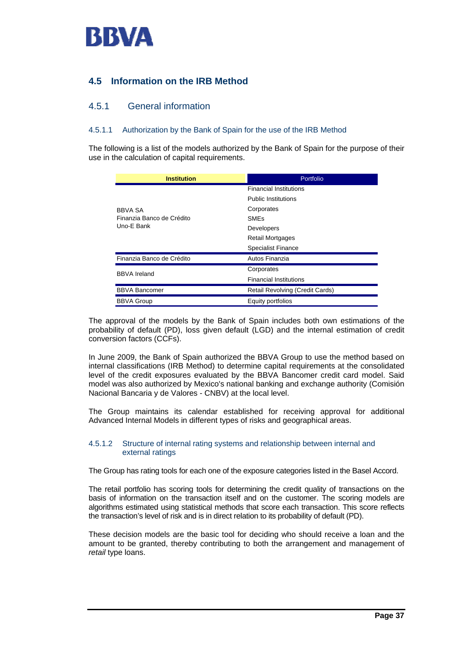

## **4.5 Information on the IRB Method**

## 4.5.1 General information

#### 4.5.1.1 Authorization by the Bank of Spain for the use of the IRB Method

The following is a list of the models authorized by the Bank of Spain for the purpose of their use in the calculation of capital requirements.

| <b>Institution</b>        | Portfolio                       |  |  |  |
|---------------------------|---------------------------------|--|--|--|
|                           | <b>Financial Institutions</b>   |  |  |  |
|                           | <b>Public Institutions</b>      |  |  |  |
| <b>BBVA SA</b>            | Corporates                      |  |  |  |
| Finanzia Banco de Crédito | <b>SMEs</b>                     |  |  |  |
| Uno-E Bank                | Developers                      |  |  |  |
|                           | <b>Retail Mortgages</b>         |  |  |  |
|                           | <b>Specialist Finance</b>       |  |  |  |
| Finanzia Banco de Crédito | Autos Finanzia                  |  |  |  |
| <b>BBVA Ireland</b>       | Corporates                      |  |  |  |
|                           | <b>Financial Institutions</b>   |  |  |  |
| <b>BBVA Bancomer</b>      | Retail Revolving (Credit Cards) |  |  |  |
| <b>BBVA Group</b>         | Equity portfolios               |  |  |  |

The approval of the models by the Bank of Spain includes both own estimations of the probability of default (PD), loss given default (LGD) and the internal estimation of credit conversion factors (CCFs).

In June 2009, the Bank of Spain authorized the BBVA Group to use the method based on internal classifications (IRB Method) to determine capital requirements at the consolidated level of the credit exposures evaluated by the BBVA Bancomer credit card model. Said model was also authorized by Mexico's national banking and exchange authority (Comisión Nacional Bancaria y de Valores - CNBV) at the local level.

The Group maintains its calendar established for receiving approval for additional Advanced Internal Models in different types of risks and geographical areas.

#### 4.5.1.2 Structure of internal rating systems and relationship between internal and external ratings

The Group has rating tools for each one of the exposure categories listed in the Basel Accord.

The retail portfolio has scoring tools for determining the credit quality of transactions on the basis of information on the transaction itself and on the customer. The scoring models are algorithms estimated using statistical methods that score each transaction. This score reflects the transaction's level of risk and is in direct relation to its probability of default (PD).

These decision models are the basic tool for deciding who should receive a loan and the amount to be granted, thereby contributing to both the arrangement and management of *retail* type loans.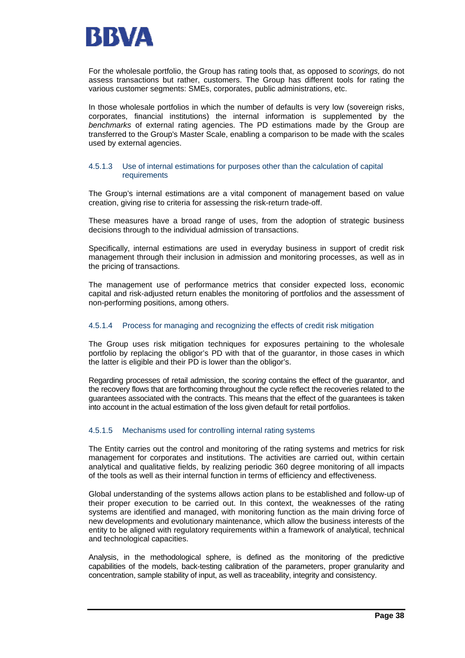

For the wholesale portfolio, the Group has rating tools that, as opposed to *scorings,* do not assess transactions but rather, customers. The Group has different tools for rating the various customer segments: SMEs, corporates, public administrations, etc.

In those wholesale portfolios in which the number of defaults is very low (sovereign risks, corporates, financial institutions) the internal information is supplemented by the *benchmarks* of external rating agencies. The PD estimations made by the Group are transferred to the Group's Master Scale, enabling a comparison to be made with the scales used by external agencies.

#### 4.5.1.3 Use of internal estimations for purposes other than the calculation of capital requirements

The Group's internal estimations are a vital component of management based on value creation, giving rise to criteria for assessing the risk-return trade-off.

These measures have a broad range of uses, from the adoption of strategic business decisions through to the individual admission of transactions.

Specifically, internal estimations are used in everyday business in support of credit risk management through their inclusion in admission and monitoring processes, as well as in the pricing of transactions.

The management use of performance metrics that consider expected loss, economic capital and risk-adjusted return enables the monitoring of portfolios and the assessment of non-performing positions, among others.

#### 4.5.1.4 Process for managing and recognizing the effects of credit risk mitigation

The Group uses risk mitigation techniques for exposures pertaining to the wholesale portfolio by replacing the obligor's PD with that of the guarantor, in those cases in which the latter is eligible and their PD is lower than the obligor's.

Regarding processes of retail admission, the *scoring* contains the effect of the guarantor, and the recovery flows that are forthcoming throughout the cycle reflect the recoveries related to the guarantees associated with the contracts. This means that the effect of the guarantees is taken into account in the actual estimation of the loss given default for retail portfolios.

#### 4.5.1.5 Mechanisms used for controlling internal rating systems

The Entity carries out the control and monitoring of the rating systems and metrics for risk management for corporates and institutions. The activities are carried out, within certain analytical and qualitative fields, by realizing periodic 360 degree monitoring of all impacts of the tools as well as their internal function in terms of efficiency and effectiveness.

Global understanding of the systems allows action plans to be established and follow-up of their proper execution to be carried out. In this context, the weaknesses of the rating systems are identified and managed, with monitoring function as the main driving force of new developments and evolutionary maintenance, which allow the business interests of the entity to be aligned with regulatory requirements within a framework of analytical, technical and technological capacities.

Analysis, in the methodological sphere, is defined as the monitoring of the predictive capabilities of the models, back-testing calibration of the parameters, proper granularity and concentration, sample stability of input, as well as traceability, integrity and consistency.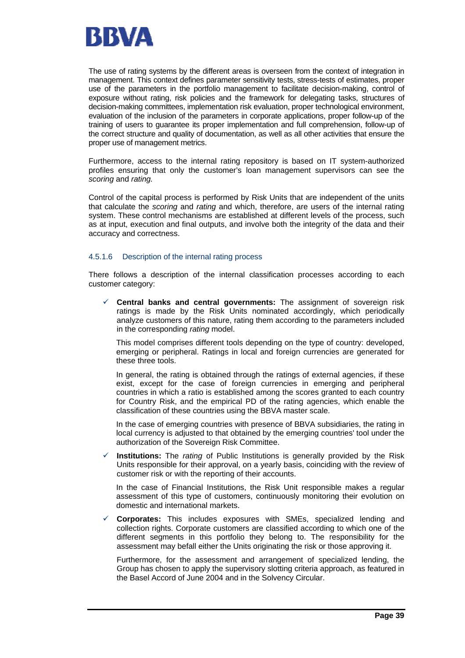

The use of rating systems by the different areas is overseen from the context of integration in management. This context defines parameter sensitivity tests, stress-tests of estimates, proper use of the parameters in the portfolio management to facilitate decision-making, control of exposure without rating, risk policies and the framework for delegating tasks, structures of decision-making committees, implementation risk evaluation, proper technological environment, evaluation of the inclusion of the parameters in corporate applications, proper follow-up of the training of users to guarantee its proper implementation and full comprehension, follow-up of the correct structure and quality of documentation, as well as all other activities that ensure the proper use of management metrics.

Furthermore, access to the internal rating repository is based on IT system-authorized profiles ensuring that only the customer's loan management supervisors can see the *scoring* and *rating.*

Control of the capital process is performed by Risk Units that are independent of the units that calculate the *scoring* and *rating* and which, therefore, are users of the internal rating system. These control mechanisms are established at different levels of the process, such as at input, execution and final outputs, and involve both the integrity of the data and their accuracy and correctness.

#### 4.5.1.6 Description of the internal rating process

There follows a description of the internal classification processes according to each customer category:

 $\checkmark$  Central banks and central governments: The assignment of sovereign risk ratings is made by the Risk Units nominated accordingly, which periodically analyze customers of this nature, rating them according to the parameters included in the corresponding *rating* model.

This model comprises different tools depending on the type of country: developed, emerging or peripheral. Ratings in local and foreign currencies are generated for these three tools.

In general, the rating is obtained through the ratings of external agencies, if these exist, except for the case of foreign currencies in emerging and peripheral countries in which a ratio is established among the scores granted to each country for Country Risk, and the empirical PD of the rating agencies, which enable the classification of these countries using the BBVA master scale.

In the case of emerging countries with presence of BBVA subsidiaries, the rating in local currency is adjusted to that obtained by the emerging countries' tool under the authorization of the Sovereign Risk Committee.

9 **Institutions:** The *rating* of Public Institutions is generally provided by the Risk Units responsible for their approval, on a yearly basis, coinciding with the review of customer risk or with the reporting of their accounts.

 In the case of Financial Institutions, the Risk Unit responsible makes a regular assessment of this type of customers, continuously monitoring their evolution on domestic and international markets.

9 **Corporates:** This includes exposures with SMEs, specialized lending and collection rights. Corporate customers are classified according to which one of the different segments in this portfolio they belong to. The responsibility for the assessment may befall either the Units originating the risk or those approving it.

Furthermore, for the assessment and arrangement of specialized lending, the Group has chosen to apply the supervisory slotting criteria approach, as featured in the Basel Accord of June 2004 and in the Solvency Circular.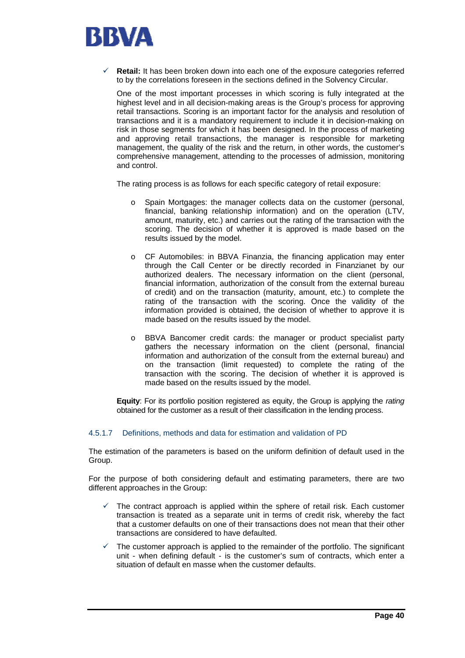

**Retail:** It has been broken down into each one of the exposure categories referred to by the correlations foreseen in the sections defined in the Solvency Circular.

One of the most important processes in which scoring is fully integrated at the highest level and in all decision-making areas is the Group's process for approving retail transactions. Scoring is an important factor for the analysis and resolution of transactions and it is a mandatory requirement to include it in decision-making on risk in those segments for which it has been designed. In the process of marketing and approving retail transactions, the manager is responsible for marketing management, the quality of the risk and the return, in other words, the customer's comprehensive management, attending to the processes of admission, monitoring and control.

The rating process is as follows for each specific category of retail exposure:

- o Spain Mortgages: the manager collects data on the customer (personal, financial, banking relationship information) and on the operation (LTV, amount, maturity, etc.) and carries out the rating of the transaction with the scoring. The decision of whether it is approved is made based on the results issued by the model.
- o CF Automobiles: in BBVA Finanzia, the financing application may enter through the Call Center or be directly recorded in Finanzianet by our authorized dealers. The necessary information on the client (personal, financial information, authorization of the consult from the external bureau of credit) and on the transaction (maturity, amount, etc.) to complete the rating of the transaction with the scoring. Once the validity of the information provided is obtained, the decision of whether to approve it is made based on the results issued by the model.
- o BBVA Bancomer credit cards: the manager or product specialist party gathers the necessary information on the client (personal, financial information and authorization of the consult from the external bureau) and on the transaction (limit requested) to complete the rating of the transaction with the scoring. The decision of whether it is approved is made based on the results issued by the model.

**Equity**: For its portfolio position registered as equity, the Group is applying the *rating* obtained for the customer as a result of their classification in the lending process.

#### 4.5.1.7 Definitions, methods and data for estimation and validation of PD

The estimation of the parameters is based on the uniform definition of default used in the Group.

For the purpose of both considering default and estimating parameters, there are two different approaches in the Group:

- The contract approach is applied within the sphere of retail risk. Each customer transaction is treated as a separate unit in terms of credit risk, whereby the fact that a customer defaults on one of their transactions does not mean that their other transactions are considered to have defaulted.
- The customer approach is applied to the remainder of the portfolio. The significant unit - when defining default - is the customer's sum of contracts, which enter a situation of default en masse when the customer defaults.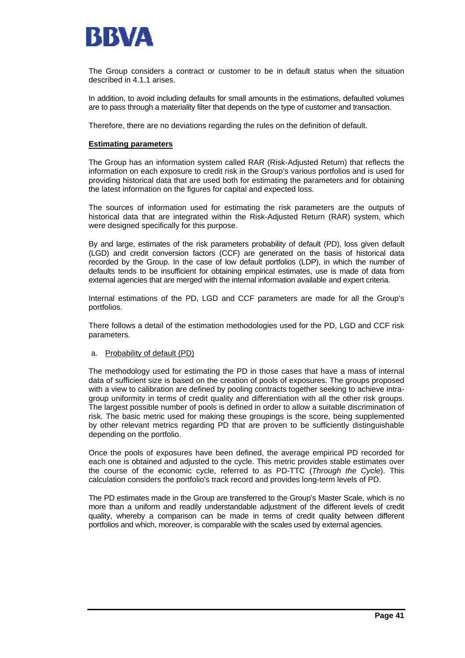

The Group considers a contract or customer to be in default status when the situation described in 4.1.1 arises.

In addition, to avoid including defaults for small amounts in the estimations, defaulted volumes are to pass through a materiality filter that depends on the type of customer and transaction.

Therefore, there are no deviations regarding the rules on the definition of default.

#### **Estimating parameters**

The Group has an information system called RAR (Risk-Adjusted Return) that reflects the information on each exposure to credit risk in the Group's various portfolios and is used for providing historical data that are used both for estimating the parameters and for obtaining the latest information on the figures for capital and expected loss.

The sources of information used for estimating the risk parameters are the outputs of historical data that are integrated within the Risk-Adjusted Return (RAR) system, which were designed specifically for this purpose.

By and large, estimates of the risk parameters probability of default (PD), loss given default (LGD) and credit conversion factors (CCF) are generated on the basis of historical data recorded by the Group. In the case of low default portfolios (LDP), in which the number of defaults tends to be insufficient for obtaining empirical estimates, use is made of data from external agencies that are merged with the internal information available and expert criteria.

Internal estimations of the PD, LGD and CCF parameters are made for all the Group's portfolios.

There follows a detail of the estimation methodologies used for the PD, LGD and CCF risk parameters.

#### a. Probability of default (PD)

The methodology used for estimating the PD in those cases that have a mass of internal data of sufficient size is based on the creation of pools of exposures. The groups proposed with a view to calibration are defined by pooling contracts together seeking to achieve intragroup uniformity in terms of credit quality and differentiation with all the other risk groups. The largest possible number of pools is defined in order to allow a suitable discrimination of risk. The basic metric used for making these groupings is the score, being supplemented by other relevant metrics regarding PD that are proven to be sufficiently distinguishable depending on the portfolio.

Once the pools of exposures have been defined, the average empirical PD recorded for each one is obtained and adjusted to the cycle. This metric provides stable estimates over the course of the economic cycle, referred to as PD-TTC (*Through the Cycle*). This calculation considers the portfolio's track record and provides long-term levels of PD.

The PD estimates made in the Group are transferred to the Group's Master Scale, which is no more than a uniform and readily understandable adjustment of the different levels of credit quality, whereby a comparison can be made in terms of credit quality between different portfolios and which, moreover, is comparable with the scales used by external agencies.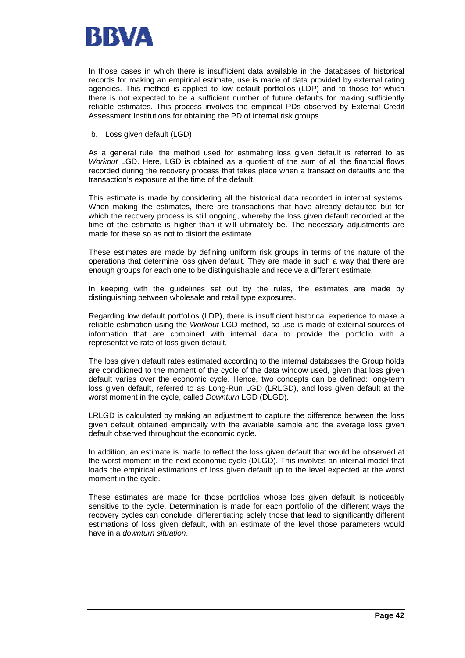

In those cases in which there is insufficient data available in the databases of historical records for making an empirical estimate, use is made of data provided by external rating agencies. This method is applied to low default portfolios (LDP) and to those for which there is not expected to be a sufficient number of future defaults for making sufficiently reliable estimates. This process involves the empirical PDs observed by External Credit Assessment Institutions for obtaining the PD of internal risk groups.

#### b. Loss given default (LGD)

As a general rule, the method used for estimating loss given default is referred to as *Workout* LGD. Here, LGD is obtained as a quotient of the sum of all the financial flows recorded during the recovery process that takes place when a transaction defaults and the transaction's exposure at the time of the default.

This estimate is made by considering all the historical data recorded in internal systems. When making the estimates, there are transactions that have already defaulted but for which the recovery process is still ongoing, whereby the loss given default recorded at the time of the estimate is higher than it will ultimately be. The necessary adjustments are made for these so as not to distort the estimate.

These estimates are made by defining uniform risk groups in terms of the nature of the operations that determine loss given default. They are made in such a way that there are enough groups for each one to be distinguishable and receive a different estimate.

In keeping with the guidelines set out by the rules, the estimates are made by distinguishing between wholesale and retail type exposures.

Regarding low default portfolios (LDP), there is insufficient historical experience to make a reliable estimation using the *Workout* LGD method, so use is made of external sources of information that are combined with internal data to provide the portfolio with a representative rate of loss given default.

The loss given default rates estimated according to the internal databases the Group holds are conditioned to the moment of the cycle of the data window used, given that loss given default varies over the economic cycle. Hence, two concepts can be defined: long-term loss given default, referred to as Long-Run LGD (LRLGD), and loss given default at the worst moment in the cycle, called *Downturn* LGD (DLGD).

LRLGD is calculated by making an adjustment to capture the difference between the loss given default obtained empirically with the available sample and the average loss given default observed throughout the economic cycle.

In addition, an estimate is made to reflect the loss given default that would be observed at the worst moment in the next economic cycle (DLGD). This involves an internal model that loads the empirical estimations of loss given default up to the level expected at the worst moment in the cycle.

These estimates are made for those portfolios whose loss given default is noticeably sensitive to the cycle. Determination is made for each portfolio of the different ways the recovery cycles can conclude, differentiating solely those that lead to significantly different estimations of loss given default, with an estimate of the level those parameters would have in a *downturn situation*.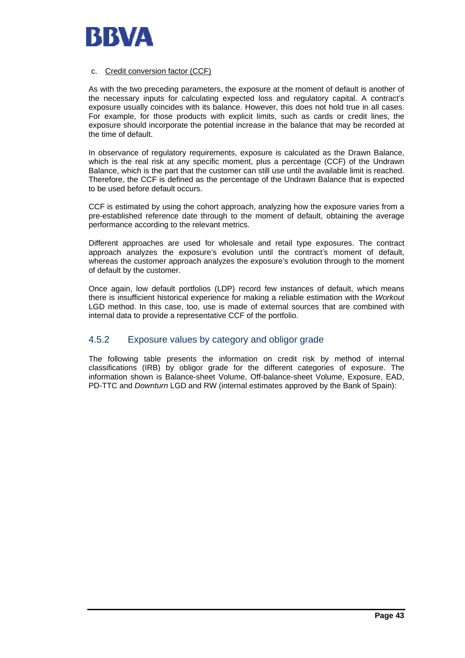

#### c. Credit conversion factor (CCF)

As with the two preceding parameters, the exposure at the moment of default is another of the necessary inputs for calculating expected loss and regulatory capital. A contract's exposure usually coincides with its balance. However, this does not hold true in all cases. For example, for those products with explicit limits, such as cards or credit lines, the exposure should incorporate the potential increase in the balance that may be recorded at the time of default.

In observance of regulatory requirements, exposure is calculated as the Drawn Balance, which is the real risk at any specific moment, plus a percentage (CCF) of the Undrawn Balance, which is the part that the customer can still use until the available limit is reached. Therefore, the CCF is defined as the percentage of the Undrawn Balance that is expected to be used before default occurs.

CCF is estimated by using the cohort approach, analyzing how the exposure varies from a pre-established reference date through to the moment of default, obtaining the average performance according to the relevant metrics.

Different approaches are used for wholesale and retail type exposures. The contract approach analyzes the exposure's evolution until the contract's moment of default, whereas the customer approach analyzes the exposure's evolution through to the moment of default by the customer.

Once again, low default portfolios (LDP) record few instances of default, which means there is insufficient historical experience for making a reliable estimation with the *Workout* LGD method. In this case, too, use is made of external sources that are combined with internal data to provide a representative CCF of the portfolio.

## 4.5.2 Exposure values by category and obligor grade

The following table presents the information on credit risk by method of internal classifications (IRB) by obligor grade for the different categories of exposure. The information shown is Balance-sheet Volume, Off-balance-sheet Volume, Exposure, EAD, PD-TTC and *Downturn* LGD and RW (internal estimates approved by the Bank of Spain):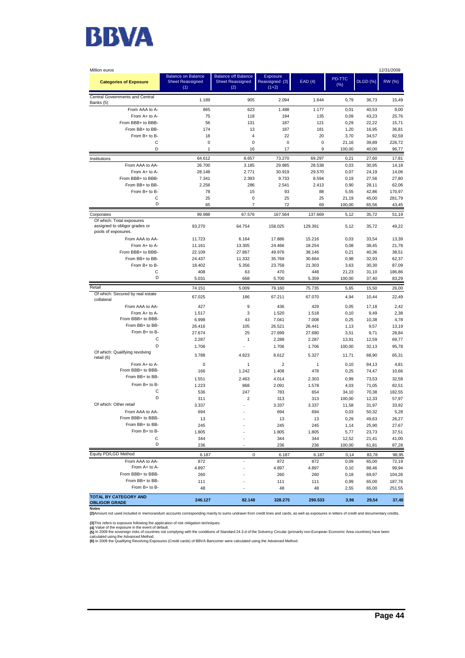

| Million euros                                                                     |                                                             |                                                              |                                       |             |                 |                 | 12/31/2009     |
|-----------------------------------------------------------------------------------|-------------------------------------------------------------|--------------------------------------------------------------|---------------------------------------|-------------|-----------------|-----------------|----------------|
| <b>Categories of Exposure</b>                                                     | <b>Balance on Balance</b><br><b>Sheet Reassigned</b><br>(1) | <b>Balance off Balance</b><br><b>Sheet Reassigned</b><br>(2) | Exposure<br>Reassigned (3)<br>$(1+2)$ | EAD(4)      | PD-TTC<br>(% )  | <b>DLGD (%)</b> | RW (%)         |
| Central Governments and Central<br>Banks (5)                                      | 1.189                                                       | 905                                                          | 2.094                                 | 1.644       | 0,79            | 36,73           | 15,49          |
| From AAA to A-                                                                    | 865                                                         | 623                                                          | 1.488                                 | 1.177       | 0,01            | 40,53           | 9,00           |
| From A+ to A-                                                                     | 75                                                          | 118                                                          | 194                                   | 135         | 0,09            | 43,23           | 25,76          |
| From BBB+ to BBB-                                                                 | 56                                                          | 131                                                          | 187                                   | 121         | 0,29            | 22,22           | 15,71          |
| From BB+ to BB-                                                                   | 174                                                         | 13                                                           | 187                                   | 181         | 1,20            | 16,95           | 36,81          |
| From B+ to B-                                                                     | 18                                                          | $\overline{4}$                                               | 22                                    | 20          | 3,70            | 34,57           | 92,59          |
| C                                                                                 | $\mathbf 0$                                                 | 0                                                            | 0                                     | $\mathbf 0$ | 21,16           | 39,89           | 226,72         |
| D                                                                                 | 1                                                           | 16                                                           | 17                                    | 9           | 100,00          | 40,00           | 96,77          |
| Institutions                                                                      | 64.612                                                      | 8.657                                                        | 73.270                                | 69.297      | 0,21            | 27,60           | 17,81          |
| From AAA to AA-                                                                   | 26.700                                                      | 3.185                                                        | 29.885                                | 28.538      | 0,03            | 30,95           | 14,18          |
| From A+ to A-                                                                     | 28.148                                                      | 2.771                                                        | 30.919                                | 29.570      | 0,07            | 24,19           | 14,06          |
| From BBB+ to BBB-                                                                 | 7.341                                                       | 2.393                                                        | 9.733                                 | 8.594       | 0,19            | 27,56           | 27,80          |
| From BB+ to BB-                                                                   | 2.256                                                       | 286                                                          | 2.541                                 | 2.413       | 0,90            | 28,11           | 62,06          |
| From B+ to B-                                                                     | 78                                                          | 15                                                           | 93                                    | 88          | 5,55            | 42,86           | 170,97         |
| C                                                                                 | 25                                                          | 0                                                            | 25                                    | 25          | 21,19           | 45,00           | 281,79         |
| D                                                                                 | 65                                                          | $\overline{7}$                                               | 72                                    | 69          | 100,00          | 65,56           | 43,45          |
| Corporates                                                                        | 99.988                                                      | 67.576                                                       | 167.564                               | 137.669     | 5,12            | 35,72           | 51,19          |
| Of which: Total exposures<br>assigned to obligor grades or<br>pools of exposures. | 93.270                                                      | 64.754                                                       | 158.025                               | 129.391     | 5,12            | 35,72           | 49,22          |
| From AAA to AA-                                                                   | 11.723                                                      | 6.164                                                        | 17.886                                | 15.216      | 0,03            | 33,54           | 13,39          |
| From A+ to A-                                                                     | 11.161                                                      | 13.305                                                       | 24.466                                | 18.254      | 0,08            | 38,45           | 21,78          |
| From BBB+ to BBB-                                                                 | 22.109                                                      | 27.867                                                       | 49.976                                | 38.146      | 0,21            | 40,36           | 38,51          |
| From BB+ to BB-                                                                   | 24.437                                                      | 11.332                                                       | 35.769                                | 30.664      | 0,98            | 32,93           | 62,37          |
| From B+ to B-                                                                     | 18.402                                                      | 5.356                                                        | 23.758                                | 21.303      | 3,63            | 30,30           | 87,09          |
| C                                                                                 | 408                                                         | 63                                                           | 470                                   | 448         | 21,23           | 31,10           | 186.86         |
| D                                                                                 | 5.031                                                       | 668                                                          | 5.700                                 | 5.359       | 100,00          | 37,40           | 83,29          |
| Retail                                                                            |                                                             |                                                              |                                       |             |                 |                 |                |
| Of which: Secured by real estate                                                  | 74.151                                                      | 5.009                                                        | 79.160                                | 75.735      | 5,65            | 15,50           | 26,00          |
| collateral                                                                        | 67.025                                                      | 186                                                          | 67.211                                | 67.070      | 4,94            | 10,44           | 22,49          |
| From AAA to AA-                                                                   | 427                                                         | 9                                                            | 436                                   | 429         | 0,05            | 17,18           | 2,42           |
| From A+ to A-                                                                     | 1.517                                                       | 3                                                            | 1.520                                 | 1.518       | 0, 10           | 9,49            | 2,38           |
| From BBB+ to BBB-                                                                 | 6.998                                                       | 43                                                           | 7.041                                 | 7.008       | 0,25            | 10,38           | 4,78           |
| From BB+ to BB-                                                                   | 26.416                                                      | 105                                                          | 26.521                                | 26.441      | 1,13            | 9,57            | 13,19          |
| From B+ to B-                                                                     | 27.674                                                      | 25                                                           | 27.699                                | 27.680      | 3,51            | 9,71            | 28,84          |
| C                                                                                 | 2.287                                                       | $\mathbf{1}$                                                 | 2.288                                 | 2.287       | 13,91           | 12,59           | 69,77          |
| D<br>Of which: Qualifying revolving                                               | 1.706                                                       |                                                              | 1.706                                 | 1.706       | 100,00          | 32,13           | 95,78          |
| retail (6)                                                                        | 3.788                                                       | 4.823                                                        | 8.612                                 | 5.327       | 11,71           | 68,90           | 65,31          |
| From A+ to A-                                                                     | 0                                                           | $\mathbf{1}$                                                 | 2                                     | 1           | 0, 10           | 84,13           | 4,81           |
| From BBB+ to BBB-                                                                 | 166                                                         | 1.242                                                        | 1.408                                 | 478         | 0,25            | 74,47           | 10,66          |
| From BB+ to BB-                                                                   | 1.551                                                       | 2.463                                                        | 4.014                                 | 2.303       | 0,99            | 73,53           | 32,58          |
| From B+ to B-                                                                     | 1.223                                                       | 868                                                          | 2.091                                 | 1.578       | 4,03            | 71,05           | 82,51          |
| C                                                                                 | 536                                                         | 247                                                          | 783                                   | 654         | 34,10           | 70,38           | 182,55         |
| D                                                                                 | 311                                                         | $\overline{2}$                                               | 313                                   | 313         | 100,00          | 12,33           | 57,97          |
| Of which: Other retail                                                            | 3.337                                                       | ٠                                                            | 3.337                                 | 3.337       | 11,58           | 31,97           | 33,92          |
| From AAA to AA-                                                                   | 694                                                         | ٠                                                            | 694                                   | 694         | 0,03            | 50,32           | 5,28           |
| From BBB+ to BBB-<br>From BB+ to BB-                                              | 13                                                          |                                                              | 13                                    | 13          | 0,29            | 49,63           | 26,27          |
| From B+ to B-                                                                     | 245                                                         |                                                              | 245                                   | 245         | 1,14            | 25,90           | 27,67          |
| с                                                                                 | 1.805                                                       |                                                              | 1.805                                 | 1.805       | 5,77            | 23,73           | 37,51          |
| D                                                                                 | 344<br>236                                                  |                                                              | 344<br>236                            | 344<br>236  | 12,52<br>100,00 | 21,41<br>61,81  | 41,00<br>87,28 |
|                                                                                   |                                                             |                                                              |                                       |             |                 |                 |                |
| Equity PD/LGD Method                                                              | 6.187                                                       | 0                                                            | 6.187                                 | 6.187       | 0,14            | 83,78           | 98,95          |
| From AAA to AA-                                                                   | 872                                                         | ä,                                                           | 872                                   | 872         | 0,09            | 65,00           | 72,19          |
| From A+ to A-                                                                     | 4.897                                                       |                                                              | 4.897                                 | 4.897       | 0, 10           | 88,46           | 99,94          |
| From BBB+ to BBB-                                                                 | 260                                                         |                                                              | 260                                   | 260         | 0, 18           | 69,97           | 104,26         |
| From BB+ to BB-<br>From B+ to B-                                                  | 111                                                         |                                                              | 111                                   | 111         | 0,99            | 65,00           | 187,76         |
|                                                                                   | 48                                                          |                                                              | 48                                    | 48          | 2,55            | 65,00           | 251,55         |
| <b>TOTAL BY CATEGORY AND</b><br><b>OBLIGOR GRADE</b>                              | 246.127                                                     | 82.148                                                       | 328.275                               | 290.533     | 3,96            | 29,54           | 37,48          |

**(3)**This refers to exposure following the application of risk mitigation techniques.<br>**(4)** Value of the exposure in the event of default.

**(5)** In 2009 the sovereign risks of countries not complying with the conditions of Standard 24.3.d of the Solvency Circular (primarily non-European Economic Area countries) have been<br>calculated using the Advanced Method.

**(6)** In 2009 the Qualifying Revolving Exposures (Credit cards) of BBVA Bancomer were calculated using the Advanced Method.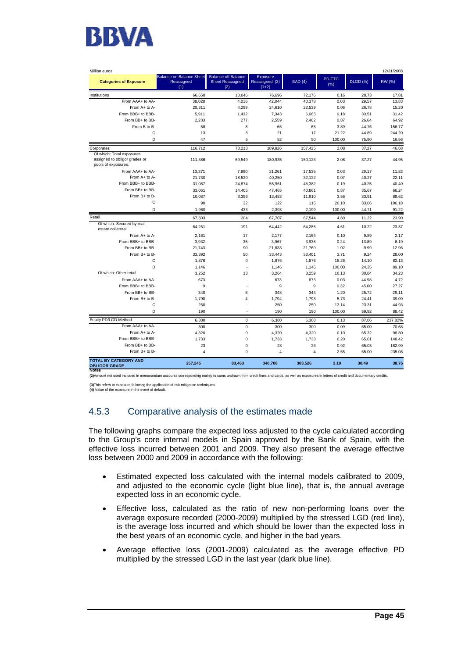

| Million euros                                                                     |                                                      |                                                              |                                       |                |                |                 | 12/31/2008 |
|-----------------------------------------------------------------------------------|------------------------------------------------------|--------------------------------------------------------------|---------------------------------------|----------------|----------------|-----------------|------------|
| <b>Categories of Exposure</b>                                                     | <b>Balance on Balance Sheet</b><br>Reassigned<br>(1) | <b>Balance off Balance</b><br><b>Sheet Reassigned</b><br>(2) | Exposure<br>Reassigned (3)<br>$(1+2)$ | EAD(4)         | PD-TTC<br>(% ) | <b>DLGD (%)</b> | RW (%)     |
| Institutions                                                                      | 66,650                                               | 10,046                                                       | 76,696                                | 72,176         | 0.16           | 28.73           | 17.81      |
| From AAA+ to AA-                                                                  | 38,028                                               | 4,016                                                        | 42,044                                | 40,378         | 0.03           | 29.57           | 13.83      |
| From A+ to A-                                                                     | 20,311                                               | 4,299                                                        | 24,610                                | 22,539         | 0.06           | 26.78           | 15.20      |
| From BBB+ to BBB-                                                                 | 5,911                                                | 1,432                                                        | 7,343                                 | 6,665          | 0.18           | 30.51           | 31.42      |
| From BB+ to BB-                                                                   | 2.283                                                | 277                                                          | 2.559                                 | 2.462          | 0.87           | 26.64           | 64.92      |
| From B to B-                                                                      | 58                                                   | 8                                                            | 66                                    | 65             | 3.89           | 44.76           | 156.77     |
| C                                                                                 | 13                                                   | 8                                                            | 21                                    | 17             | 21.22          | 44.89           | 244.20     |
| D                                                                                 | 47                                                   | 5                                                            | 52                                    | 50             | 100.00         | 75.90           | 16.56      |
| Corporates                                                                        | 116,712                                              | 73,213                                                       | 189.926                               | 157,425        | 2.08           | 37.27           | 46.68      |
| Of which: Total exposures<br>assigned to obligor grades or<br>pools of exposures. | 111,386                                              | 69,549                                                       | 180,935                               | 150,123        | 2.08           | 37.27           | 44.95      |
| From AAA+ to AA-                                                                  | 13.371                                               | 7.890                                                        | 21.261                                | 17.535         | 0.03           | 29.17           | 11.82      |
| From A+ to A-                                                                     | 21.730                                               | 18.520                                                       | 40.250                                | 32.122         | 0.07           | 40.27           | 22.11      |
| From BBB+ to BBB-                                                                 | 31.087                                               | 24,874                                                       | 55.961                                | 45,382         | 0.19           | 40.25           | 40.40      |
| From BB+ to BB-                                                                   | 33,061                                               | 14,405                                                       | 47,465                                | 40,861         | 0.87           | 35.67           | 66.24      |
| From B+ to B-                                                                     | 10,087                                               | 3,396                                                        | 13,483                                | 11,910         | 3.56           | 33.91           | 89.62      |
| C                                                                                 | 90                                                   | 32                                                           | 122                                   | 115            | 20.10          | 33.06           | 196.18     |
| D                                                                                 | 1,960                                                | 433                                                          | 2,393                                 | 2,199          | 100.00         | 44.71           | 91.22      |
| Retail                                                                            | 67.503                                               | 204                                                          | 67,707                                | 67,544         | 4.80           | 11.22           | 23.90      |
| Of which: Secured by real<br>estate collateral                                    | 64.251                                               | 191                                                          | 64.442                                | 64,285         | 4.61           | 10.22           | 23.37      |
| From A+ to A-                                                                     | 2,161                                                | 17                                                           | 2,177                                 | 2,164          | 0.10           | 9.89            | 2.17       |
| From BBB+ to BBB-                                                                 | 3,932                                                | 35                                                           | 3,967                                 | 3,938          | 0.24           | 13.89           | 6.19       |
| From BB+ to BB-                                                                   | 21,743                                               | 90                                                           | 21,833                                | 21,760         | 1.02           | 9.99            | 12.96      |
| From B+ to B-                                                                     | 33,392                                               | 50                                                           | 33,443                                | 33,401         | 3.71           | 9.24            | 28.00      |
| C                                                                                 | 1,876                                                | $\mathbf 0$                                                  | 1.876                                 | 1.876          | 18.26          | 14.10           | 82.13      |
| D                                                                                 | 1,146                                                | ÷,                                                           | 1,146                                 | 1,146          | 100.00         | 24.35           | 89.10      |
| Of which: Other retail                                                            | 3,252                                                | 13                                                           | 3,264                                 | 3,259          | 10.13          | 30.84           | 34.23      |
| From AAA+ to AA-                                                                  | 673                                                  | ×,                                                           | 673                                   | 673            | 0.03           | 44.98           | 4.72       |
| From BBB+ to BBB-                                                                 | 9                                                    |                                                              | 9                                     | 9              | 0.32           | 45.00           | 27.27      |
| From BB+ to BB-                                                                   | 340                                                  | 8                                                            | 348                                   | 344            | 1.20           | 25.72           | 29.11      |
| From B+ to B-                                                                     | 1,790                                                | $\overline{4}$                                               | 1,794                                 | 1,793          | 5.73           | 24.41           | 39.09      |
| C                                                                                 | 250                                                  | ٠                                                            | 250                                   | 250            | 13.14          | 23.31           | 44.93      |
| D                                                                                 | 190                                                  | ٠                                                            | 190                                   | 190            | 100.00         | 59.92           | 88.42      |
| Equity PD/LGD Method                                                              | 6,380                                                | $\mathbf 0$                                                  | 6,380                                 | 6,380          | 0.13           | 87.06           | 237.82%    |
| From AAA+ to AA-                                                                  | 300                                                  | $\mathbf 0$                                                  | 300                                   | 300            | 0.09           | 65.00           | 70.68      |
| From A+ to A-                                                                     | 4,320                                                | 0                                                            | 4,320                                 | 4,320          | 0.10           | 65.32           | 98.80      |
| From BBB+ to BBB-                                                                 | 1,733                                                | $\mathbf 0$                                                  | 1,733                                 | 1,733          | 0.20           | 65.01           | 148.42     |
| From BB+ to BB-                                                                   | 23                                                   | $\mathbf 0$                                                  | 23                                    | 23             | 0.92           | 65.03           | 182.99     |
| From B+ to B-                                                                     | $\overline{4}$                                       | $\mathbf 0$                                                  | $\overline{4}$                        | $\overline{4}$ | 2.55           | 65.00           | 235.08     |
| <b>TOTAL BY CATEGORY AND</b><br><b>OBLIGOR GRADE</b><br><b>NOTES</b>              | 257,245                                              | 83,463                                                       | 340,708                               | 303,526        | 2.19           | 30.49           | 38.76      |

**(2)**Amount not used included in memorandum accounts corresponding mainly to sums undrawn from credit lines and cards, as well as exposures in letters of credit and documentary credits.

**(3)**This refers to exposure following the application of risk mitigation techniques. **(4)** Value of the exposure in the event of default.

## 4.5.3 Comparative analysis of the estimates made

The following graphs compare the expected loss adjusted to the cycle calculated according to the Group's core internal models in Spain approved by the Bank of Spain, with the effective loss incurred between 2001 and 2009. They also present the average effective loss between 2000 and 2009 in accordance with the following:

- Estimated expected loss calculated with the internal models calibrated to 2009, and adjusted to the economic cycle (light blue line), that is, the annual average expected loss in an economic cycle.
- Effective loss, calculated as the ratio of new non-performing loans over the average exposure recorded (2000-2009) multiplied by the stressed LGD (red line), is the average loss incurred and which should be lower than the expected loss in the best years of an economic cycle, and higher in the bad years.
- Average effective loss (2001-2009) calculated as the average effective PD multiplied by the stressed LGD in the last year (dark blue line).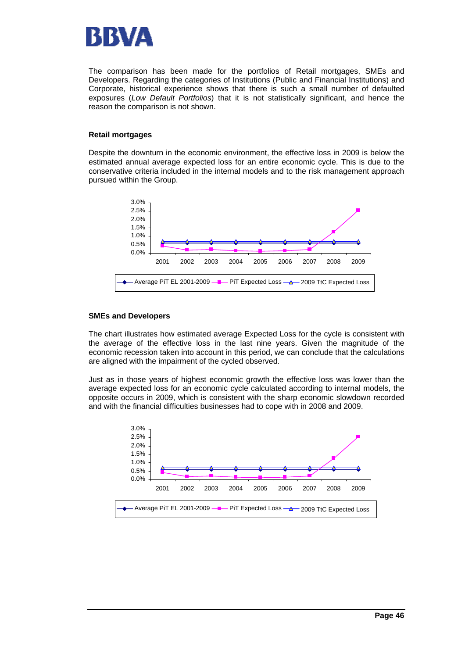

The comparison has been made for the portfolios of Retail mortgages, SMEs and Developers. Regarding the categories of Institutions (Public and Financial Institutions) and Corporate, historical experience shows that there is such a small number of defaulted exposures (*Low Default Portfolios*) that it is not statistically significant, and hence the reason the comparison is not shown.

#### **Retail mortgages**

Despite the downturn in the economic environment, the effective loss in 2009 is below the estimated annual average expected loss for an entire economic cycle. This is due to the conservative criteria included in the internal models and to the risk management approach pursued within the Group.



#### **SMEs and Developers**

The chart illustrates how estimated average Expected Loss for the cycle is consistent with the average of the effective loss in the last nine years. Given the magnitude of the economic recession taken into account in this period, we can conclude that the calculations are aligned with the impairment of the cycled observed.

Just as in those years of highest economic growth the effective loss was lower than the average expected loss for an economic cycle calculated according to internal models, the opposite occurs in 2009, which is consistent with the sharp economic slowdown recorded and with the financial difficulties businesses had to cope with in 2008 and 2009.

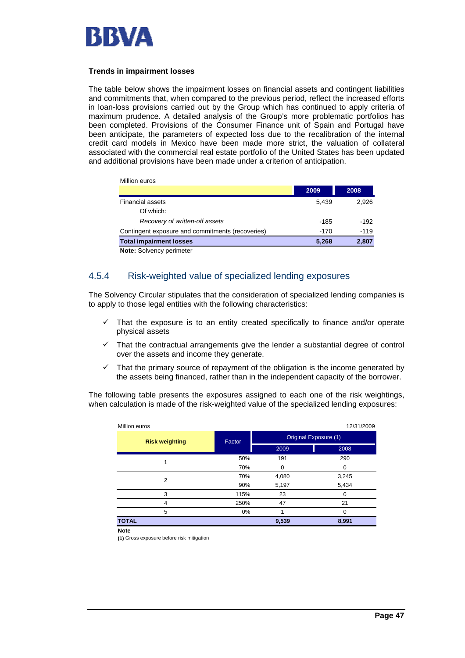

#### **Trends in impairment losses**

Million euros

The table below shows the impairment losses on financial assets and contingent liabilities and commitments that, when compared to the previous period, reflect the increased efforts in loan-loss provisions carried out by the Group which has continued to apply criteria of maximum prudence. A detailed analysis of the Group's more problematic portfolios has been completed. Provisions of the Consumer Finance unit of Spain and Portugal have been anticipate, the parameters of expected loss due to the recalibration of the internal credit card models in Mexico have been made more strict, the valuation of collateral associated with the commercial real estate portfolio of the United States has been updated and additional provisions have been made under a criterion of anticipation.

| <b>IVIIIIUII CUIUS</b>                           |        |        |
|--------------------------------------------------|--------|--------|
|                                                  | 2009   | 2008   |
| <b>Financial assets</b>                          | 5.439  | 2.926  |
| Of which:                                        |        |        |
| Recovery of written-off assets                   | -185   | $-192$ |
| Contingent exposure and commitments (recoveries) | $-170$ | $-119$ |
| <b>Total impairment losses</b>                   | 5.268  | 2,807  |
| <b>Note:</b> Solvency perimeter                  |        |        |

## 4.5.4 Risk-weighted value of specialized lending exposures

The Solvency Circular stipulates that the consideration of specialized lending companies is to apply to those legal entities with the following characteristics:

- $\checkmark$  That the exposure is to an entity created specifically to finance and/or operate physical assets
- $\checkmark$  That the contractual arrangements give the lender a substantial degree of control over the assets and income they generate.
- $\checkmark$  That the primary source of repayment of the obligation is the income generated by the assets being financed, rather than in the independent capacity of the borrower.

The following table presents the exposures assigned to each one of the risk weightings, when calculation is made of the risk-weighted value of the specialized lending exposures:

| Million euros         |        |                       | 12/31/2009 |  |
|-----------------------|--------|-----------------------|------------|--|
| <b>Risk weighting</b> | Factor | Original Exposure (1) |            |  |
|                       |        | 2009                  | 2008       |  |
| 1                     | 50%    | 191                   | 290        |  |
|                       | 70%    | $\Omega$              | 0          |  |
| 2                     | 70%    | 4,080                 | 3,245      |  |
|                       | 90%    | 5,197                 | 5,434      |  |
| 3                     | 115%   | 23                    | O          |  |
| 4                     | 250%   | 47                    | 21         |  |
| 5                     | 0%     |                       | 0          |  |
| <b>TOTAL</b>          |        | 9,539                 | 8,991      |  |
| <b>Note</b>           |        |                       |            |  |

**(1)** Gross exposure before risk mitigation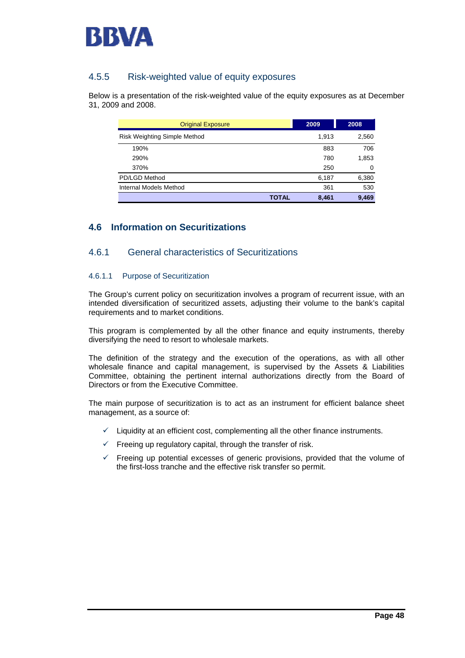

## 4.5.5 Risk-weighted value of equity exposures

Below is a presentation of the risk-weighted value of the equity exposures as at December 31, 2009 and 2008.

| <b>Original Exposure</b>            | 2009  | 2008  |
|-------------------------------------|-------|-------|
| <b>Risk Weighting Simple Method</b> | 1,913 | 2,560 |
| 190%                                | 883   | 706   |
| 290%                                | 780   | 1,853 |
| 370%                                | 250   | 0     |
| PD/LGD Method                       | 6,187 | 6,380 |
| Internal Models Method              | 361   | 530   |
| TOTAL                               | 8,461 | 9.469 |

## **4.6 Information on Securitizations**

## 4.6.1 General characteristics of Securitizations

#### 4.6.1.1 Purpose of Securitization

The Group's current policy on securitization involves a program of recurrent issue, with an intended diversification of securitized assets, adjusting their volume to the bank's capital requirements and to market conditions.

This program is complemented by all the other finance and equity instruments, thereby diversifying the need to resort to wholesale markets.

The definition of the strategy and the execution of the operations, as with all other wholesale finance and capital management, is supervised by the Assets & Liabilities Committee, obtaining the pertinent internal authorizations directly from the Board of Directors or from the Executive Committee.

The main purpose of securitization is to act as an instrument for efficient balance sheet management, as a source of:

- $\checkmark$  Liquidity at an efficient cost, complementing all the other finance instruments.
- $\checkmark$  Freeing up regulatory capital, through the transfer of risk.
- $\checkmark$  Freeing up potential excesses of generic provisions, provided that the volume of the first-loss tranche and the effective risk transfer so permit.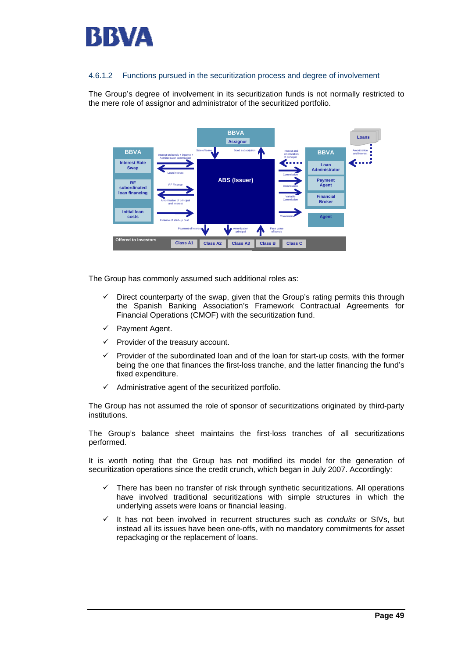

#### 4.6.1.2 Functions pursued in the securitization process and degree of involvement

The Group's degree of involvement in its securitization funds is not normally restricted to the mere role of assignor and administrator of the securitized portfolio.



The Group has commonly assumed such additional roles as:

- $\checkmark$  Direct counterparty of the swap, given that the Group's rating permits this through the Spanish Banking Association's Framework Contractual Agreements for Financial Operations (CMOF) with the securitization fund.
- $\checkmark$  Payment Agent.
- Provider of the treasury account.
- 9 Provider of the subordinated loan and of the loan for start-up costs, with the former being the one that finances the first-loss tranche, and the latter financing the fund's fixed expenditure.
- $\checkmark$  Administrative agent of the securitized portfolio.

The Group has not assumed the role of sponsor of securitizations originated by third-party institutions.

The Group's balance sheet maintains the first-loss tranches of all securitizations performed.

It is worth noting that the Group has not modified its model for the generation of securitization operations since the credit crunch, which began in July 2007. Accordingly:

- $\checkmark$  There has been no transfer of risk through synthetic securitizations. All operations have involved traditional securitizations with simple structures in which the underlying assets were loans or financial leasing.
- $\checkmark$  It has not been involved in recurrent structures such as *conduits* or SIVs, but instead all its issues have been one-offs, with no mandatory commitments for asset repackaging or the replacement of loans.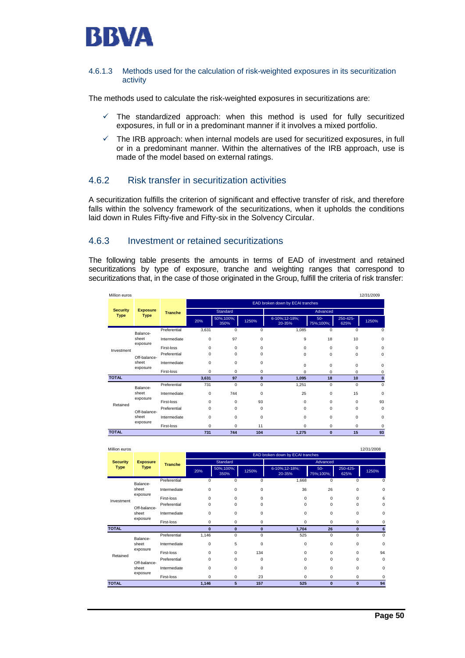

#### 4.6.1.3 Methods used for the calculation of risk-weighted exposures in its securitization activity

The methods used to calculate the risk-weighted exposures in securitizations are:

- $\checkmark$  The standardized approach: when this method is used for fully securitized exposures, in full or in a predominant manner if it involves a mixed portfolio.
- $\checkmark$  The IRB approach: when internal models are used for securitized exposures, in full or in a predominant manner. Within the alternatives of the IRB approach, use is made of the model based on external ratings.

## 4.6.2 Risk transfer in securitization activities

A securitization fulfills the criterion of significant and effective transfer of risk, and therefore falls within the solvency framework of the securitizations, when it upholds the conditions laid down in Rules Fifty-five and Fifty-six in the Solvency Circular.

## 4.6.3 Investment or retained securitizations

The following table presents the amounts in terms of EAD of investment and retained securitizations by type of exposure, tranche and weighting ranges that correspond to securitizations that, in the case of those originated in the Group, fulfill the criteria of risk transfer:

| Million euros   |                 |                |                                  |                   |             |                         |                    |                  | 12/31/2009 |
|-----------------|-----------------|----------------|----------------------------------|-------------------|-------------|-------------------------|--------------------|------------------|------------|
|                 |                 |                | EAD broken down by ECAI tranches |                   |             |                         |                    |                  |            |
| <b>Security</b> | <b>Exposure</b> | <b>Tranche</b> |                                  | Standard          |             | Advanced                |                    |                  |            |
| <b>Type</b>     | <b>Type</b>     |                | 20%                              | 50%;100%;<br>350% | 1250%       | 6-10%;12-18%;<br>20-35% | $50-$<br>75%;100%; | 250-425-<br>625% | 1250%      |
|                 | Balance-        | Preferential   | 3,631                            | 0                 | 0           | 1,085                   | 0                  | $\Omega$         | 0          |
|                 | sheet           | Intermediate   | $\mathbf 0$                      | 97                | $\mathbf 0$ | 9                       | 18                 | 10               | 0          |
| Investment      | exposure        | First-loss     | $\Omega$                         | $\Omega$          | $\Omega$    | $\Omega$                | 0                  | $\Omega$         | 0          |
|                 | Off-balance-    | Preferential   | $\Omega$                         | $\Omega$          | 0           | $\Omega$                | 0                  | $\Omega$         | 0          |
|                 | sheet           | Intermediate   | $\Omega$                         | 0                 | $\mathbf 0$ | $\Omega$                | 0                  | $\Omega$         | 0          |
|                 | exposure        | First-loss     | $\mathbf 0$                      | 0                 | 0           | $\Omega$                | 0                  | $\Omega$         | 0          |
| <b>TOTAL</b>    |                 |                | 3,631                            | 97                | $\bf{0}$    | 1.095                   | 18                 | 10               | $\bf{0}$   |
|                 | Balance-        | Preferential   | 731                              | $\Omega$          | 0           | 1,251                   | 0                  | $\Omega$         | $\Omega$   |
|                 | sheet           | Intermediate   | $\mathbf 0$                      | 744               | $\Omega$    | 25                      | 0                  | 15               | 0          |
| Retained        | exposure        | First-loss     | $\Omega$                         | $\Omega$          | 93          | $\Omega$                | 0                  | $\Omega$         | 93         |
|                 | Off-balance-    | Preferential   | $\Omega$                         | $\Omega$          | $\Omega$    | $\Omega$                | 0                  | $\Omega$         | 0          |
|                 | sheet           | Intermediate   | $\Omega$                         | $\Omega$          | $\Omega$    | $\Omega$                | 0                  | $\Omega$         | 0          |
|                 | exposure        | First-loss     | 0                                | 0                 | 11          | $\Omega$                | 0                  | 0                | $\Omega$   |
| <b>TOTAL</b>    |                 |                | 731                              | 744               | 104         | 1,275                   | $\bf{0}$           | 15               | 93         |

| Million euros         |                   |                |                                  |                   |          |                         |                    |                  | 12/31/2008  |
|-----------------------|-------------------|----------------|----------------------------------|-------------------|----------|-------------------------|--------------------|------------------|-------------|
|                       |                   |                | EAD broken down by ECAI tranches |                   |          |                         |                    |                  |             |
| <b>Security</b>       | <b>Exposure</b>   | <b>Tranche</b> |                                  | <b>Standard</b>   |          |                         | Advanced           |                  |             |
| <b>Type</b>           | <b>Type</b>       |                | 20%                              | 50%;100%;<br>350% | 1250%    | 6-10%;12-18%;<br>20-35% | $50-$<br>75%;100%; | 250-425-<br>625% | 1250%       |
|                       | Balance-          | Preferential   | $\Omega$                         | $\mathbf 0$       | $\Omega$ | 1,668                   | 0                  | $\Omega$         | $\Omega$    |
|                       | sheet<br>exposure | Intermediate   | 0                                | $\mathbf 0$       | 0        | 36                      | 26                 | 0                | 0           |
| Investment            |                   | First-loss     | $\Omega$                         | $\mathbf 0$       | $\Omega$ | $\Omega$                | 0                  | $\Omega$         | 6           |
| Off-balance-<br>sheet | Preferential      | 0              | 0                                | 0                 | 0        | 0                       | 0                  | 0                |             |
|                       | exposure          | Intermediate   | $\Omega$                         | 0                 | 0        | $\Omega$                | 0                  | $\Omega$         | 0           |
|                       |                   | First-loss     | $\Omega$                         | $\mathbf 0$       | 0        | $\Omega$                | 0                  | 0                | $\Omega$    |
| <b>TOTAL</b>          |                   |                | $\bf{0}$                         | $\bf{0}$          | $\bf{0}$ | 1,704                   | 26                 | $\bf{0}$         | 6           |
|                       | Balance-          | Preferential   | 1,146                            | $\mathbf 0$       | 0        | 525                     | 0                  | $\Omega$         | $\Omega$    |
|                       | sheet<br>exposure | Intermediate   | $\mathbf 0$                      | 5                 | 0        | 0                       | 0                  | 0                | $\mathbf 0$ |
| Retained              |                   | First-loss     | $\Omega$                         | $\mathbf 0$       | 134      | $\Omega$                | 0                  | $\Omega$         | 94          |
|                       | Off-balance-      | Preferential   | $\Omega$                         | $\mathbf 0$       | $\Omega$ | $\Omega$                | 0                  | 0                | 0           |
|                       | sheet<br>exposure | Intermediate   | 0                                | 0                 | 0        | 0                       | 0                  | 0                | 0           |
|                       |                   | First-loss     | 0                                | $\mathbf 0$       | 23       | 0                       | 0                  | 0                | $\Omega$    |
| <b>TOTAL</b>          |                   |                | 1,146                            | 5                 | 157      | 525                     | $\bf{0}$           | $\bf{0}$         | 94          |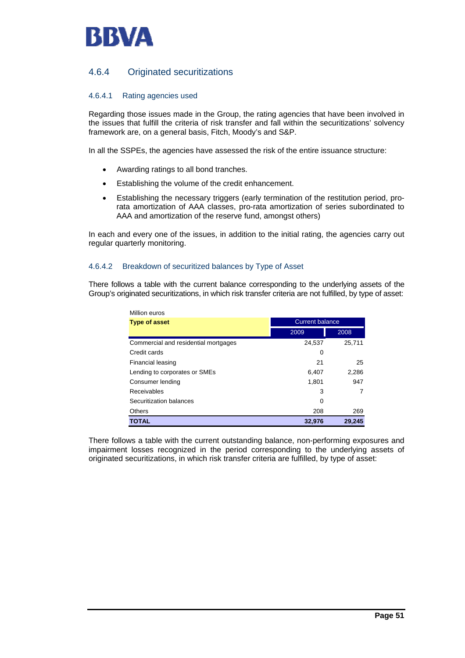

## 4.6.4 Originated securitizations

#### 4.6.4.1 Rating agencies used

Regarding those issues made in the Group, the rating agencies that have been involved in the issues that fulfill the criteria of risk transfer and fall within the securitizations' solvency framework are, on a general basis, Fitch, Moody's and S&P.

In all the SSPEs, the agencies have assessed the risk of the entire issuance structure:

- Awarding ratings to all bond tranches.
- Establishing the volume of the credit enhancement.
- Establishing the necessary triggers (early termination of the restitution period, prorata amortization of AAA classes, pro-rata amortization of series subordinated to AAA and amortization of the reserve fund, amongst others)

In each and every one of the issues, in addition to the initial rating, the agencies carry out regular quarterly monitoring.

#### 4.6.4.2 Breakdown of securitized balances by Type of Asset

There follows a table with the current balance corresponding to the underlying assets of the Group's originated securitizations, in which risk transfer criteria are not fulfilled, by type of asset:

| Million euros                        |                        |        |
|--------------------------------------|------------------------|--------|
| <b>Type of asset</b>                 | <b>Current balance</b> |        |
|                                      | 2009                   | 2008   |
| Commercial and residential mortgages | 24,537                 | 25,711 |
| Credit cards                         | 0                      |        |
| Financial leasing                    | 21                     | 25     |
| Lending to corporates or SMEs        | 6,407                  | 2,286  |
| Consumer lending                     | 1,801                  | 947    |
| Receivables                          | 3                      |        |
| Securitization balances              | 0                      |        |
| <b>Others</b>                        | 208                    | 269    |
| TOTAL                                | 32,976                 | 29,245 |

There follows a table with the current outstanding balance, non-performing exposures and impairment losses recognized in the period corresponding to the underlying assets of originated securitizations, in which risk transfer criteria are fulfilled, by type of asset: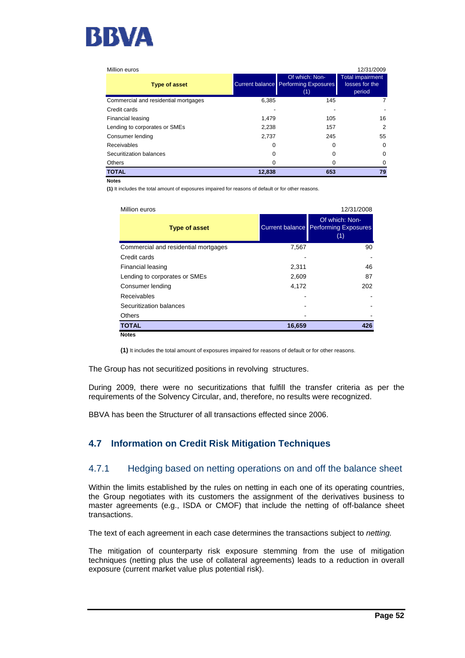

| Million euros                        |        |                                                                      | 12/31/2009                                          |
|--------------------------------------|--------|----------------------------------------------------------------------|-----------------------------------------------------|
| <b>Type of asset</b>                 |        | Of which: Non-<br><b>Current balance Performing Exposures</b><br>(1) | <b>Total impairment</b><br>losses for the<br>period |
| Commercial and residential mortgages | 6,385  | 145                                                                  |                                                     |
| Credit cards                         |        |                                                                      |                                                     |
| Financial leasing                    | 1.479  | 105                                                                  | 16                                                  |
| Lending to corporates or SMEs        | 2,238  | 157                                                                  | 2                                                   |
| Consumer lending                     | 2,737  | 245                                                                  | 55                                                  |
| Receivables                          | O      | 0                                                                    | $\Omega$                                            |
| Securitization balances              | 0      | 0                                                                    | 0                                                   |
| <b>Others</b>                        |        | O                                                                    |                                                     |
| <b>TOTAL</b>                         | 12,838 | 653                                                                  | 79                                                  |

**Notes**

**(1)** It includes the total amount of exposures impaired for reasons of default or for other reasons.

| Million euros                        |        | 12/31/2008                                                    |
|--------------------------------------|--------|---------------------------------------------------------------|
| <b>Type of asset</b>                 |        | Of which: Non-<br>Current balance Performing Exposures<br>(1) |
| Commercial and residential mortgages | 7,567  | 90                                                            |
| Credit cards                         |        |                                                               |
| Financial leasing                    | 2,311  | 46                                                            |
| Lending to corporates or SMEs        | 2,609  | 87                                                            |
| Consumer lending                     | 4,172  | 202                                                           |
| Receivables                          |        |                                                               |
| Securitization balances              |        |                                                               |
| <b>Others</b>                        |        |                                                               |
| <b>TOTAL</b>                         | 16,659 | 426                                                           |
| <b>Notes</b>                         |        |                                                               |

**(1)** It includes the total amount of exposures impaired for reasons of default or for other reasons.

The Group has not securitized positions in revolving structures.

During 2009, there were no securitizations that fulfill the transfer criteria as per the requirements of the Solvency Circular, and, therefore, no results were recognized.

BBVA has been the Structurer of all transactions effected since 2006.

## **4.7 Information on Credit Risk Mitigation Techniques**

## 4.7.1 Hedging based on netting operations on and off the balance sheet

Within the limits established by the rules on netting in each one of its operating countries, the Group negotiates with its customers the assignment of the derivatives business to master agreements (e.g., ISDA or CMOF) that include the netting of off-balance sheet transactions.

The text of each agreement in each case determines the transactions subject to *netting.*

The mitigation of counterparty risk exposure stemming from the use of mitigation techniques (netting plus the use of collateral agreements) leads to a reduction in overall exposure (current market value plus potential risk).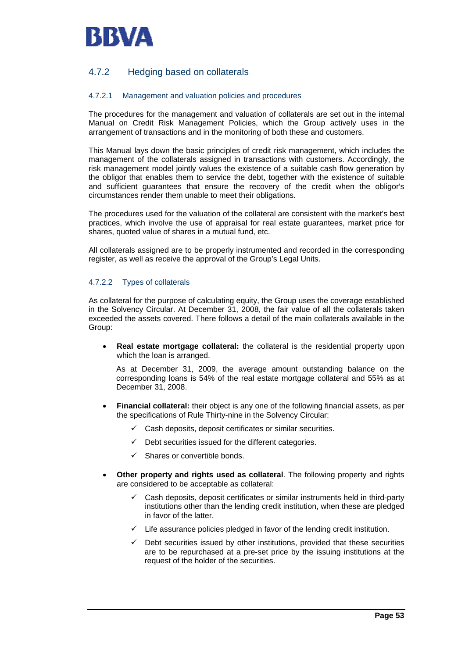

## 4.7.2 Hedging based on collaterals

#### 4.7.2.1 Management and valuation policies and procedures

The procedures for the management and valuation of collaterals are set out in the internal Manual on Credit Risk Management Policies, which the Group actively uses in the arrangement of transactions and in the monitoring of both these and customers.

This Manual lays down the basic principles of credit risk management, which includes the management of the collaterals assigned in transactions with customers. Accordingly, the risk management model jointly values the existence of a suitable cash flow generation by the obligor that enables them to service the debt, together with the existence of suitable and sufficient guarantees that ensure the recovery of the credit when the obligor's circumstances render them unable to meet their obligations.

The procedures used for the valuation of the collateral are consistent with the market's best practices, which involve the use of appraisal for real estate guarantees, market price for shares, quoted value of shares in a mutual fund, etc.

All collaterals assigned are to be properly instrumented and recorded in the corresponding register, as well as receive the approval of the Group's Legal Units.

#### 4.7.2.2 Types of collaterals

As collateral for the purpose of calculating equity, the Group uses the coverage established in the Solvency Circular. At December 31, 2008, the fair value of all the collaterals taken exceeded the assets covered. There follows a detail of the main collaterals available in the Group:

• **Real estate mortgage collateral:** the collateral is the residential property upon which the loan is arranged.

As at December 31, 2009, the average amount outstanding balance on the corresponding loans is 54% of the real estate mortgage collateral and 55% as at December 31, 2008.

- **Financial collateral:** their object is any one of the following financial assets, as per the specifications of Rule Thirty-nine in the Solvency Circular:
	- $\checkmark$  Cash deposits, deposit certificates or similar securities.
	- $\checkmark$  Debt securities issued for the different categories.
	- $\checkmark$  Shares or convertible bonds.
- **Other property and rights used as collateral**. The following property and rights are considered to be acceptable as collateral:
	- 9 Cash deposits, deposit certificates or similar instruments held in third-party institutions other than the lending credit institution, when these are pledged in favor of the latter.
	- $\checkmark$  Life assurance policies pledged in favor of the lending credit institution.
	- $\checkmark$  Debt securities issued by other institutions, provided that these securities are to be repurchased at a pre-set price by the issuing institutions at the request of the holder of the securities.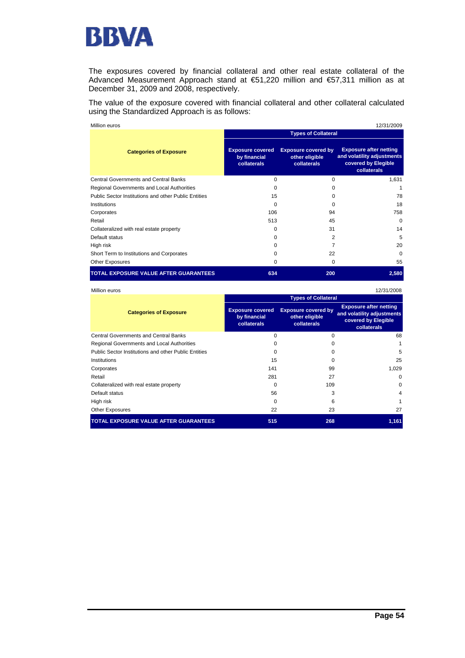

The exposures covered by financial collateral and other real estate collateral of the Advanced Measurement Approach stand at €51,220 million and €57,311 million as at December 31, 2009 and 2008, respectively.

The value of the exposure covered with financial collateral and other collateral calculated using the Standardized Approach is as follows:

| Million euros                                        | 12/31/2009                                             |                                                             |                                                                                                   |  |  |
|------------------------------------------------------|--------------------------------------------------------|-------------------------------------------------------------|---------------------------------------------------------------------------------------------------|--|--|
|                                                      | <b>Types of Collateral</b>                             |                                                             |                                                                                                   |  |  |
| <b>Categories of Exposure</b>                        | <b>Exposure covered</b><br>by financial<br>collaterals | <b>Exposure covered by</b><br>other eligible<br>collaterals | <b>Exposure after netting</b><br>and volatility adjustments<br>covered by Elegible<br>collaterals |  |  |
| <b>Central Governments and Central Banks</b>         | $\Omega$                                               | 0                                                           | 1,631                                                                                             |  |  |
| Regional Governments and Local Authorities           | $\Omega$                                               | 0                                                           |                                                                                                   |  |  |
| Public Sector Institutions and other Public Entities | 15                                                     | 0                                                           | 78                                                                                                |  |  |
| Institutions                                         | $\mathbf 0$                                            | 0                                                           | 18                                                                                                |  |  |
| Corporates                                           | 106                                                    | 94                                                          | 758                                                                                               |  |  |
| Retail                                               | 513                                                    | 45                                                          | $\Omega$                                                                                          |  |  |
| Collateralized with real estate property             | $\Omega$                                               | 31                                                          | 14                                                                                                |  |  |
| Default status                                       | $\Omega$                                               | $\overline{2}$                                              | 5                                                                                                 |  |  |
| High risk                                            | $\Omega$                                               | 7                                                           | 20                                                                                                |  |  |
| Short Term to Institutions and Corporates            | 0                                                      | 22                                                          | $\Omega$                                                                                          |  |  |
| <b>Other Exposures</b>                               | 0                                                      | 0                                                           | 55                                                                                                |  |  |
| <b>TOTAL EXPOSURE VALUE AFTER GUARANTEES</b>         | 634                                                    | 200                                                         | 2,580                                                                                             |  |  |

| Million euros                                        |                                                        |                                                             | 12/31/2008                                                                                        |  |  |
|------------------------------------------------------|--------------------------------------------------------|-------------------------------------------------------------|---------------------------------------------------------------------------------------------------|--|--|
|                                                      | <b>Types of Collateral</b>                             |                                                             |                                                                                                   |  |  |
| <b>Categories of Exposure</b>                        | <b>Exposure covered</b><br>by financial<br>collaterals | <b>Exposure covered by</b><br>other eligible<br>collaterals | <b>Exposure after netting</b><br>and volatility adjustments<br>covered by Elegible<br>collaterals |  |  |
| <b>Central Governments and Central Banks</b>         | $\Omega$                                               | $\Omega$                                                    | 68                                                                                                |  |  |
| Regional Governments and Local Authorities           | o                                                      | o                                                           |                                                                                                   |  |  |
| Public Sector Institutions and other Public Entities | 0                                                      | o                                                           | 5                                                                                                 |  |  |
| Institutions                                         | 15                                                     |                                                             | 25                                                                                                |  |  |
| Corporates                                           | 141                                                    | 99                                                          | 1,029                                                                                             |  |  |
| Retail                                               | 281                                                    | 27                                                          | $\Omega$                                                                                          |  |  |
| Collateralized with real estate property             | $\Omega$                                               | 109                                                         | $\Omega$                                                                                          |  |  |
| Default status                                       | 56                                                     | 3                                                           | 4                                                                                                 |  |  |
| High risk                                            | 0                                                      | 6                                                           |                                                                                                   |  |  |
| <b>Other Exposures</b>                               | 22                                                     | 23                                                          | 27                                                                                                |  |  |
| <b>TOTAL EXPOSURE VALUE AFTER GUARANTEES</b>         | 515                                                    | 268                                                         | 1,161                                                                                             |  |  |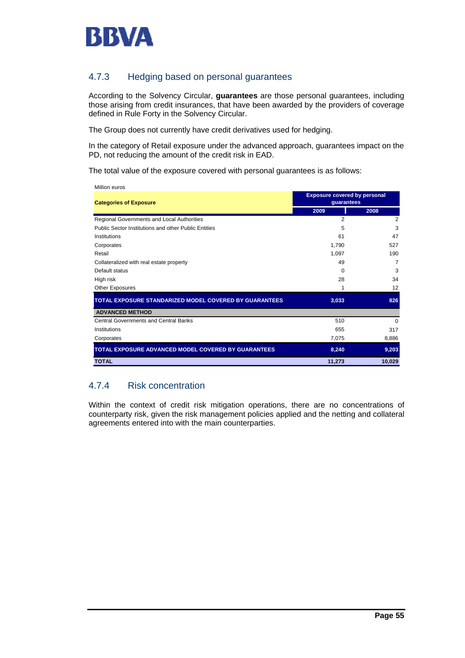

## 4.7.3 Hedging based on personal guarantees

According to the Solvency Circular, **guarantees** are those personal guarantees, including those arising from credit insurances, that have been awarded by the providers of coverage defined in Rule Forty in the Solvency Circular.

The Group does not currently have credit derivatives used for hedging.

In the category of Retail exposure under the advanced approach, guarantees impact on the PD, not reducing the amount of the credit risk in EAD.

The total value of the exposure covered with personal guarantees is as follows:

| Million euros                                          |                                     |          |
|--------------------------------------------------------|-------------------------------------|----------|
|                                                        | <b>Exposure covered by personal</b> |          |
| <b>Categories of Exposure</b>                          | guarantees                          |          |
|                                                        | 2009                                | 2008     |
| Regional Governments and Local Authorities             | $\overline{2}$                      | 2        |
| Public Sector Institutions and other Public Entities   | 5                                   | 3        |
| Institutions                                           | 61                                  | 47       |
| Corporates                                             | 1,790                               | 527      |
| Retail                                                 | 1,097                               | 190      |
| Collateralized with real estate property               | 49                                  | 7        |
| Default status                                         | $\Omega$                            | 3        |
| High risk                                              | 28                                  | 34       |
| Other Exposures                                        | 1                                   | 12       |
| TOTAL EXPOSURE STANDARIZED MODEL COVERED BY GUARANTEES | 3,033                               | 826      |
| <b>ADVANCED METHOD</b>                                 |                                     |          |
| <b>Central Governments and Central Banks</b>           | 510                                 | $\Omega$ |
| Institutions                                           | 655                                 | 317      |
| Corporates                                             | 7,075                               | 8,886    |
| TOTAL EXPOSURE ADVANCED MODEL COVERED BY GUARANTEES    | 8,240                               | 9,203    |
| <b>TOTAL</b>                                           | 11,273                              | 10,029   |

## 4.7.4 Risk concentration

Within the context of credit risk mitigation operations, there are no concentrations of counterparty risk, given the risk management policies applied and the netting and collateral agreements entered into with the main counterparties.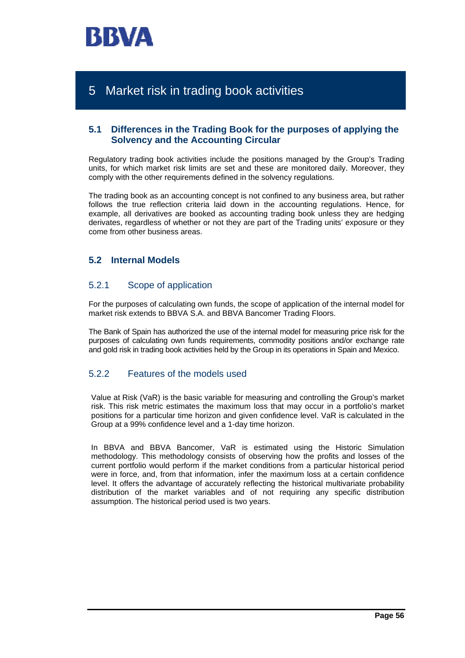

# 5 Market risk in trading book activities

## **5.1 Differences in the Trading Book for the purposes of applying the Solvency and the Accounting Circular**

Regulatory trading book activities include the positions managed by the Group's Trading units, for which market risk limits are set and these are monitored daily. Moreover, they comply with the other requirements defined in the solvency regulations.

The trading book as an accounting concept is not confined to any business area, but rather follows the true reflection criteria laid down in the accounting regulations. Hence, for example, all derivatives are booked as accounting trading book unless they are hedging derivates, regardless of whether or not they are part of the Trading units' exposure or they come from other business areas.

## **5.2 Internal Models**

## 5.2.1 Scope of application

For the purposes of calculating own funds, the scope of application of the internal model for market risk extends to BBVA S.A. and BBVA Bancomer Trading Floors.

The Bank of Spain has authorized the use of the internal model for measuring price risk for the purposes of calculating own funds requirements, commodity positions and/or exchange rate and gold risk in trading book activities held by the Group in its operations in Spain and Mexico.

## 5.2.2 Features of the models used

Value at Risk (VaR) is the basic variable for measuring and controlling the Group's market risk. This risk metric estimates the maximum loss that may occur in a portfolio's market positions for a particular time horizon and given confidence level. VaR is calculated in the Group at a 99% confidence level and a 1-day time horizon.

In BBVA and BBVA Bancomer, VaR is estimated using the Historic Simulation methodology. This methodology consists of observing how the profits and losses of the current portfolio would perform if the market conditions from a particular historical period were in force, and, from that information, infer the maximum loss at a certain confidence level. It offers the advantage of accurately reflecting the historical multivariate probability distribution of the market variables and of not requiring any specific distribution assumption. The historical period used is two years.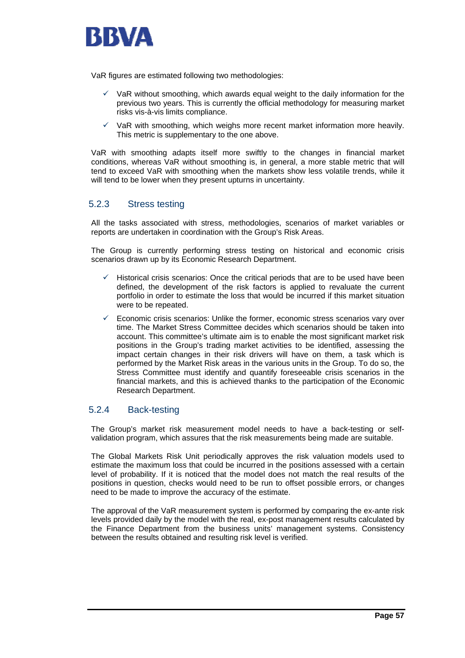

VaR figures are estimated following two methodologies:

- 9 VaR without smoothing, which awards equal weight to the daily information for the previous two years. This is currently the official methodology for measuring market risks vis-à-vis limits compliance.
- VaR with smoothing, which weighs more recent market information more heavily. This metric is supplementary to the one above.

VaR with smoothing adapts itself more swiftly to the changes in financial market conditions, whereas VaR without smoothing is, in general, a more stable metric that will tend to exceed VaR with smoothing when the markets show less volatile trends, while it will tend to be lower when they present upturns in uncertainty.

## 5.2.3 Stress testing

All the tasks associated with stress, methodologies, scenarios of market variables or reports are undertaken in coordination with the Group's Risk Areas.

The Group is currently performing stress testing on historical and economic crisis scenarios drawn up by its Economic Research Department.

- Historical crisis scenarios: Once the critical periods that are to be used have been defined, the development of the risk factors is applied to revaluate the current portfolio in order to estimate the loss that would be incurred if this market situation were to be repeated.
- 9 Economic crisis scenarios: Unlike the former, economic stress scenarios vary over time. The Market Stress Committee decides which scenarios should be taken into account. This committee's ultimate aim is to enable the most significant market risk positions in the Group's trading market activities to be identified, assessing the impact certain changes in their risk drivers will have on them, a task which is performed by the Market Risk areas in the various units in the Group. To do so, the Stress Committee must identify and quantify foreseeable crisis scenarios in the financial markets, and this is achieved thanks to the participation of the Economic Research Department.

## 5.2.4 Back-testing

The Group's market risk measurement model needs to have a back-testing or selfvalidation program, which assures that the risk measurements being made are suitable.

The Global Markets Risk Unit periodically approves the risk valuation models used to estimate the maximum loss that could be incurred in the positions assessed with a certain level of probability. If it is noticed that the model does not match the real results of the positions in question, checks would need to be run to offset possible errors, or changes need to be made to improve the accuracy of the estimate.

The approval of the VaR measurement system is performed by comparing the ex-ante risk levels provided daily by the model with the real, ex-post management results calculated by the Finance Department from the business units' management systems. Consistency between the results obtained and resulting risk level is verified.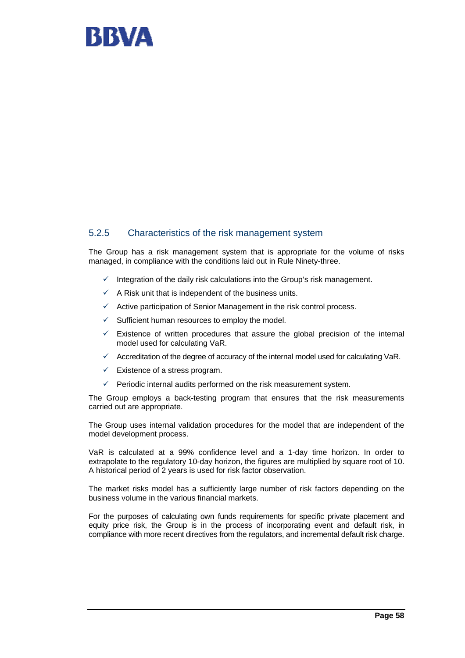

## 5.2.5 Characteristics of the risk management system

The Group has a risk management system that is appropriate for the volume of risks managed, in compliance with the conditions laid out in Rule Ninety-three.

- Integration of the daily risk calculations into the Group's risk management.
- $\checkmark$  A Risk unit that is independent of the business units.
- $\checkmark$  Active participation of Senior Management in the risk control process.
- $\checkmark$  Sufficient human resources to employ the model.
- $\checkmark$  Existence of written procedures that assure the global precision of the internal model used for calculating VaR.
- $\checkmark$  Accreditation of the degree of accuracy of the internal model used for calculating VaR.
- $\checkmark$  Existence of a stress program.
- $\checkmark$  Periodic internal audits performed on the risk measurement system.

The Group employs a back-testing program that ensures that the risk measurements carried out are appropriate.

The Group uses internal validation procedures for the model that are independent of the model development process.

VaR is calculated at a 99% confidence level and a 1-day time horizon. In order to extrapolate to the regulatory 10-day horizon, the figures are multiplied by square root of 10. A historical period of 2 years is used for risk factor observation.

The market risks model has a sufficiently large number of risk factors depending on the business volume in the various financial markets.

For the purposes of calculating own funds requirements for specific private placement and equity price risk, the Group is in the process of incorporating event and default risk, in compliance with more recent directives from the regulators, and incremental default risk charge.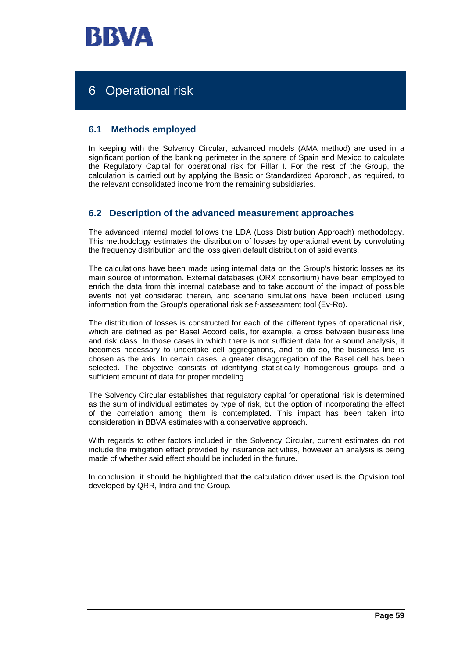

# 6 Operational risk

## **6.1 Methods employed**

In keeping with the Solvency Circular, advanced models (AMA method) are used in a significant portion of the banking perimeter in the sphere of Spain and Mexico to calculate the Regulatory Capital for operational risk for Pillar I. For the rest of the Group, the calculation is carried out by applying the Basic or Standardized Approach, as required, to the relevant consolidated income from the remaining subsidiaries.

## **6.2 Description of the advanced measurement approaches**

The advanced internal model follows the LDA (Loss Distribution Approach) methodology. This methodology estimates the distribution of losses by operational event by convoluting the frequency distribution and the loss given default distribution of said events.

The calculations have been made using internal data on the Group's historic losses as its main source of information. External databases (ORX consortium) have been employed to enrich the data from this internal database and to take account of the impact of possible events not yet considered therein, and scenario simulations have been included using information from the Group's operational risk self-assessment tool (Ev-Ro).

The distribution of losses is constructed for each of the different types of operational risk, which are defined as per Basel Accord cells, for example, a cross between business line and risk class. In those cases in which there is not sufficient data for a sound analysis, it becomes necessary to undertake cell aggregations, and to do so, the business line is chosen as the axis. In certain cases, a greater disaggregation of the Basel cell has been selected. The objective consists of identifying statistically homogenous groups and a sufficient amount of data for proper modeling.

The Solvency Circular establishes that regulatory capital for operational risk is determined as the sum of individual estimates by type of risk, but the option of incorporating the effect of the correlation among them is contemplated. This impact has been taken into consideration in BBVA estimates with a conservative approach.

With regards to other factors included in the Solvency Circular, current estimates do not include the mitigation effect provided by insurance activities, however an analysis is being made of whether said effect should be included in the future.

In conclusion, it should be highlighted that the calculation driver used is the Opvision tool developed by QRR, Indra and the Group.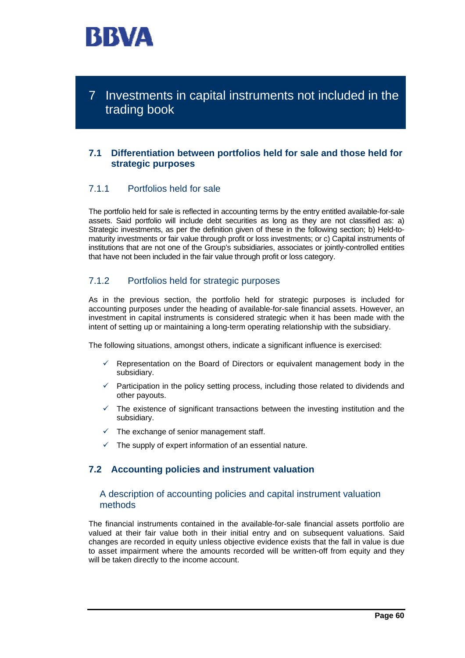

7 Investments in capital instruments not included in the trading book

## **7.1 Differentiation between portfolios held for sale and those held for strategic purposes**

## 7.1.1 Portfolios held for sale

The portfolio held for sale is reflected in accounting terms by the entry entitled available-for-sale assets. Said portfolio will include debt securities as long as they are not classified as: a) Strategic investments, as per the definition given of these in the following section; b) Held-tomaturity investments or fair value through profit or loss investments; or c) Capital instruments of institutions that are not one of the Group's subsidiaries, associates or jointly-controlled entities that have not been included in the fair value through profit or loss category.

## 7.1.2 Portfolios held for strategic purposes

As in the previous section, the portfolio held for strategic purposes is included for accounting purposes under the heading of available-for-sale financial assets. However, an investment in capital instruments is considered strategic when it has been made with the intent of setting up or maintaining a long-term operating relationship with the subsidiary.

The following situations, amongst others, indicate a significant influence is exercised:

- Representation on the Board of Directors or equivalent management body in the subsidiary.
- $\checkmark$  Participation in the policy setting process, including those related to dividends and other payouts.
- $\checkmark$  The existence of significant transactions between the investing institution and the subsidiary.
- $\checkmark$  The exchange of senior management staff.
- The supply of expert information of an essential nature.

## **7.2 Accounting policies and instrument valuation**

## A description of accounting policies and capital instrument valuation methods

The financial instruments contained in the available-for-sale financial assets portfolio are valued at their fair value both in their initial entry and on subsequent valuations. Said changes are recorded in equity unless objective evidence exists that the fall in value is due to asset impairment where the amounts recorded will be written-off from equity and they will be taken directly to the income account.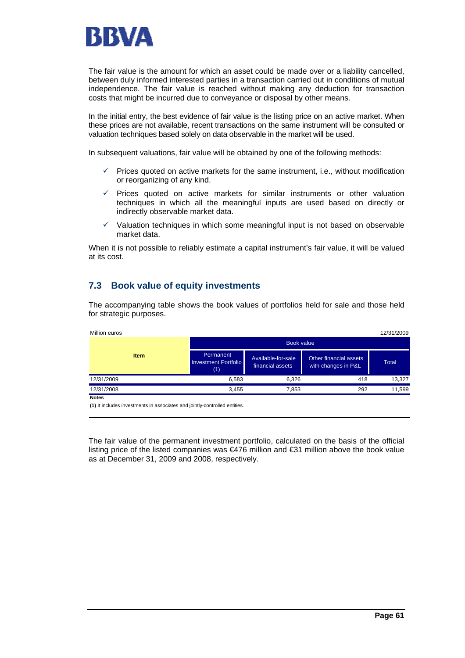

The fair value is the amount for which an asset could be made over or a liability cancelled, between duly informed interested parties in a transaction carried out in conditions of mutual independence. The fair value is reached without making any deduction for transaction costs that might be incurred due to conveyance or disposal by other means.

In the initial entry, the best evidence of fair value is the listing price on an active market. When these prices are not available, recent transactions on the same instrument will be consulted or valuation techniques based solely on data observable in the market will be used.

In subsequent valuations, fair value will be obtained by one of the following methods:

- 9 Prices quoted on active markets for the same instrument, i.e., without modification or reorganizing of any kind.
- $\checkmark$  Prices quoted on active markets for similar instruments or other valuation techniques in which all the meaningful inputs are used based on directly or indirectly observable market data.
- $\checkmark$  Valuation techniques in which some meaningful input is not based on observable market data.

When it is not possible to reliably estimate a capital instrument's fair value, it will be valued at its cost.

## **7.3 Book value of equity investments**

The accompanying table shows the book values of portfolios held for sale and those held for strategic purposes.

| Million euros |                                                 |                                        |                                               | 12/31/2009 |  |  |  |
|---------------|-------------------------------------------------|----------------------------------------|-----------------------------------------------|------------|--|--|--|
|               |                                                 | <b>Book value</b>                      |                                               |            |  |  |  |
| <b>Item</b>   | Permanent<br><b>Investment Portfolio</b><br>(1) | Available-for-sale<br>financial assets | Other financial assets<br>with changes in P&L | Total      |  |  |  |
| 12/31/2009    | 6,583                                           | 6.326                                  | 418                                           | 13,327     |  |  |  |
| 12/31/2008    | 3,455                                           | 7,853                                  | 292                                           | 11,599     |  |  |  |
| <b>Notes</b>  |                                                 |                                        |                                               |            |  |  |  |

**(1)** It includes investments in associates and jointly-controlled entities.

The fair value of the permanent investment portfolio, calculated on the basis of the official listing price of the listed companies was €476 million and €31 million above the book value as at December 31, 2009 and 2008, respectively.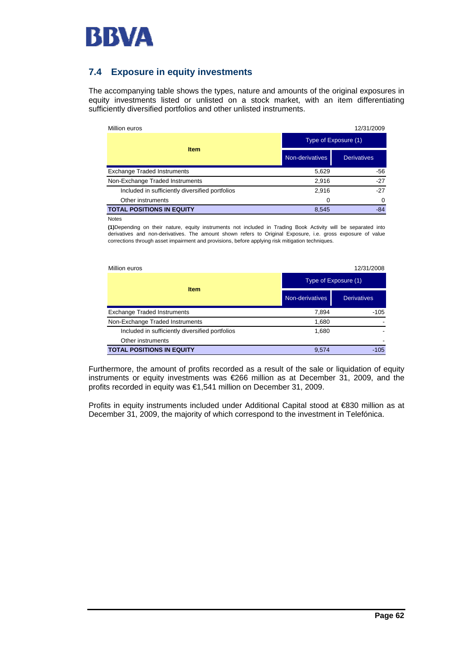

## **7.4 Exposure in equity investments**

The accompanying table shows the types, nature and amounts of the original exposures in equity investments listed or unlisted on a stock market, with an item differentiating sufficiently diversified portfolios and other unlisted instruments.

| Million euros                                   |                 | 12/31/2009           |  |  |
|-------------------------------------------------|-----------------|----------------------|--|--|
|                                                 |                 | Type of Exposure (1) |  |  |
| <b>Item</b>                                     | Non-derivatives | <b>Derivatives</b>   |  |  |
| <b>Exchange Traded Instruments</b>              | 5,629           | -56                  |  |  |
| Non-Exchange Traded Instruments                 | 2.916           | $-27$                |  |  |
| Included in sufficiently diversified portfolios | 2,916           | $-27$                |  |  |
| Other instruments                               | 0               | 0                    |  |  |
| <b>TOTAL POSITIONS IN EQUITY</b>                | 8.545           | $-84$                |  |  |

Notes

**(1)**Depending on their nature, equity instruments not included in Trading Book Activity will be separated into derivatives and non-derivatives. The amount shown refers to Original Exposure, i.e. gross exposure of value corrections through asset impairment and provisions, before applying risk mitigation techniques.

| Million euros                                   |                      | 12/31/2008         |  |  |  |  |
|-------------------------------------------------|----------------------|--------------------|--|--|--|--|
|                                                 | Type of Exposure (1) |                    |  |  |  |  |
| <b>Item</b>                                     | Non-derivatives      | <b>Derivatives</b> |  |  |  |  |
| <b>Exchange Traded Instruments</b>              | 7.894                | $-105$             |  |  |  |  |
| Non-Exchange Traded Instruments                 | 1,680                |                    |  |  |  |  |
| Included in sufficiently diversified portfolios | 1,680                |                    |  |  |  |  |
| Other instruments                               |                      |                    |  |  |  |  |
| <b>TOTAL POSITIONS IN EQUITY</b>                | 9,574                | $-105$             |  |  |  |  |

Furthermore, the amount of profits recorded as a result of the sale or liquidation of equity instruments or equity investments was €266 million as at December 31, 2009, and the profits recorded in equity was €1,541 million on December 31, 2009.

Profits in equity instruments included under Additional Capital stood at €830 million as at December 31, 2009, the majority of which correspond to the investment in Telefónica.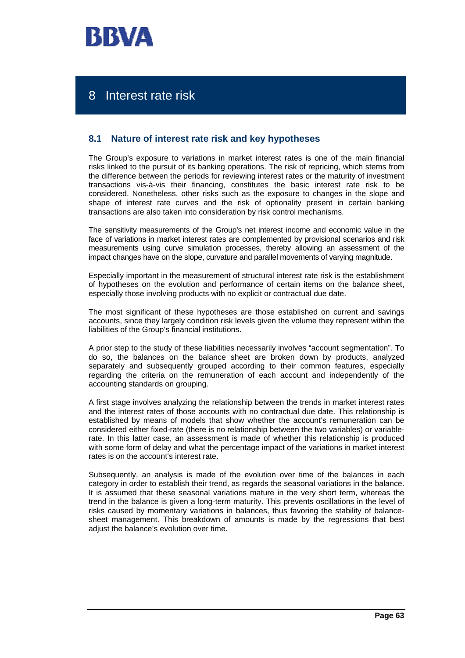

# 8 Interest rate risk

## **8.1 Nature of interest rate risk and key hypotheses**

The Group's exposure to variations in market interest rates is one of the main financial risks linked to the pursuit of its banking operations. The risk of repricing, which stems from the difference between the periods for reviewing interest rates or the maturity of investment transactions vis-à-vis their financing, constitutes the basic interest rate risk to be considered. Nonetheless, other risks such as the exposure to changes in the slope and shape of interest rate curves and the risk of optionality present in certain banking transactions are also taken into consideration by risk control mechanisms.

The sensitivity measurements of the Group's net interest income and economic value in the face of variations in market interest rates are complemented by provisional scenarios and risk measurements using curve simulation processes, thereby allowing an assessment of the impact changes have on the slope, curvature and parallel movements of varying magnitude.

Especially important in the measurement of structural interest rate risk is the establishment of hypotheses on the evolution and performance of certain items on the balance sheet, especially those involving products with no explicit or contractual due date.

The most significant of these hypotheses are those established on current and savings accounts, since they largely condition risk levels given the volume they represent within the liabilities of the Group's financial institutions.

A prior step to the study of these liabilities necessarily involves "account segmentation". To do so, the balances on the balance sheet are broken down by products, analyzed separately and subsequently grouped according to their common features, especially regarding the criteria on the remuneration of each account and independently of the accounting standards on grouping.

A first stage involves analyzing the relationship between the trends in market interest rates and the interest rates of those accounts with no contractual due date. This relationship is established by means of models that show whether the account's remuneration can be considered either fixed-rate (there is no relationship between the two variables) or variablerate. In this latter case, an assessment is made of whether this relationship is produced with some form of delay and what the percentage impact of the variations in market interest rates is on the account's interest rate.

Subsequently, an analysis is made of the evolution over time of the balances in each category in order to establish their trend, as regards the seasonal variations in the balance. It is assumed that these seasonal variations mature in the very short term, whereas the trend in the balance is given a long-term maturity. This prevents oscillations in the level of risks caused by momentary variations in balances, thus favoring the stability of balancesheet management. This breakdown of amounts is made by the regressions that best adjust the balance's evolution over time.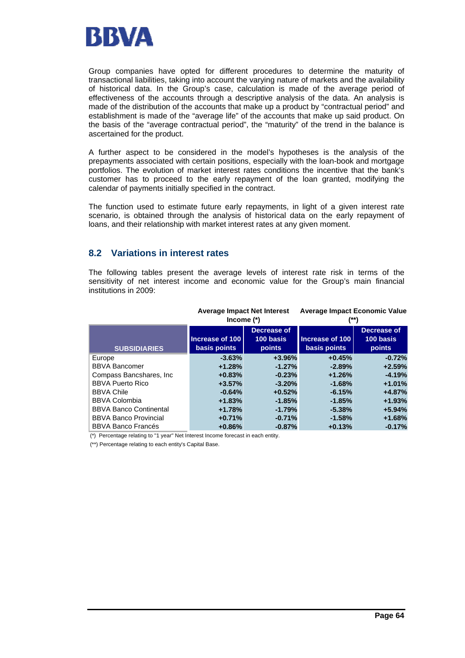

Group companies have opted for different procedures to determine the maturity of transactional liabilities, taking into account the varying nature of markets and the availability of historical data. In the Group's case, calculation is made of the average period of effectiveness of the accounts through a descriptive analysis of the data. An analysis is made of the distribution of the accounts that make up a product by "contractual period" and establishment is made of the "average life" of the accounts that make up said product. On the basis of the "average contractual period", the "maturity" of the trend in the balance is ascertained for the product.

A further aspect to be considered in the model's hypotheses is the analysis of the prepayments associated with certain positions, especially with the loan-book and mortgage portfolios. The evolution of market interest rates conditions the incentive that the bank's customer has to proceed to the early repayment of the loan granted, modifying the calendar of payments initially specified in the contract.

The function used to estimate future early repayments, in light of a given interest rate scenario, is obtained through the analysis of historical data on the early repayment of loans, and their relationship with market interest rates at any given moment.

## **8.2 Variations in interest rates**

The following tables present the average levels of interest rate risk in terms of the sensitivity of net interest income and economic value for the Group's main financial institutions in 2009:

|                               | Income $(*)$                    | <b>Average Impact Net Interest</b> | <b>Average Impact Economic Value</b><br>(**) |                                    |  |  |  |  |
|-------------------------------|---------------------------------|------------------------------------|----------------------------------------------|------------------------------------|--|--|--|--|
| <b>SUBSIDIARIES</b>           | Increase of 100<br>basis points | Decrease of<br>100 basis<br>points | Increase of 100<br>basis points              | Decrease of<br>100 basis<br>points |  |  |  |  |
| Europe                        | $-3.63%$                        | $+3.96%$                           | $+0.45%$                                     | $-0.72%$                           |  |  |  |  |
| <b>BBVA Bancomer</b>          | $+1.28%$                        | $-1.27%$                           | $-2.89%$                                     | $+2.59%$                           |  |  |  |  |
| Compass Bancshares, Inc.      | $+0.83%$                        | $-0.23%$                           | $+1.26%$                                     | $-4.19%$                           |  |  |  |  |
| <b>BBVA Puerto Rico</b>       | $+3.57%$                        | $-3.20%$                           | $-1.68%$                                     | $+1.01%$                           |  |  |  |  |
| <b>BBVA Chile</b>             | $-0.64%$                        | $+0.52%$                           | $-6.15%$                                     | $+4.87%$                           |  |  |  |  |
| <b>BBVA Colombia</b>          | $+1.83%$                        | $-1.85%$                           | $-1.85%$                                     | $+1.93%$                           |  |  |  |  |
| <b>BBVA Banco Continental</b> | $+1.78%$                        | $-1.79%$                           | $-5.38%$                                     | $+5.94%$                           |  |  |  |  |
| <b>BBVA Banco Provincial</b>  | $+0.71%$                        | $-0.71%$                           | $-1.58%$                                     | $+1.68%$                           |  |  |  |  |
| <b>BBVA Banco Francés</b>     | $+0.86%$                        | $-0.87%$                           | $+0.13%$                                     | $-0.17%$                           |  |  |  |  |

(\*) Percentage relating to "1 year" Net Interest Income forecast in each entity.

(\*\*) Percentage relating to each entity's Capital Base.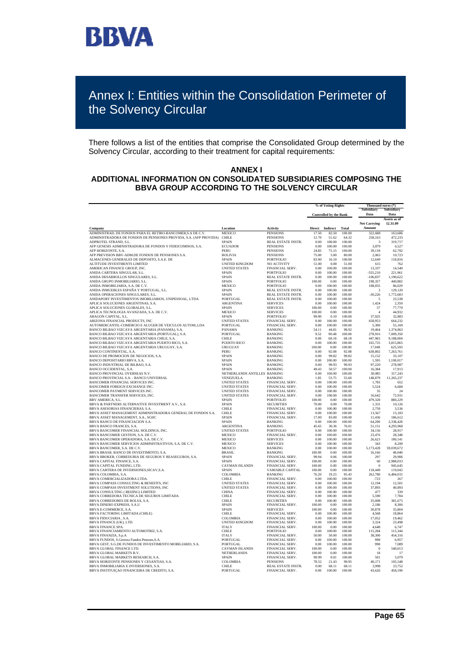

# Annex I: Entities within the Consolidation Perimeter of the Solvency Circular

There follows a list of the entities that comprise the Consolidated Group determined by the Solvency Circular, according to their treatment for capital requirements:

#### **ANNEX I ADDITIONAL INFORMATION ON CONSOLIDATED SUBSIDIARIES COMPOSING THE BBVA GROUP ACCORDING TO THE SOLVENCY CIRCULAR**

|                                                                                                    |                                               |                                    | % of Voting Rights     |                               |                  | Thousand euros (*)<br>Subsidiary | Subsidiary               |
|----------------------------------------------------------------------------------------------------|-----------------------------------------------|------------------------------------|------------------------|-------------------------------|------------------|----------------------------------|--------------------------|
|                                                                                                    |                                               |                                    |                        | <b>Controlled by the Bank</b> |                  | Data                             | Data                     |
|                                                                                                    | Location                                      | <b>Activity</b>                    |                        |                               | Total            | <b>Net Carrying</b><br>Amount    | Assets as of<br>12.31.09 |
| Company<br>ADMINISTRAD. DE FONDOS PARA EL RETIRO-BANCOMER, S.A DE C.V.                             | MEXICO                                        | <b>PENSIONS</b>                    | <b>Direct</b><br>17.50 | Indirect<br>82.50             | 100.00           | 322.688                          | 163,686                  |
| ADMINISTRADORA DE FONDOS DE PENSIONES PROVIDA, S.A. (AFP PROVIDA)                                  | CHILE                                         | <b>PENSIONS</b>                    | 12.70                  | 51.62                         | 64.32            | 258.163                          | 472.233                  |
| ADPROTEL STRAND, S.L.                                                                              | <b>SPAIN</b>                                  | REAL ESTATE INSTR.                 | 0.00                   | 100.00                        | 100.00           | 3                                | 319,717                  |
| AFP GENESIS ADMINISTRADORA DE FONDOS Y FIDEICOMISOS, S.A.                                          | <b>ECUADOR</b>                                | <b>PENSIONS</b>                    | 0.00                   | 100.00                        | 100.00           | 3,879                            | 6,527                    |
| AFP HORIZONTE, S.A.                                                                                | PERU                                          | <b>PENSIONS</b>                    | 24.85                  | 75.15                         | 100.00           | 39.118                           | 62,782                   |
| AFP PREVISION BBV-ADM.DE FONDOS DE PENSIONES S.A.                                                  | <b>BOLIVIA</b>                                | <b>PENSIONS</b>                    | 75.00                  | 5.00                          | 80.00            | 2.063                            | 10.723                   |
| ALMACENES GENERALES DE DEPOSITO, S.A.E. DE                                                         | SPAIN                                         | <b>PORTFOLIO</b>                   | 83.90                  | 16.10                         | 100.00           | 12,649                           | 118,816                  |
| ALTITUDE INVESTMENTS LIMITED<br>AMERICAN FINANCE GROUP, INC.                                       | <b>UNITED KINGDOM</b><br><b>UNITED STATES</b> | NO ACTIVITY<br>FINANCIAL SERV.     | 51.00<br>0.00          | 0.00<br>100.00                | 51.00<br>100.00  | 615<br>13,337                    | 762<br>14,540            |
| ANIDA CARTERA SINGULAR, S.L.                                                                       | SPAIN                                         | PORTFOLIO                          | 0.00                   | 100.00                        | 100.00           | $-555,210$                       | 221,961                  |
| ANIDA DESARROLLOS SINGULARES, S.L.                                                                 | <b>SPAIN</b>                                  | REAL ESTATE INSTR.                 | 0.00                   | 100.00                        | 100.00           | $-106.837$                       | 1,190,622                |
| ANIDA GRUPO INMOBILIARIO, S.L.                                                                     | <b>SPAIN</b>                                  | <b>PORTFOLIO</b>                   | 100.00                 | 0.00                          | 100.00           | 198,357                          | 440,882                  |
| ANIDA INMOBILIARIA, S.A. DE C.V.                                                                   | <b>MEXICO</b>                                 | <b>PORTFOLIO</b>                   | 0.00                   | 100.00                        | 100.00           | 108,055                          | 86,029                   |
| ANIDA INMUEBLES ESPAÑA Y PORTUGAL, S.L.                                                            | SPAIN                                         | REAL ESTATE INSTR.                 | 0.00                   | 100.00                        | 100.00           | 3                                | 129,120                  |
| ANIDA OPERACIONES SINGULARES, S.L.                                                                 | <b>SPAIN</b>                                  | REAL ESTATE INSTR.                 | 0.00                   | 100.00                        | 100.00           | $-30,226$                        | 1,772,683                |
| ANIDAPORT INVESTIMENTOS IMOBILIARIOS, UNIPESSOAL, LTDA                                             | <b>PORTUGAL</b>                               | REAL ESTATE INSTR.                 | 0.00                   | 100.00                        | 100.00           | 5                                | 23,538                   |
| APLICA SOLUCIONES ARGENTINAS, S.A.<br>APLICA SOLUCIONES GLOBALES S.L.                              | <b>ARGENTINA</b><br><b>SPAIN</b>              | <b>SERVICES</b><br><b>SERVICES</b> | 0.00<br>100.00         | 100.00<br>0.00                | 100.00<br>100.00 | 1,424<br>57                      | 2,350<br>77,770          |
| APLICA TECNOLOGIA AVANZADA, S.A. DE C.V.                                                           | <b>MEXICO</b>                                 | <b>SERVICES</b>                    | 100.00                 | 0.00                          | 100.00           | $\overline{4}$                   | 44.932                   |
| ARAGON CAPITAL, S.L.                                                                               | <b>SPAIN</b>                                  | PORTFOLIO                          | 99.90                  | 0.10                          | 100.00           | 37,925                           | 32,883                   |
| ARIZONA FINANCIAL PRODUCTS, INC                                                                    | <b>UNITED STATES</b>                          | FINANCIAL SERV.                    | 0.00                   | 100.00                        | 100.00           | 658,953                          | 664,232                  |
| AUTOMERCANTIL-COMERCIO E ALUGER DE VEICULOS AUTOM.,LDA                                             | PORTUGAL.                                     | FINANCIAL SERV.                    | 0.00                   | 100.00                        | 100.00           | 5.300                            | 55.169                   |
| BANCO BILBAO VIZCAYA ARGENTARIA (PANAMA), S.A.                                                     | PANAMA                                        | <b>BANKING</b>                     | 54.11                  | 44.81                         | 98.92            | 19.464                           | 1,374,863                |
| BANCO BILBAO VIZCAYA ARGENTARIA (PORTUGAL), S.A.                                                   | <b>PORTUGAL</b>                               | <b>BANKING</b>                     | 9.52                   | 90.48                         | 100.00           | 278,916                          | 7.009.350                |
| BANCO BILBAO VIZCAYA ARGENTARIA CHILE, S.A.                                                        | CHILE                                         | <b>BANKING</b>                     | 0.00                   | 68.18                         | 68.18            | 447,965                          | 9,188,004                |
| BANCO BILBAO VIZCAYA ARGENTARIA PUERTO RICO, S.A.<br>BANCO BILBAO VIZCAYA ARGENTARIA URUGUAY, S.A. | <b>PUERTO RICO</b><br><b>URUGUAY</b>          | <b>BANKING</b><br><b>BANKING</b>   | 0.00<br>100.00         | 100.00<br>0.00                | 100.00<br>100.00 | 165,725<br>17,049                | 3,815,865<br>625,593     |
| BANCO CONTINENTAL, S.A.                                                                            | PERU                                          | <b>BANKING</b>                     | 0.00                   | 92.08                         | 92.08            | 638,802                          | 7,263,761                |
| BANCO DE PROMOCION DE NEGOCIOS, S.A.                                                               | <b>SPAIN</b>                                  | <b>BANKING</b>                     | 0.00                   | 99.82                         | 99.82            | 15.152                           | 33.107                   |
| BANCO DEPOSITARIO BBVA, S.A.                                                                       | <b>SPAIN</b>                                  | <b>BANKING</b>                     | 0.00                   | 100.00                        | 100.00           | 1,595                            | 1,100,017                |
| BANCO INDUSTRIAL DE BILBAO, S.A.                                                                   | <b>SPAIN</b>                                  | <b>BANKING</b>                     | 0.00                   | 99.93                         | 99.93            | 97.220                           | 278.987                  |
| BANCO OCCIDENTAL, S.A.                                                                             | <b>SPAIN</b>                                  | <b>BANKING</b>                     | 49.43                  | 50.57                         | 100.00           | 16.384                           | 17,913                   |
| BANCO PROVINCIAL OVERSEAS N.V.                                                                     | NETHERLANDS ANTILLES BANKING                  |                                    | 0.00                   | 100.00                        | 100.00           | 30,085                           | 317.243                  |
| BANCO PROVINCIAL S.A. - BANCO UNIVERSAL                                                            | VENEZUELA                                     | <b>BANKING</b>                     | 1.85                   | 53.75                         | 55.60            | 148,879                          | 11,265,237               |
| BANCOMER FINANCIAL SERVICES INC.<br>BANCOMER FOREIGN EXCHANGE INC.                                 | <b>UNITED STATES</b><br><b>UNITED STATES</b>  | FINANCIAL SERV.<br>FINANCIAL SERV. | 0.00<br>0.00           | 100.00<br>100.00              | 100.00<br>100.00 | 1,783<br>5,524                   | 652<br>6,684             |
| BANCOMER PAYMENT SERVICES INC.                                                                     | <b>UNITED STATES</b>                          | FINANCIAL SERV.                    | 0.00                   | 100.00                        | 100.00           | 35                               | 24                       |
| BANCOMER TRANSFER SERVICES. INC.                                                                   | <b>UNITED STATES</b>                          | FINANCIAL SERV                     | 0.00                   | 100.00                        | 100.00           | 16.642                           | 72.931                   |
| BBV AMERICA, S.L.                                                                                  | SPAIN                                         | <b>PORTFOLIO</b>                   | 100.00                 | 0.00                          | 100.00           | 479.328                          | 880,229                  |
| BBVA & PARTNERS ALTERNATIVE INVESTMENT A.V., S.A.                                                  | <b>SPAIN</b>                                  | <b>SECURITIES</b>                  | 70.00                  | 0.00                          | 70.00            | 1.331                            | 10.126                   |
| BBVA ASESORIAS FINANCIERAS, S.A.                                                                   | CHILE                                         | FINANCIAL SERV.                    | 0.00                   | 100.00                        | 100.00           | 2,759                            | 3,536                    |
| BBVA ASSET MANAGEMENT ADMINISTRADORA GENERAL DE FONDOS S.A.                                        | CHILE                                         | FINANCIAL SERV.                    | 0.00                   | 100.00                        | 100.00           | 13.567                           | 15.183                   |
| BBVA ASSET MANAGEMENT, S.A., SGIIC                                                                 | SPAIN                                         | FINANCIAL SERV.                    | 17.00                  | 83.00                         | 100.00           | 11,436                           | 186,612                  |
| BBVA BANCO DE FINANCIACION S.A.<br>BBVA BANCO FRANCES, S.A.                                        | SPAIN<br><b>ARGENTINA</b>                     | <b>BANKING</b><br><b>BANKING</b>   | 0.00<br>45.65          | 100.00<br>30.36               | 100.00<br>76.01  | 64,200<br>51.151                 | 2,338,428<br>4,293,968   |
| BBVA BANCOMER FINANCIAL HOLDINGS, INC.                                                             | <b>UNITED STATES</b>                          | <b>PORTFOLIO</b>                   | 0.00                   | 100.00                        | 100.00           | 34,156                           | 28,917                   |
| BBVA BANCOMER GESTION, S.A. DE C.V.                                                                | <b>MEXICO</b>                                 | FINANCIAL SERV.                    | 0.00                   | 100.00                        | 100.00           | 23,476                           | 28,348                   |
| BBVA BANCOMER OPERADORA, S.A. DE C.V.                                                              | <b>MEXICO</b>                                 | <b>SERVICES</b>                    | 0.00                   | 100.00                        | 100.00           | 26,623                           | 180.141                  |
| BBVA BANCOMER SERVICIOS ADMINISTRATIVOS, S.A. DE C.V.                                              | <b>MEXICO</b>                                 | <b>SERVICES</b>                    | 0.00                   | 100.00                        | 100.00           | 343                              | 8.200                    |
| BBVA BANCOMER, S.A. DE C.V.                                                                        | <b>MEXICO</b>                                 | <b>BANKING</b>                     | 0.00                   | 100.00                        | 100.00           | 5,173,428                        | 59,039,672               |
| BBVA BRASIL BANCO DE INVESTIMENTO, S.A.                                                            | BRASIL.                                       | <b>BANKING</b>                     | 100.00                 | 0.00                          | 100.00           | 16,166                           | 40.040                   |
| BBVA BROKER, CORREDURIA DE SEGUROS Y REASEGUROS, S.A.<br>BBVA CAPITAL FINANCE, S.A.                | <b>SPAIN</b><br><b>SPAIN</b>                  | FINANCIAL SERV.<br>FINANCIAL SERV. | 99.94<br>100.00        | 0.06<br>0.00                  | 100.00<br>100.00 | 297<br>60                        | 29,906<br>2,988,033      |
| BBVA CAPITAL FUNDING, LTD.                                                                         | <b>CAYMAN ISLANDS</b>                         | FINANCIAL SERV.                    | 100.00                 | 0.00                          | 100.00           | $\theta$                         | 945,645                  |
| BBVA CARTERA DE INVERSIONES, SICAV, S.A.                                                           | <b>SPAIN</b>                                  | VARIABLE CAPITAL                   | 100.00                 | 0.00                          | 100.00           | 118,449                          | 119,042                  |
| BBVA COLOMBIA, S.A.                                                                                | COLOMBIA                                      | <b>BANKING</b>                     | 76.20                  | 19.23                         | 95.43            | 262,780                          | 6,484,031                |
| BBVA COMERCIALIZADORA LTDA.                                                                        | CHILE                                         | FINANCIAL SERV.                    | 0.00                   | 100.00                        | 100.00           | $-723$                           | 267                      |
| BBVA COMPASS CONSULTING & BENEFITS, INC                                                            | <b>UNITED STATES</b>                          | FINANCIAL SERV.                    | 0.00                   | 100.00                        | 100.00           | 12.194                           | 12.501                   |
| BBVA COMPASS INVESTMENT SOLUTIONS, INC                                                             | <b>UNITED STATES</b>                          | FINANCIAL SERV.                    | 0.00                   | 100.00                        | 100.00           | 37.893                           | 40,893                   |
| BBVA CONSULTING ( BEIJING) LIMITED<br>BBVA CORREDORA TECNICA DE SEGUROS LIMITADA                   | <b>CHINA</b><br>CHILE                         | FINANCIAL SERV.<br>FINANCIAL SERV. | 0.00<br>0.00           | 100.00<br>100.00              | 100.00<br>100.00 | 477<br>5,590                     | 339<br>7,784             |
| BBVA CORREDORES DE BOLSA, S.A.                                                                     | <b>CHILE</b>                                  | <b>SECURITIES</b>                  | 0.00                   | 100.00                        | 100.00           | 35,008                           | 381,675                  |
| BBVA DINERO EXPRESS, S.A.U                                                                         | SPAIN                                         | FINANCIAL SERV.                    | 100.00                 | 0.00                          | 100.00           | 2.186                            | 8,306                    |
| BBVA E-COMMERCE, S.A.                                                                              | SPAIN                                         | <b>SERVICES</b>                    | 100.00                 | 0.00                          | 100.00           | 30,878                           | 35,804                   |
| BBVA FACTORING LIMITADA (CHILE)                                                                    | CHILE                                         | FINANCIAL SERV                     | 0.00                   | 100.00                        | 100.00           | 4.568                            | 18.864                   |
| BBVA FIDUCIARIA, S.A.                                                                              | COLOMBIA                                      | FINANCIAL SERV.                    | 0.00                   | 100.00                        | 100.00           | 17,052                           | 19,462                   |
| BBVA FINANCE (UK), LTD.                                                                            | UNITED KINGDOM                                | FINANCIAL SERV.                    | 0.00                   | 100.00                        | 100.00           | 3.324                            | 23.498                   |
| <b>BBVA FINANCE SPA.</b>                                                                           | <b>ITALY</b>                                  | FINANCIAL SERV.                    | 100.00                 | 0.00                          | 100.00           | 4.648                            | 6,747                    |
| BBVA FINANCIAMIENTO AUTOMOTRIZ, S.A.<br>BBVA FINANZIA, S.p.A                                       | CHILE<br><b>ITALY</b>                         | PORTFOLIO<br>FINANCIAL SERV.       | 0.00<br>50.00          | 100.00<br>50.00               | 100.00<br>100.00 | 115.284<br>38,300                | 115.344<br>454,316       |
| BBVA FUNDOS, S.Gestora Fundos Pensoes, S.A.                                                        | PORTUGAL                                      | FINANCIAL SERV.                    | 0.00                   | 100.00                        | 100.00           | 998                              | 6,957                    |
| BBVA GEST, S.G.DE FUNDOS DE INVESTIMENTO MOBILIARIO, S.A.                                          | <b>PORTUGAL</b>                               | FINANCIAL SERV.                    | 0.00                   | 100.00                        | 100.00           | 998                              | 7,089                    |
| BBVA GLOBAL FINANCE LTD.                                                                           | CAYMAN ISLANDS                                | FINANCIAL SERV.                    | 100.00                 | 0.00                          | 100.00           | $\boldsymbol{0}$                 | 540,013                  |
| <b>BBVA GLOBAL MARKETS BV.</b>                                                                     | NETHERLANDS                                   | FINANCIAL SERV                     | 100.00                 | 0.00                          | 100.00           | 18                               | -17                      |
| BBVA GLOBAL MARKETS RESEARCH, S.A.                                                                 | SPAIN                                         | FINANCIAL SERV.                    | 99.99                  | 0.01                          | 100.00           | 501                              | 5,079                    |
| BBVA HORIZONTE PENSIONES Y CESANTIAS, S.A.                                                         | COLOMBIA                                      | <b>PENSIONS</b>                    | 78.52                  | 21.43                         | 99.95            | 40.171                           | 105.548                  |
| BBVA INMOBILIARIA E INVERSIONES, S.A.                                                              | <b>CHILE</b>                                  | REAL ESTATE INSTR.                 | 0.00                   | 68.11<br>100.00               | 68.11            | 3.998                            | 23,752                   |
| BBVA INSTITUIÇAO FINANCEIRA DE CREDITO, S.A.                                                       | PORTUGAL                                      | FINANCIAL SERV.                    | 0.00                   |                               | 100.00           | 43.626                           | 458.190                  |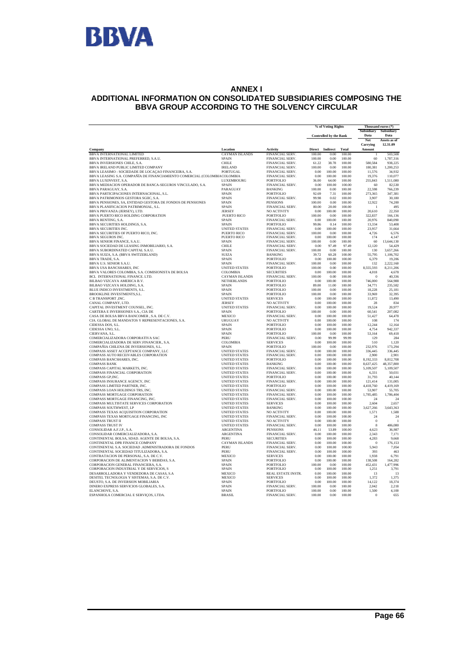

#### **ANNEX I ADDITIONAL INFORMATION ON CONSOLIDATED SUBSIDIARIES COMPOSING THE BBVA GROUP ACCORDING TO THE SOLVENCY CIRCULAR**

|                                                                                                    |                                       |                                           | % of Voting Rights |                               |                  | Thousand euros (*)<br>Subsidiary | Subsidiary               |
|----------------------------------------------------------------------------------------------------|---------------------------------------|-------------------------------------------|--------------------|-------------------------------|------------------|----------------------------------|--------------------------|
|                                                                                                    |                                       |                                           |                    | <b>Controlled by the Bank</b> |                  |                                  | Data                     |
|                                                                                                    |                                       |                                           |                    |                               |                  | Net<br>Carrying                  | Assets as of<br>12.31.09 |
| Company                                                                                            | Location                              | Activity                                  | <b>Direct</b>      | Indirect                      | Total            | Amount                           |                          |
| BBVA INTERNATIONAL LIMITED                                                                         | <b>CAYMAN ISLANDS</b>                 | <b>FINANCIAL SERV</b>                     | 100.00             | 0.00                          | 100.00           |                                  | 503.508                  |
| BBVA INTERNATIONAL PREFERRED, S.A.U.                                                               | SPAIN                                 | FINANCIAL SERV.                           | 100.00             | 0.00                          | 100.00           | 60                               | 1,787,316                |
| BBVA INVERSIONES CHILE, S.A.<br>BBVA IRELAND PUBLIC LIMITED COMPANY                                | <b>CHILE</b><br><b>IRELAND</b>        | FINANCIAL SERV.<br>FINANCIAL SERV.        | 61.22<br>100.00    | 38.78<br>0.00                 | 100.00<br>100.00 | 580,584<br>180,381               | 938.225<br>1,200,253     |
| BBVA LEASIMO - SOCIEDADE DE LOCAÇÃO FINANCEIRA, S.A.                                               | PORTUGAL                              | FINANCIAL SERV.                           | 0.00               | 100.00                        | 100.00           | 11,576                           | 34,932                   |
| BBVA LEASING S.A. COMPAÑÍA DE FINANCIAMIENTO COMERCIAL (COLOMBIACOLOMBIA                           |                                       | FINANCIAL SERV.                           | 0.00               | 100.00                        | 100.00           | 19.376                           | 110,077                  |
| BBVA LUXINVEST, S.A.                                                                               | LUXEMBOURG                            | PORTFOLIO                                 | 36.00              | 64.00                         | 100.00           | 255,843                          | 1,511,080                |
| BBVA MEDIACION OPERADOR DE BANCA-SEGUROS VINCULADO, S.A.                                           | <b>SPAIN</b>                          | FINANCIAL SERV                            | 0.00               | 100.00                        | 100.00           | 60                               | 82.530                   |
| BBVA PARAGUAY, S.A.                                                                                | PARAGUAY                              | <b>BANKING</b>                            | 100.00             | 0.00                          | 100.00           | 22.598                           | 766.239                  |
| BBVA PARTICIPACIONES INTERNACIONAL, S.L.                                                           | SPAIN                                 | PORTFOLIO                                 | 92.69              | 7.31                          | 100.00           | 273,365                          | 347,381                  |
| BBVA PATRIMONIOS GESTORA SGIIC, S.A.                                                               | SPAIN                                 | FINANCIAL SERV.                           | 99.98              | 0.02                          | 100.00           | 3,907                            | 30,180                   |
| BBVA PENSIONES, SA, ENTIDAD GESTORA DE FONDOS DE PENSIONES<br>BBVA PLANIFICACION PATRIMONIAL, S.L. | <b>SPAIN</b><br>SPAIN                 | <b>PENSIONS</b><br>FINANCIAL SERV.        | 100.00<br>80.00    | 0.00<br>20.00                 | 100.00<br>100.00 | 12,922<br>$\mathbf{1}$           | 74.200<br>495            |
| BBVA PRIVANZA (JERSEY), LTD.                                                                       | <b>JERSEY</b>                         | <b>NO ACTIVITY</b>                        | 0.00               | 100.00                        | 100.00           | 20,610                           | 22,350                   |
| BBVA PUERTO RICO HOLDING CORPORATION                                                               | PUERTO RICO                           | PORTFOLIO                                 | 100.00             | 0.00                          | 100.00           | 322,837                          | 166,136                  |
| BBVA RENTING, S.A.                                                                                 | <b>SPAIN</b>                          | FINANCIAL SERV.                           | 0.00               | 100.00                        | 100.00           | 20.976                           | 840,090                  |
| BBVA SECURITIES HOLDINGS, S.A.                                                                     | <b>SPAIN</b>                          | <b>PORTFOLIO</b>                          | 99.86              | 0.14                          | 100.00           | 13.334                           | 53,408                   |
| <b>BRVA SECURITIES INC.</b>                                                                        | <b>UNITED STATES</b>                  | FINANCIAL SERV.                           | 0.00               | 100.00                        | 100.00           | 23.957                           | 31.664                   |
| BBVA SECURITIES OF PUERTO RICO, INC.                                                               | PUERTO RICO                           | FINANCIAL SERV.                           | 100.00             | 0.00                          | 100.00           | 4,726                            | 6,576                    |
| <b>BBVA SEGUROS INC.</b>                                                                           | PUERTO RICO                           | FINANCIAL SERV.                           | 0.00               | 100.00                        | 100.00           | 174                              | 4.147                    |
| BBVA SENIOR FINANCE, S.A.U.<br>BBVA SOCIEDAD DE LEASING INMOBILIARIO, S.A.                         | SPAIN<br>CHILE                        | FINANCIAL SERV.<br>FINANCIAL SERV         | 100.00<br>0.00     | 0.00<br>97.49                 | 100.00<br>97.49  | 60<br>12.120                     | 13,644,130<br>54.429     |
| BBVA SUBORDINATED CAPITAL S.A.U.                                                                   | SPAIN                                 | FINANCIAL SERV.                           | 100.00             | 0.00                          | 100.00           | 130                              | 3,657,266                |
| BBVA SUIZA, S.A. (BBVA SWITZERLAND)                                                                | SUIZA                                 | <b>BANKING</b>                            | 39.72              | 60.28                         | 100.00           | 55,795                           | 1.106.702                |
| <b>BBVA TRADE, S.A.</b>                                                                            | <b>SPAIN</b>                          | <b>PORTFOLIO</b>                          | 0.00               | 100.00                        | 100.00           | 6,379                            | 19,206                   |
| BBVA U.S. SENIOR S.A.U.                                                                            | <b>SPAIN</b>                          | FINANCIAL SERV.                           | 100.00             | 0.00                          | 100.00           | 132                              | 2.222.160                |
| BBVA USA BANCSHARES, INC                                                                           | <b>UNITED STATES</b>                  | <b>PORTFOLIO</b>                          | 100.00             | 0.00                          | 100.00           | 8,555,593                        | 8,211,206                |
| BBVA VALORES COLOMBIA, S.A. COMISIONISTA DE BOLSA                                                  | COLOMBIA                              | <b>SECURITIES</b>                         | 0.00               | 100.00                        | 100.00           | 4,018                            | 4,678                    |
| BCL INTERNATIONAL FINANCE. LTD.                                                                    | <b>CAYMAN ISLANDS</b>                 | FINANCIAL SERV.                           | 100.00             | 0.00                          | 100.00           | $\Omega$                         | 40,336                   |
| BILBAO VIZCAYA AMERICA B.V.                                                                        | NETHERLANDS                           | <b>PORTFOLIO</b>                          | 0.00               | 100.00                        | 100.00           | 746,000                          | 564,988                  |
| BILBAO VIZCAYA HOLDING, S.A.<br>BLUE INDICO INVESTMENTS, S.L.                                      | SPAIN<br>SPAIN                        | <b>PORTFOLIO</b><br>PORTFOLIO             | 89.00<br>100.00    | 11.00<br>0.00                 | 100.00<br>100.00 | 34.771<br>18,228                 | 235,582<br>25,181        |
| BROOKLINE INVESTMENTS, S.L.                                                                        | <b>SPAIN</b>                          | PORTFOLIO                                 | 100.00             | 0.00                          | 100.00           | 33,969                           | 32.395                   |
| C B TRANSPORT .INC.                                                                                | <b>UNITED STATES</b>                  | <b>SERVICES</b>                           | 0.00               | 100.00                        | 100.00           | 11,872                           | 13,490                   |
| CANAL COMPANY, LTD.                                                                                | <b>JERSEY</b>                         | NO ACTIVITY                               | 0.00               | 100.00                        | 100.00           | 28                               | 834                      |
| CAPITAL INVESTMENT COUNSEL, INC.                                                                   | <b>UNITED STATES</b>                  | FINANCIAL SERV.                           | 0.00               | 100.00                        | 100.00           | 19.524                           | 20.977                   |
| CARTERA E INVERSIONES S.A., CIA DE                                                                 | SPAIN                                 | <b>PORTFOLIO</b>                          | 100.00             | 0.00                          | 100.00           | 60,541                           | 207,082                  |
| CASA DE BOLSA BBVA BANCOMER, S.A. DE C.V.                                                          | <b>MEXICO</b>                         | FINANCIAL SERV.                           | 0.00               | 100.00                        | 100.00           | 51.427                           | 64,478                   |
| CIA. GLOBAL DE MANDATOS Y REPRESENTACIONES, S.A.                                                   | <b>URUGUAY</b>                        | NO ACTIVITY                               | 0.00               | 100.00                        | 100.00           | 108                              | 174                      |
| CIDESSA DOS, S.L.<br>CIDESSA UNO, S.L.                                                             | SPAIN<br><b>SPAIN</b>                 | PORTFOLIO<br><b>PORTFOLIO</b>             | 0.00<br>0.00       | 100.00<br>100.00              | 100.00<br>100.00 | 12,244<br>4.754                  | 12,164<br>942.337        |
| CIERVANA, S.L.                                                                                     | SPAIN                                 | PORTFOLIO                                 | 100.00             | 0.00                          | 100.00           | 53,164                           | 69,418                   |
| COMERCIALIZADORA CORPORATIVA SAC                                                                   | PERU                                  | FINANCIAL SERV                            | 0.00               | 99.99                         | 99.99            | 129                              | 284                      |
| COMERCIALIZADORA DE SERV.FINANCIER., S.A.                                                          | COLOMBIA                              | <b>SERVICES</b>                           | 0.00               | 100.00                        | 100.00           | 510                              | 1.120                    |
| COMPAÑIA CHILENA DE INVERSIONES, S.L.                                                              | <b>SPAIN</b>                          | PORTFOLIO                                 | 100.00             | 0.00                          | 100.00           | 232.976                          | 173.294                  |
| COMPASS ASSET ACCEPTANCE COMPANY, LLC                                                              | <b>UNITED STATES</b>                  | FINANCIAL SERV.                           | 0.00               | 100.00                        | 100.00           | 336,445                          | 336,445                  |
| COMPASS AUTO RECEIVABLES CORPORATION                                                               | <b>UNITED STATES</b>                  | FINANCIAL SERV.                           | 0.00               | 100.00                        | 100.00           | 2.900                            | 2.901                    |
| COMPASS BANCSHARES, INC.<br><b>COMPASS BANK</b>                                                    | <b>UNITED STATES</b>                  | PORTFOLIO<br><b>BANKING</b>               | 0.00<br>0.00       | 100.00<br>100.00              | 100.00<br>100.00 | 8,192,333<br>8.637.425           | 8,812,708<br>48,357,800  |
| COMPASS CAPITAL MARKETS, INC.                                                                      | UNITED STATES<br><b>UNITED STATES</b> | FINANCIAL SERV.                           | 0.00               | 100.00                        | 100.00           | 5,109,507                        | 5,109,507                |
| <b>COMPASS FINANCIAL CORPORATION</b>                                                               | <b>UNITED STATES</b>                  | FINANCIAL SERV.                           | 0.00               | 100.00                        | 100.00           | 6.331                            | 50.031                   |
| COMPASS GP.INC.                                                                                    | <b>UNITED STATES</b>                  | <b>PORTFOLIO</b>                          | 0.00               | 100.00                        | 100.00           | 31.793                           | 40.144                   |
| COMPASS INSURANCE AGENCY, INC                                                                      | UNITED STATES                         | FINANCIAL SERV.                           | 0.00               | 100.00                        | 100.00           | 121.414                          | 131.005                  |
| COMPASS LIMITED PARTNER, INC.                                                                      | <b>UNITED STATES</b>                  | <b>PORTFOLIO</b>                          | 0.00               | 100.00                        | 100.00           | 4.418.760                        | 4,419,169                |
| COMPASS LOAN HOLDINGS TRS, INC.                                                                    | <b>UNITED STATES</b>                  | FINANCIAL SERV.                           | 0.00               | 100.00                        | 100.00           | 53,907                           | 55,705                   |
| COMPASS MORTGAGE CORPORATION                                                                       | <b>UNITED STATES</b>                  | FINANCIAL SERV.                           | 0.00               | 100.00                        | 100.00           | 1,785,485                        | 1,786,404                |
| COMPASS MORTGAGE FINANCING, INC.<br>COMPASS MULTISTATE SERVICES CORPORATION                        | UNITED STATES<br><b>UNITED STATES</b> | <b>FINANCIAL SERV.</b><br><b>SERVICES</b> | 0.00<br>0.00       | 100.00<br>100.00              | 100.00<br>100.00 | 24<br>2.604                      | 24<br>2.657              |
| <b>COMPASS SOUTHWEST, LP</b>                                                                       | UNITED STATES                         | <b>BANKING</b>                            | 0.00               | 100.00                        | 100.00           | 3.627.266                        | 3.643.363                |
| COMPASS TEXAS ACQUISITION CORPORATION                                                              | <b>UNITED STATES</b>                  | NO ACTIVITY                               | 0.00               | 100.00                        | 100.00           | 1,571                            | 1,588                    |
| COMPASS TEXAS MORTGAGE FINANCING, INC                                                              | <b>UNITED STATES</b>                  | FINANCIAL SERV.                           | 0.00               | 100.00                        | 100.00           | 24                               | 24                       |
| <b>COMPASS TRUST II</b>                                                                            | <b>UNITED STATES</b>                  | NO ACTIVITY                               | 0.00               | 100.00                        | 100.00           | $\theta$                         | $\mathbf{I}$             |
| <b>COMPASS TRUST IV</b>                                                                            | <b>UNITED STATES</b>                  | FINANCIAL SERV.                           | 0.00               | 100.00                        | 100.00           | 8                                | 486,080                  |
| CONSOLIDAR A.F.J.P., S.A.                                                                          | <b>ARGENTINA</b>                      | <b>PENSIONS</b>                           | 46.11              | 53.89                         | 100.00           | 4,623                            | 36,987                   |
| CONSOLIDAR COMERCIALIZADORA, S.A.                                                                  | <b>ARGENTINA</b>                      | FINANCIAL SERV.                           | 0.00               | 100.00                        | 100.00           | 2.343                            | 7.171                    |
| CONTINENTAL BOLSA, SDAD. AGENTE DE BOLSA, S.A.                                                     | PERU                                  | <b>SECURITIES</b>                         | 0.00               | 100.00                        | 100.00           | 4,283<br>$\theta$                | 9,668                    |
| CONTINENTAL DPR FINANCE COMPANY<br>CONTINENTAL S.A. SOCIEDAD .ADMINISTRADORA DE FONDOS             | <b>CAYMAN ISLANDS</b><br>PERU         | FINANCIAL SERV.<br>FINANCIAL SERV.        | 0.00<br>0.00       | 100.00<br>100.00              | 100.00<br>100.00 | 5.943                            | 176,153<br>7.054         |
| CONTINENTAL SOCIEDAD TITULIZADORA, S.A.                                                            | PERU                                  | FINANCIAL SERV.                           | 0.00               | 100.00                        | 100.00           | 393                              | 463                      |
| CONTRATACION DE PERSONAL, S.A. DE C.V.                                                             | MEXICO                                | <b>SERVICES</b>                           | 0.00               | 100.00                        | 100.00           | 1,938                            | 6,791                    |
| CORPORACION DE ALIMENTACION Y BEBIDAS, S.A.                                                        | <b>SPAIN</b>                          | <b>PORTFOLIO</b>                          | 0.00               | 100.00                        | 100.00           | 138,508                          | 164.282                  |
| CORPORACION GENERAL FINANCIERA, S.A.                                                               | SPAIN                                 | <b>PORTFOLIO</b>                          | 100.00             | 0.00                          | 100.00           | 452,431                          | 1,477,996                |
| CORPORACION INDUSTRIAL Y DE SERVICIOS, S                                                           | <b>SPAIN</b>                          | PORTFOLIO                                 | 0.00               | 100.00                        | 100.00           | 1,251                            | 3,791                    |
| DESARROLLADORA Y VENDEDORA DE CASAS, S.A.                                                          | <b>MEXICO</b>                         | <b>REAL ESTATE INSTR.</b>                 | 0.00               | 100.00                        | 100.00           | 13                               | 13                       |
| DESITEL TECNOLOGIA Y SISTEMAS, S.A. DE C.V.                                                        | MEXICO                                | <b>SERVICES</b>                           | 0.00               | 100.00                        | 100.00           | 1,372                            | 1,375                    |
| DEUSTO, S.A. DE INVERSION MOBILIARIA                                                               | <b>SPAIN</b>                          | <b>PORTFOLIO</b>                          | 0.00               | 100.00                        | 100.00           | 14.122                           | 18.374                   |
| DINERO EXPRESS SERVICIOS GLOBALES, S.A.<br><b>ELANCHOVE SA.</b>                                    | SPAIN<br><b>SPAIN</b>                 | FINANCIAL SERV.<br>PORTFOLIO              | 100.00<br>100.00   | 0.00<br>0.00                  | 100.00<br>100.00 | 2,042<br>1.500                   | 2,218<br>4.100           |
| ESPANHOLA COMERCIAL E SERVIÇOS, LTDA.                                                              | <b>BRASIL</b>                         | FINANCIAL SERV.                           | 100.00             | 0.00                          | 100.00           | $\theta$                         | 655                      |
|                                                                                                    |                                       |                                           |                    |                               |                  |                                  |                          |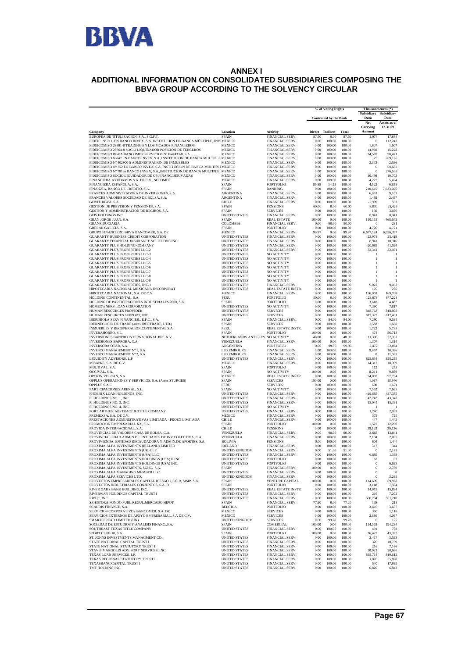

#### **ANNEX I ADDITIONAL INFORMATION ON CONSOLIDATED SUBSIDIARIES COMPOSING THE BBVA GROUP ACCORDING TO THE SOLVENCY CIRCULAR**

|                                                                                                                                       |                                               |                                       | % of Voting Rights |                               | Thousand euros (*)<br>Subsidiary Subsidiary |                       |                   |  |
|---------------------------------------------------------------------------------------------------------------------------------------|-----------------------------------------------|---------------------------------------|--------------------|-------------------------------|---------------------------------------------|-----------------------|-------------------|--|
|                                                                                                                                       |                                               |                                       |                    | <b>Controlled by the Bank</b> |                                             |                       | Data<br>Data      |  |
|                                                                                                                                       |                                               |                                       |                    |                               |                                             | Net                   | Assets as of      |  |
|                                                                                                                                       |                                               |                                       |                    |                               |                                             | Carrying              | 12.31.09          |  |
| Company                                                                                                                               | Location                                      | Activity                              | <b>Direct</b>      | Indirect                      | Total                                       | Amount                |                   |  |
| EUROPEA DE TITULIZACION, S.A., S.G.F.T.<br>FIDEIC. №.711, EN BANCO INVEX, S.A. INSTITUCION DE BANCA MÚLTIPLE, INVIMEXICO              | <b>SPAIN</b>                                  | FINANCIAL SERV.<br>FINANCIAL SERV.    | 87.50<br>0.00      | 0.00<br>100.00                | 87.50<br>100.00                             | 1,974<br>$\theta$     | 17,688<br>112,243 |  |
| FIDEICOMISO 28991-8 TRADING EN LOS MCADOS FINANCIEROS                                                                                 | MEXICO                                        | FINANCIAL SERV.                       | 0.00               | 100.00                        | 100.00                                      | 1,607                 | 1,607             |  |
| FIDEICOMISO 29764-8 SOCIO LIQUIDADOR POSICION DE TERCEROS                                                                             | <b>MEXICO</b>                                 | FINANCIAL SERV.                       | 0.00               | 100.00                        | 100.00                                      | 14,969                | 15,228            |  |
| FIDEICOMISO BBVA BANCOMER SERVICIOS Nº F/47433-8, S.A.<br>FIDEICOMISO N.847 EN BANCO INVEX, S.A.,INSTITUCION DE BANCA MULTIPLE MEXICO | <b>MEXICO</b>                                 | FINANCIAL SERV<br>FINANCIAL SERV.     | 0.00<br>0.00       | 100.00<br>100.00              | 100.00<br>100.00                            | 34,587<br>25          | 50.471<br>269,166 |  |
| FIDEICOMISO Nº.402900-5 ADMINISTRACION DE INMUEBLES                                                                                   | MEXICO                                        | FINANCIAL SERV.                       | 0.00               | 100.00                        | 100.00                                      | 2,333                 | 2,536             |  |
| FIDEICOMISO N°.752 EN BANCO INVEX, S.A.,INSTITUCION DE BANCA MULTIPLEMEXICO                                                           |                                               | FINANCIAL SERV.                       | 0.00               | 100.00                        | 100.00                                      | $\bf{0}$              | 50,683            |  |
| FIDEICOMISO №.781en BANCO INVEX, S.A.,INSTITUCION DE BANCA MULTIPLE, MEXICO                                                           |                                               | FINANCIAL SERV.                       | 0.00               | 100.00                        | 100.00                                      | $\theta$              | 276,505           |  |
| FIDEICOMISO SOCIO LIQUIDADOR DE OP.FINANC.DERIVADAS<br>FINANCIERA AYUDAMOS S.A. DE C.V., SOFOMER                                      | MEXICO<br>MEXICO                              | FINANCIAL SERV.<br>FINANCIAL SERV.    | 0.00<br>0.00       | 100.00<br>100.00              | 100.00<br>100.00                            | 10,498<br>4,222       | 10,703            |  |
| FINANCIERA ESPAÑOLA, S.A.                                                                                                             | <b>SPAIN</b>                                  | <b>PORTFOLIO</b>                      | 85.85              | 14.15                         | 100.00                                      | 4.522                 | 5,424<br>6,858    |  |
| FINANZIA, BANCO DE CREDITO, S.A.                                                                                                      | <b>SPAIN</b>                                  | <b>BANKING</b>                        | 0.00               | 100.00                        | 100.00                                      | 210,615               | 7,633,026         |  |
| FRANCES ADMINISTRADORA DE INVERSIONES, S.A.                                                                                           | ARGENTINA                                     | FINANCIAL SERV.                       | 0.00               | 100.00                        | 100.00                                      | 6,053                 | 9,103             |  |
| FRANCES VALORES SOCIEDAD DE BOLSA, S.A.<br>GENTE BBVA, S.A.                                                                           | ARGENTINA<br><b>CHILE</b>                     | FINANCIAL SERV.<br>FINANCIAL SERV.    | 0.00<br>0.00       | 100.00<br>100.00              | 100.00<br>100.00                            | 1,492<br>$-1.909$     | 2,497<br>553      |  |
| GESTION DE PREVISION Y PENSIONES, S.A.                                                                                                | SPAIN                                         | <b>PENSIONS</b>                       | 60.00              | 0.00                          | 60.00                                       | 8,830                 | 25,426            |  |
| GESTION Y ADMINISTRACION DE RECIBOS, S.A.                                                                                             | SPAIN                                         | <b>SERVICES</b>                       | 0.00               | 100.00                        | 100.00                                      | 150                   | 3,666             |  |
| GFIS HOLDINGS INC.                                                                                                                    | <b>UNITED STATES</b>                          | FINANCIAL SERV.                       | 0.00               | 100.00                        | 100.00                                      | 8,941                 | 8,941             |  |
| GRAN JORGE JUAN, S.A.                                                                                                                 | <b>SPAIN</b>                                  | <b>REAL ESTATE</b>                    | 100.00             | 0.00                          | 100.00                                      | 110,115               | 468,642           |  |
| GRANFIDUCIARIA<br>GRELAR GALICIA, S.A.                                                                                                | COLOMBIA<br>SPAIN                             | FINANCIAL SERV.<br>PORTFOLIO          | 0.00<br>0.00       | 90.00<br>100.00               | 90.00<br>100.00                             | $\bf{0}$<br>4,720     | 231<br>4,721      |  |
| GRUPO FINANCIERO BBVA BANCOMER, S.A. DE                                                                                               | <b>MEXICO</b>                                 | FINANCIAL SERV.                       | 99.97              | 0.00                          | 99.97                                       | 6,677,124             | 6,026,397         |  |
| GUARANTY BUSINESS CREDIT CORPORATION                                                                                                  | <b>UNITED STATES</b>                          | FINANCIAL SERV.                       | 0.00               | 100.00                        | 100.00                                      | 23,974                | 25,419            |  |
| GUARANTY FINANCIAL INSURANCE SOLUTIONS INC.                                                                                           | <b>UNITED STATES</b>                          | FINANCIAL SERV.                       | 0.00               | 100.00                        | 100.00                                      | 8,941                 | 10,916            |  |
| GUARANTY PLUS HOLDING COMPANY<br><b>GUARANTY PLUS PROPERTIES LLC-2</b>                                                                | UNITED STATES<br><b>UNITED STATES</b>         | FINANCIAL SERV.<br>FINANCIAL SERV.    | 0.00<br>0.00       | 100.00<br>100.00              | 100.00<br>100.00                            | $-20.689$<br>32,341   | 41,594<br>32,461  |  |
| <b>GUARANTY PLUS PROPERTIES LLC-3</b>                                                                                                 | <b>UNITED STATES</b>                          | NO ACTIVITY                           | 0.00               | 100.00                        | 100.00                                      | 1                     | 1                 |  |
| GUARANTY PLUS PROPERTIES LLC-4                                                                                                        | UNITED STATES                                 | NO ACTIVITY                           | 0.00               | 100.00                        | 100.00                                      | 1                     | $\mathbf{1}$      |  |
| GUARANTY PLUS PROPERTIES LLC-5                                                                                                        | <b>UNITED STATES</b>                          | NO ACTIVITY                           | 0.00               | 100.00                        | 100.00                                      | 1                     | -1                |  |
| <b>GUARANTY PLUS PROPERTIES LLC-6</b><br><b>GUARANTY PLUS PROPERTIES LLC-7</b>                                                        | <b>UNITED STATES</b>                          | NO ACTIVITY                           | 0.00               | 100.00                        | 100.00                                      | $\mathbf{1}$          | -1<br>1           |  |
| <b>GUARANTY PLUS PROPERTIES LLC-8</b>                                                                                                 | <b>UNITED STATES</b><br><b>UNITED STATES</b>  | NO ACTIVITY<br><b>NO ACTIVITY</b>     | 0.00<br>0.00       | 100.00<br>100.00              | 100.00<br>100.00                            | 1<br>1                | $\mathbf{1}$      |  |
| <b>GUARANTY PLUS PROPERTIES LLC-9</b>                                                                                                 | <b>UNITED STATES</b>                          | NO ACTIVITY                           | 0.00               | 100.00                        | 100.00                                      | 1                     | -1                |  |
| GUARANTY PLUS PROPERTIES, INC-1                                                                                                       | <b>UNITED STATES</b>                          | FINANCIAL SERV.                       | 0.00               | 100.00                        | 100.00                                      | 9,022                 | 9,033             |  |
| HIPOTECARIA NACIONAL MEXICANA INCORPORAT                                                                                              | UNITED STATES<br><b>MEXICO</b>                | REAL ESTATE INSTR.<br>FINANCIAL SERV. | 0.00<br>0.00       | 100.00<br>100.00              | 100.00<br>100.00                            | 170<br>136,901        | 275<br>169,708    |  |
| HIPOTECARIA NACIONAL, S.A. DE C.V.<br>HOLDING CONTINENTAL, S.A.                                                                       | PERU                                          | PORTFOLIO                             | 50.00              | 0.00                          | 50.00                                       | 123,678               | 677,228           |  |
| HOLDING DE PARTICIPACIONES INDUSTRIALES 2000, S.A.                                                                                    | <b>SPAIN</b>                                  | PORTFOLIO                             | 0.00               | 100.00                        | 100.00                                      | 3,618                 | 4,487             |  |
| HOMEOWNERS LOAN CORPORATION                                                                                                           | <b>UNITED STATES</b>                          | NO ACTIVITY                           | 0.00               | 100.00                        | 100.00                                      | 7,390                 | 7,817             |  |
| HUMAN RESOURCES PROVIDER                                                                                                              | <b>UNITED STATES</b>                          | <b>SERVICES</b>                       | 0.00               | 100.00                        | 100.00                                      | 818,763               | 818,808           |  |
| HUMAN RESOURCES SUPPORT, INC<br>IBERDROLA SERV.FINANCIER., E.F.C., S.A.                                                               | <b>UNITED STATES</b><br>SPAIN                 | <b>SERVICES</b><br>FINANCIAL SERV.    | 0.00<br>0.00       | 100.00<br>84.00               | 100.00<br>84.00                             | 817,323<br>7,290      | 817,401<br>9,585  |  |
| IBERNEGOCIO DE TRADE (antes IBERTRADE, LTD.)                                                                                          | SPAIN                                         | <b>SERVICES</b>                       | 0.00               | 100.00                        | 100.00                                      | 1.583                 | 1.688             |  |
| INMUEBLES Y RECUPERACION.CONTINENTAL,S.A                                                                                              | PERU                                          | REAL ESTATE INSTR.                    | 0.00               | 100.00                        | 100.00                                      | 1,722                 | 5,735             |  |
| INVERAHORRO, S.L.                                                                                                                     | <b>SPAIN</b>                                  | PORTFOLIO                             | 100.00             | 0.00                          | 100.00                                      | 474                   | 56,713            |  |
| INVERSIONES BANPRO INTERNATIONAL INC. N.V.<br>INVERSIONES BAPROBA, C.A.                                                               | NETHERLANDS ANTILLES NO ACTIVITY<br>VENEZUELA | FINANCIAL SERV.                       | 48.00<br>100.00    | 0.00<br>0.00                  | 48.00<br>100.00                             | 11,390<br>1.307       | 32,337<br>1.314   |  |
| INVERSORA OTAR, S.A.                                                                                                                  | ARGENTINA                                     | PORTFOLIO                             | 0.00               | 99.96                         | 99.96                                       | 2,472                 | 52,064            |  |
| INVESCO MANAGEMENT Nº 1, S.A.                                                                                                         | LUXEMBOURG                                    | FINANCIAL SERV.                       | 0.00               | 100.00                        | 100.00                                      | 9,857                 | 10,366            |  |
| INVESCO MANAGEMENT Nº 2. S.A.                                                                                                         | LUXEMBOURG                                    | FINANCIAL SERV.                       | 0.00               | 100.00<br>100.00              | 100.00                                      | $\theta$              | 11,063            |  |
| LIQUIDITY ADVISORS, L.P<br>MISAPRE, S.A. DE C.V.                                                                                      | <b>UNITED STATES</b><br>MEXICO                | FINANCIAL SERV.<br>FINANCIAL SERV.    | 0.00<br>0.00       | 100.00                        | 100.00<br>100.00                            | 825,654<br>14,312     | 828,255<br>18,399 |  |
| MULTIVAL, S.A.                                                                                                                        | SPAIN                                         | PORTFOLIO                             | 0.00               | 100.00                        | 100.00                                      | 112                   | 255               |  |
| OCCIVAL, S.A.                                                                                                                         | SPAIN                                         | NO ACTIVITY                           | 100.00             | 0.00                          | 100.00                                      | 8,211                 | 9,889             |  |
| OPCION VOLCAN, S.A.                                                                                                                   | MEXICO                                        | REAL ESTATE INSTR.                    | 0.00               | 100.00                        | 100.00                                      | 54,003                | 57,734            |  |
| OPPLUS OPERACIONES Y SERVICIOS, S.A. (Antes STURGES)<br>OPPLUS S.A.C                                                                  | SPAIN<br>PERU                                 | <b>SERVICES</b><br><b>SERVICES</b>    | 100.00<br>0.00     | 0.00<br>100.00                | 100.00<br>100.00                            | 1,067<br>600          | 18,946<br>1,621   |  |
| PARTICIPACIONES ARENAL, S.L.                                                                                                          | <b>SPAIN</b>                                  | NO ACTIVITY                           | 0.00               | 100.00                        | 100.00                                      | 7,552                 | 7,665             |  |
| PHOENIX LOAN HOLDINGS, INC.                                                                                                           | <b>UNITED STATES</b>                          | FINANCIAL SERV.                       | 0.00               | 100.00                        | 100.00                                      | 419,685               | 437,335           |  |
| PI HOLDINGS NO. 1, INC.<br>PI HOLDINGS NO. 3, INC.                                                                                    | <b>UNITED STATES</b><br><b>UNITED STATES</b>  | FINANCIAL SERV.                       | 0.00<br>0.00       | 100.00<br>100.00              | 100.00<br>100.00                            | 42,743                | 43,347<br>15,331  |  |
| PI HOLDINGS NO. 4, INC.                                                                                                               | <b>UNITED STATES</b>                          | FINANCIAL SERV.<br>NO ACTIVITY        | 0.00               | 100.00                        | 100.00                                      | 15,044<br>-1          |                   |  |
| PORT ARTHUR ABSTRACT & TITLE COMPANY                                                                                                  | <b>UNITED STATES</b>                          | FINANCIAL SERV.                       | 0.00               | 100.00                        | 100.00                                      | 1,740                 | 2,093             |  |
| PREMEXSA. S.A. DE C.V.                                                                                                                | MEXICO                                        | FINANCIAL SERV.                       | 0.00               | 100.00                        | 100.00                                      | 375                   | 725               |  |
| PRESTACIONES ADMINISTRATIVAS LIMITADA - PROEX LIMITADA<br>PROMOCION EMPRESARIAL XX, S.A.                                              | CHILE<br>SPAIN                                | FINANCIAL SERV.<br>PORTFOLIO          | 0.00<br>100.00     | 100.00<br>0.00                | 100.00<br>100.00                            | 447<br>1,522          | 1,445<br>12,260   |  |
| PROVIDA INTERNACIONAL, S.A.                                                                                                           | <b>CHILE</b>                                  | <b>PENSIONS</b>                       | 0.00               | 100.00                        | 100.00                                      | 39,129                | 39,136            |  |
| PROVINCIAL DE VALORES CASA DE BOLSA, C.A.                                                                                             | VENEZUELA                                     | FINANCIAL SERV.                       | 0.00               | 90.00                         | 90.00                                       | 2.668                 | 13.841            |  |
| PROVINCIAL SDAD.ADMIN.DE ENTIDADES DE INV.COLECTIVA, C.A.                                                                             | VENEZUELA                                     | FINANCIAL SERV.                       | 0.00               | 100.00                        | 100.00                                      | 2,104                 | 2,095             |  |
| PROVIVIENDA, ENTIDAD RECAUDADORA Y ADMIN.DE APORTES, S.A.<br>PROXIMA ALFA INVESTMENTS (IRELAND) LIMITED                               | <b>BOLIVIA</b><br><b>IRELAND</b>              | <b>PENSIONS</b><br>FINANCIAL SERV.    | 0.00<br>0.00       | 100.00                        | 100.00                                      | 604                   | 1,444             |  |
| PROXIMA ALFA INVESTMENTS (UK) LLP                                                                                                     | <b>UNITED KINGDOM</b>                         | FINANCIAL SERV.                       | 0.00               | 100.00<br>51.00               | 100.00<br>51.00                             | 317<br>$\overline{0}$ | 344<br>2.143      |  |
| PROXIMA ALFA INVESTMENTS (USA) LLC                                                                                                    | <b>UNITED STATES</b>                          | FINANCIAL SERV.                       | 0.00               | 100.00                        | 100.00                                      | 6,689                 | 1,393             |  |
| PROXIMA ALFA INVESTMENTS HOLDINGS (USA) II INC                                                                                        | <b>UNITED STATES</b>                          | PORTFOLIO                             | 0.00               | 100.00                        | 100.00                                      | 67                    | 63                |  |
| PROXIMA ALFA INVESTMENTS HOLDINGS (USA) INC.<br>PROXIMA ALFA INVESTMENTS, SGIIC, S.A.                                                 | <b>UNITED STATES</b><br><b>SPAIN</b>          | <b>PORTFOLIO</b><br>FINANCIAL SERV.   | 0.00<br>100.00     | 100.00<br>0.00                | 100.00<br>100.00                            | $\theta$<br>$\theta$  | 6,693<br>2,780    |  |
| PROXIMA ALFA MANAGING MEMBER LLC                                                                                                      | UNITED STATES                                 | FINANCIAL SERV.                       | 0.00               | 100.00                        | 100.00                                      | $\boldsymbol{0}$      | $\overline{0}$    |  |
| PROXIMA ALFA SERVICES LTD.                                                                                                            | UNITED KINGDOM                                | FINANCIAL SERV.                       | 0.00               | 100.00                        | 100.00                                      | $\theta$              | 3,265             |  |
| PROYECTOS EMPRESARIALES CAPITAL RIESGO I, S.C.R, SIMP. S.A.                                                                           | <b>SPAIN</b>                                  | VENTURE CAPITAL                       | 100.00             | 0.00                          | 100.00                                      | 114,609               | 89,963            |  |
| PROYECTOS INDUSTRIALES CONJUNTOS, S.A. D<br>RIVER OAKS BANK BUILDING, INC.                                                            | SPAIN<br><b>UNITED STATES</b>                 | PORTFOLIO<br>REAL ESTATE INSTR.       | 0.00<br>0.00       | 100.00<br>100.00              | 100.00<br>100.00                            | 3,148<br>14,915       | 7,504<br>15,834   |  |
| RIVERWAY HOLDINGS CAPITAL TRUST I                                                                                                     | <b>UNITED STATES</b>                          | FINANCIAL SERV.                       | 0.00               | 100.00                        | 100.00                                      | 216                   | 7,202             |  |
| RWHC, INC                                                                                                                             | <b>UNITED STATES</b>                          | FINANCIAL SERV.                       | 0.00               | 100.00                        | 100.00                                      | 500,734               | 501,210           |  |
| S.GESTORA FONDO PUBL.REGUL.MERCADO HIPOT                                                                                              | SPAIN                                         | FINANCIAL SERV.                       | 77.20              | 0.00                          | 77.20                                       | 138                   | 213               |  |
| SCALDIS FINANCE, S.A.<br>SERVICIOS CORPORATIVOS BANCOMER, S.A. DE                                                                     | <b>BELGICA</b><br>MEXICO                      | PORTFOLIO<br><b>SERVICES</b>          | 0.00<br>0.00       | 100.00<br>100.00              | 100.00<br>100.00                            | 3,416<br>350          | 3,657<br>1,118    |  |
| SERVICIOS EXTERNOS DE APOYO EMPRESARIAL, S.A DE C.V.                                                                                  | <b>MEXICO</b>                                 | <b>SERVICES</b>                       | 0.00               | 100.00                        | 100.00                                      | 2,886                 | 4,067             |  |
| SMARTSPREAD LIMITED (UK)                                                                                                              | UNITED KINGDOM                                | <b>SERVICES</b>                       | 0.00               | 99.78                         | 99.78                                       | $\overline{0}$        | 125               |  |
| SOCIEDAD DE ESTUDIOS Y ANALISIS FINANC., S.A.                                                                                         | <b>SPAIN</b>                                  | COMERCIAL                             | 100.00             | 0.00                          | 100.00                                      | 114,518               | 194,234           |  |
| SOUTHEAST TEXAS TITLE COMPANY                                                                                                         | <b>UNITED STATES</b>                          | FINANCIAL SERV.<br><b>PORTFOLIO</b>   | 0.00               | 100.00                        | 100.00                                      | 491                   | 703               |  |
| SPORT CLUB 18, S.A.<br>ST. JOHNS INVESTMENTS MANAGMENT CO.                                                                            | SPAIN<br><b>UNITED STATES</b>                 | FINANCIAL SERV.                       | 100.00<br>0.00     | 0.00<br>100.00                | 100.00<br>100.00                            | 26,423<br>3,417       | 43,322<br>3,593   |  |
| STATE NATIONAL CAPITAL TRUST I                                                                                                        | <b>UNITED STATES</b>                          | FINANCIAL SERV.                       | 0.00               | 100.00                        | 100.00                                      | 326                   | 10,739            |  |
| STATE NATIONAL STATUTORY TRUST II                                                                                                     | UNITED STATES                                 | FINANCIAL SERV.                       | 0.00               | 100.00                        | 100.00                                      | 216                   | 7,166             |  |
| STAVIS MARGOLIS ADVISORY SERVICES, INC.<br>TEXAS LOAN SERVICES, LP.                                                                   | UNITED STATES<br><b>UNITED STATES</b>         | FINANCIAL SERV.                       | 0.00<br>0.00       | 100.00<br>100.00              | 100.00<br>100.00                            | 20,021<br>818,714     | 20,660            |  |
| TEXAS REGIONAL STATUTORY TRUST I                                                                                                      | <b>UNITED STATES</b>                          | FINANCIAL SERV.<br>FINANCIAL SERV.    | 0.00               | 100.00                        | 100.00                                      | 1,076                 | 819,612<br>35,828 |  |
| TEXASBANC CAPITAL TRUST I                                                                                                             | <b>UNITED STATES</b>                          | FINANCIAL SERV.                       | 0.00               | 100.00                        | 100.00                                      | 540                   | 17,992            |  |
| TMF HOLDING INC.                                                                                                                      | UNITED STATES                                 | FINANCIAL SERV.                       | 0.00               | 100.00                        | 100.00                                      | 6,820                 | 6,843             |  |
|                                                                                                                                       |                                               |                                       |                    |                               |                                             |                       |                   |  |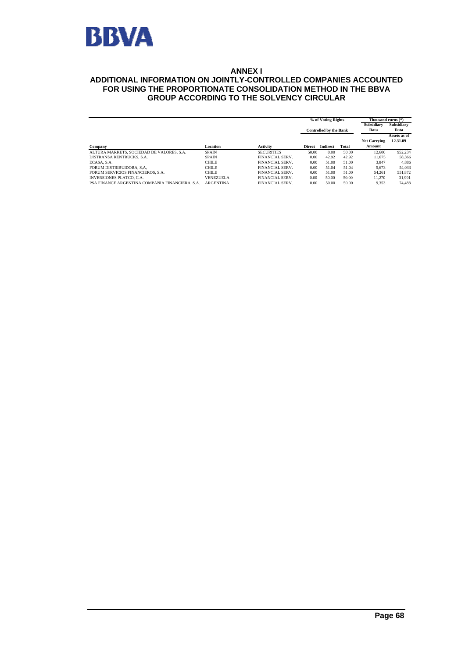

#### **ANNEX I**

#### **ADDITIONAL INFORMATION ON JOINTLY-CONTROLLED COMPANIES ACCOUNTED FOR USING THE PROPORTIONATE CONSOLIDATION METHOD IN THE BBVA GROUP ACCORDING TO THE SOLVENCY CIRCULAR**

|                                                 |                  |                        | % of Voting Rights |                               |       | Thousand euros (*)  |              |
|-------------------------------------------------|------------------|------------------------|--------------------|-------------------------------|-------|---------------------|--------------|
|                                                 |                  |                        |                    |                               |       | Subsidiary          | Subsidiary   |
|                                                 |                  |                        |                    | <b>Controlled by the Bank</b> |       | Data                | Data         |
|                                                 |                  |                        |                    |                               |       |                     | Assets as of |
|                                                 |                  |                        |                    |                               |       | <b>Net Carrying</b> | 12.31.09     |
| Company                                         | Location         | <b>Activity</b>        | <b>Direct</b>      | <b>Indirect</b>               | Total | Amount              |              |
| ALTURA MARKETS, SOCIEDAD DE VALORES, S.A.       | <b>SPAIN</b>     | <b>SECURITIES</b>      | 50.00              | 0.00                          | 50.00 | 12.600              | 952,234      |
| DISTRANSA RENTRUCKS, S.A.                       | <b>SPAIN</b>     | FINANCIAL SERV.        | 0.00               | 42.92                         | 42.92 | 11.675              | 58,366       |
| ECASA, S.A.                                     | <b>CHILE</b>     | FINANCIAL SERV.        | 0.00               | 51.00                         | 51.00 | 3.847               | 4.886        |
| FORUM DISTRIBUIDORA, S.A.                       | <b>CHILE</b>     | FINANCIAL SERV.        | 0.00               | 51.04                         | 51.04 | 5.673               | 54,033       |
| FORUM SERVICIOS FINANCIEROS, S.A.               | <b>CHILE</b>     | <b>FINANCIAL SERV.</b> | 0.00               | 51.00                         | 51.00 | 54.261              | 551,872      |
| <b>INVERSIONES PLATCO, C.A.</b>                 | <b>VENEZUELA</b> | FINANCIAL SERV.        | 0.00               | 50.00                         | 50.00 | 11.270              | 31.991       |
| PSA FINANCE ARGENTINA COMPAÑIA FINANCIERA, S.A. | <b>ARGENTINA</b> | <b>FINANCIAL SERV.</b> | 0.00               | 50.00                         | 50.00 | 9.353               | 74,488       |